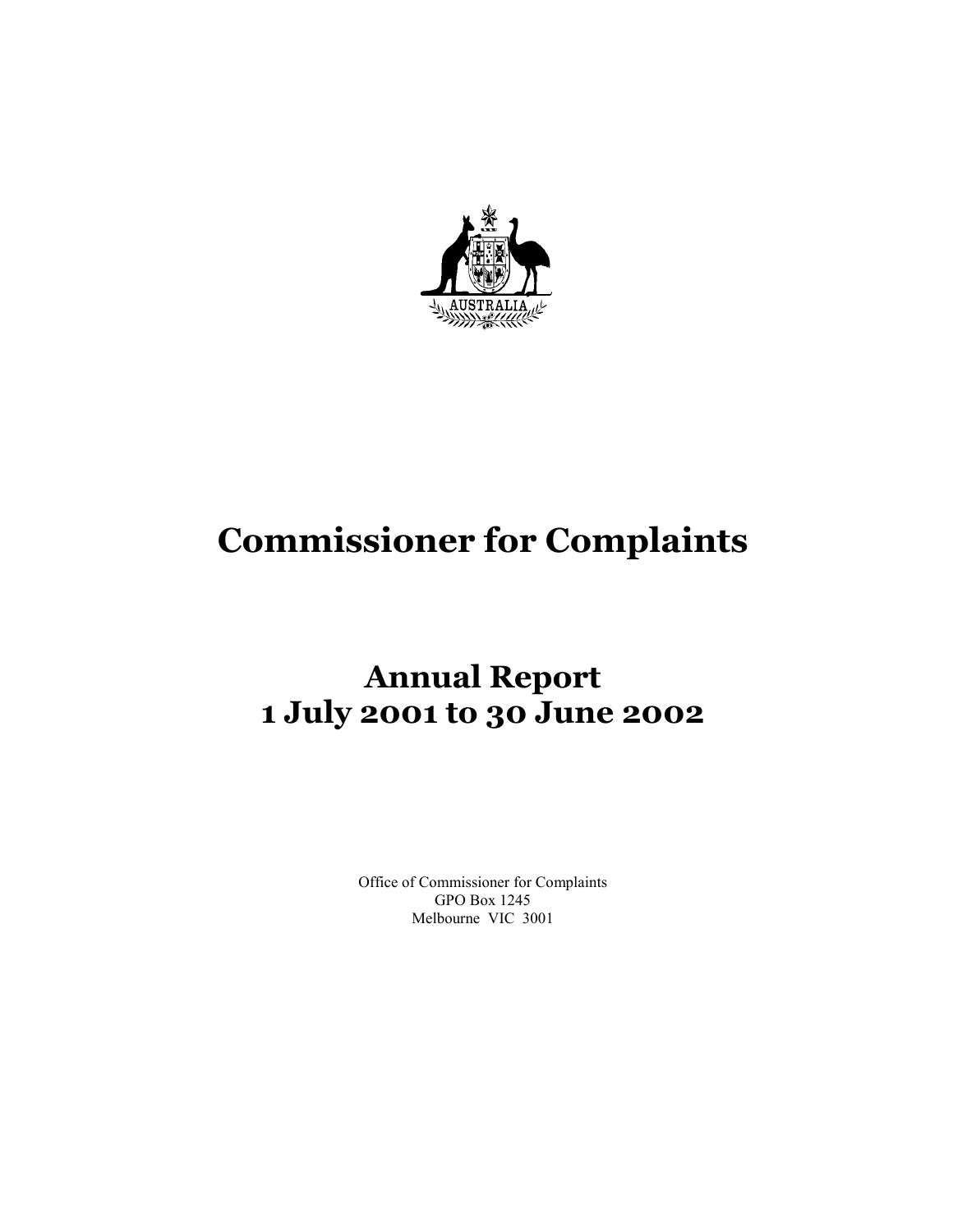

# **Commissioner for Complaints**

## **Annual Report 1 July 2001 to 30 June 2002**

Office of Commissioner for Complaints GPO Box 1245 Melbourne VIC 3001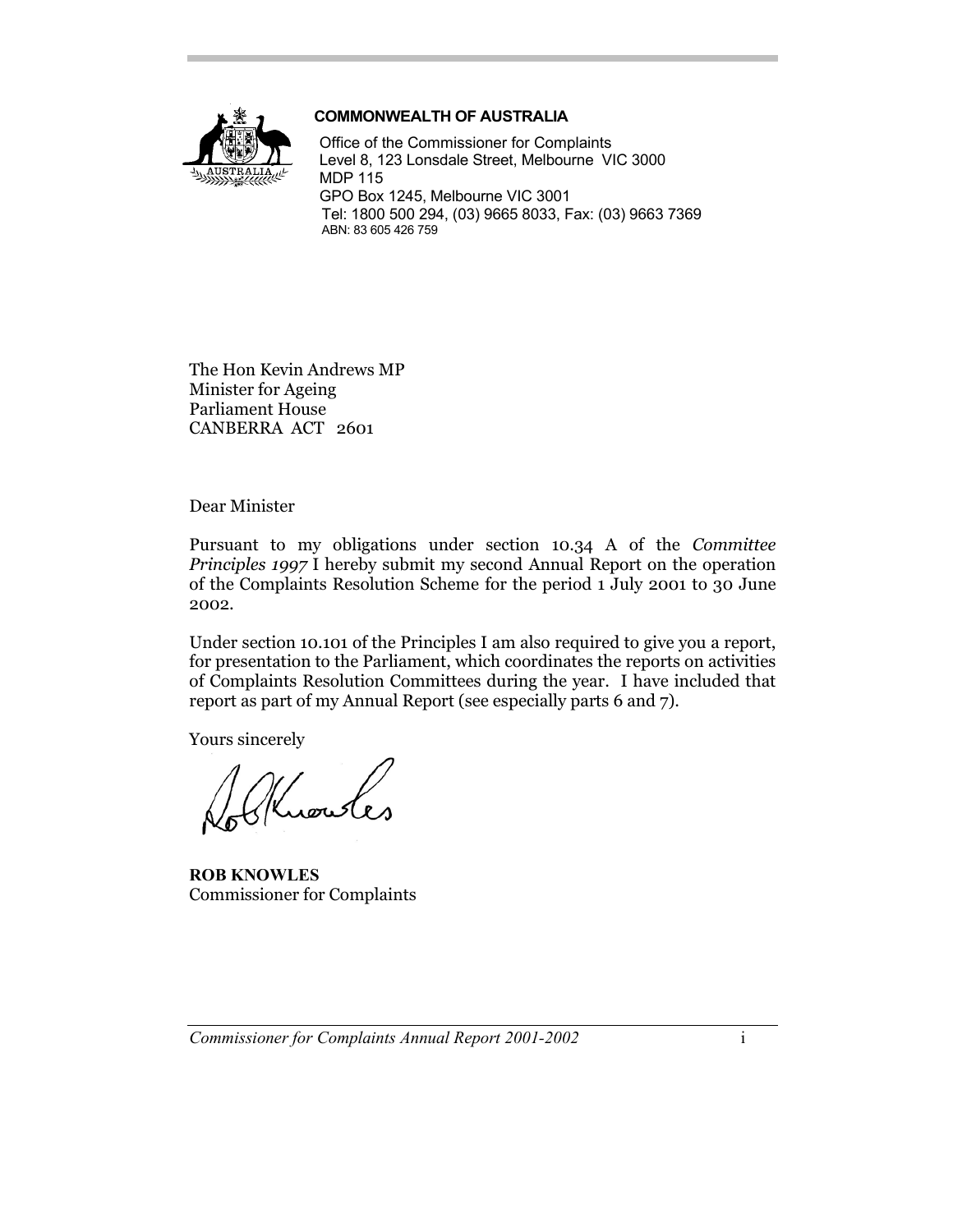

#### **COMMONWEALTH OF AUSTRALIA**

Office of the Commissioner for Complaints Level 8, 123 Lonsdale Street, Melbourne VIC 3000 MDP 115 GPO Box 1245, Melbourne VIC 3001 Tel: 1800 500 294, (03) 9665 8033, Fax: (03) 9663 7369 ABN: 83 605 426 759

The Hon Kevin Andrews MP Minister for Ageing Parliament House CANBERRA ACT 2601

Dear Minister

Pursuant to my obligations under section 10.34 A of the *Committee Principles 1997* I hereby submit my second Annual Report on the operation of the Complaints Resolution Scheme for the period 1 July 2001 to 30 June 2002.

Under section 10.101 of the Principles I am also required to give you a report, for presentation to the Parliament, which coordinates the reports on activities of Complaints Resolution Committees during the year. I have included that report as part of my Annual Report (see especially parts 6 and 7).

Yours sincerely

**ROB KNOWLES** Commissioner for Complaints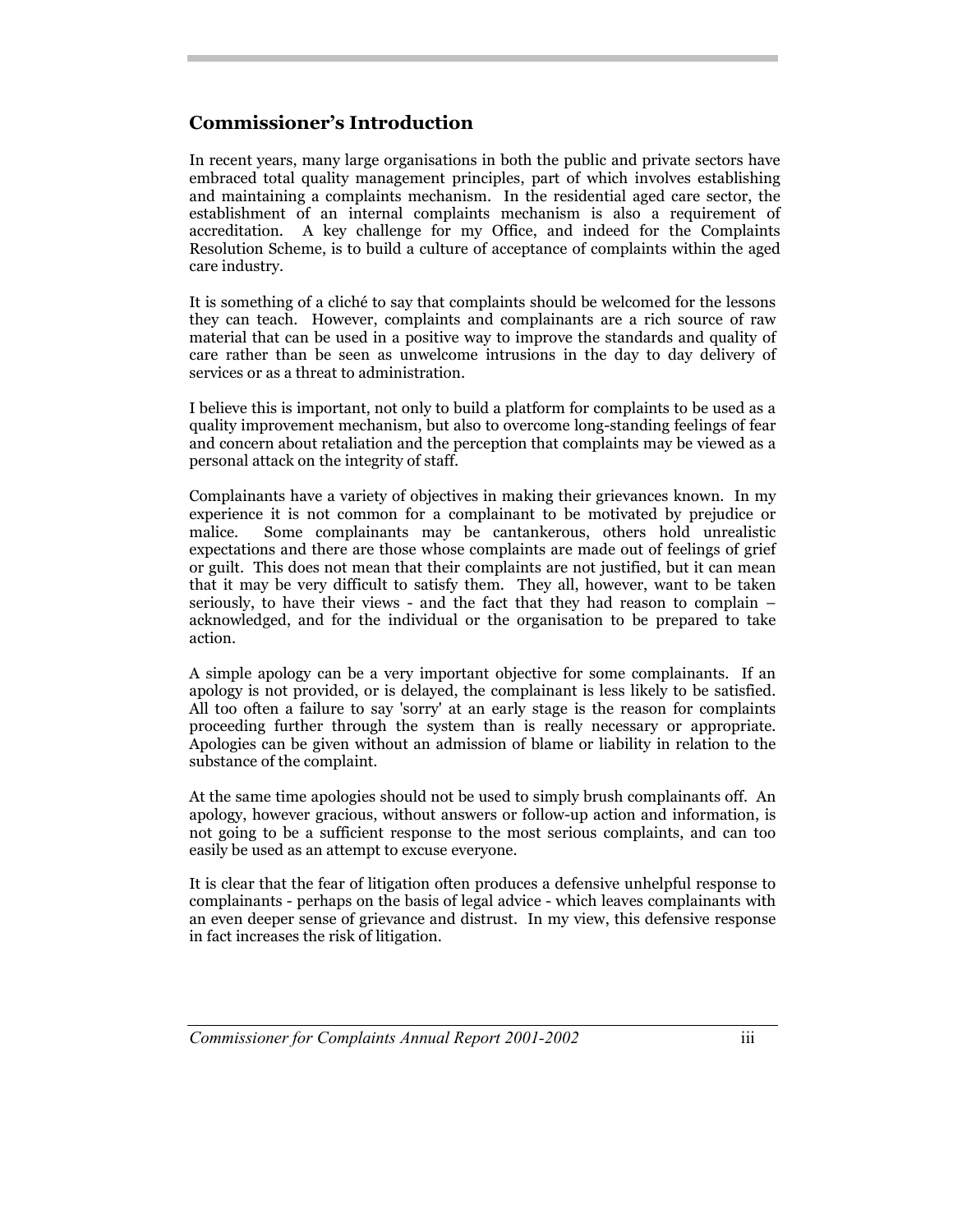## **Commissioner's Introduction**

In recent years, many large organisations in both the public and private sectors have embraced total quality management principles, part of which involves establishing and maintaining a complaints mechanism. In the residential aged care sector, the establishment of an internal complaints mechanism is also a requirement of accreditation. A key challenge for my Office, and indeed for the Complaints Resolution Scheme, is to build a culture of acceptance of complaints within the aged care industry.

It is something of a cliché to say that complaints should be welcomed for the lessons they can teach. However, complaints and complainants are a rich source of raw material that can be used in a positive way to improve the standards and quality of care rather than be seen as unwelcome intrusions in the day to day delivery of services or as a threat to administration.

I believe this is important, not only to build a platform for complaints to be used as a quality improvement mechanism, but also to overcome long-standing feelings of fear and concern about retaliation and the perception that complaints may be viewed as a personal attack on the integrity of staff.

Complainants have a variety of objectives in making their grievances known. In my experience it is not common for a complainant to be motivated by prejudice or malice. Some complainants may be cantankerous, others hold unrealistic expectations and there are those whose complaints are made out of feelings of grief or guilt. This does not mean that their complaints are not justified, but it can mean that it may be very difficult to satisfy them. They all, however, want to be taken seriously, to have their views - and the fact that they had reason to complain – acknowledged, and for the individual or the organisation to be prepared to take action.

A simple apology can be a very important objective for some complainants. If an apology is not provided, or is delayed, the complainant is less likely to be satisfied. All too often a failure to say 'sorry' at an early stage is the reason for complaints proceeding further through the system than is really necessary or appropriate. Apologies can be given without an admission of blame or liability in relation to the substance of the complaint.

At the same time apologies should not be used to simply brush complainants off. An apology, however gracious, without answers or follow-up action and information, is not going to be a sufficient response to the most serious complaints, and can too easily be used as an attempt to excuse everyone.

It is clear that the fear of litigation often produces a defensive unhelpful response to complainants - perhaps on the basis of legal advice - which leaves complainants with an even deeper sense of grievance and distrust. In my view, this defensive response in fact increases the risk of litigation.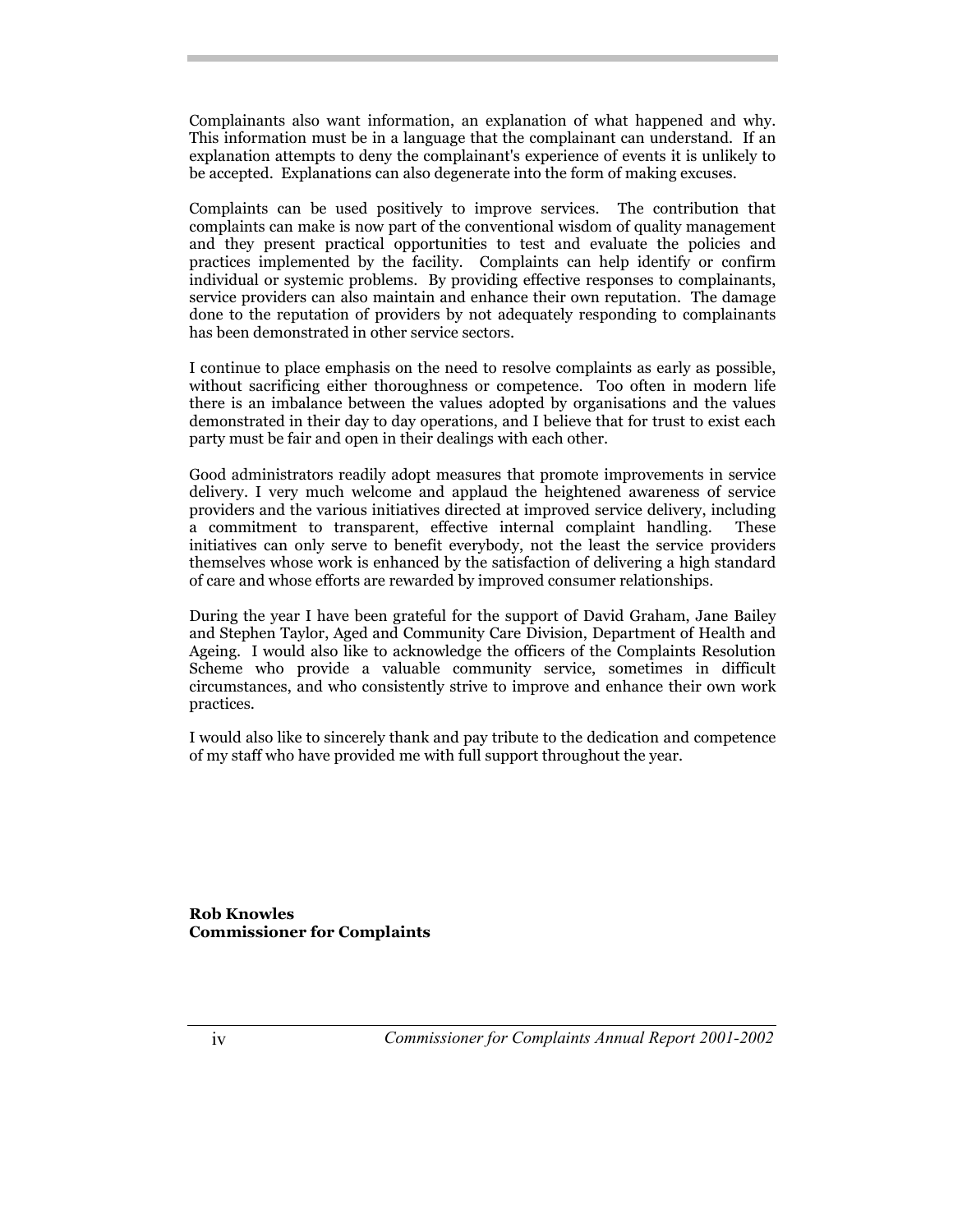Complainants also want information, an explanation of what happened and why. This information must be in a language that the complainant can understand. If an explanation attempts to deny the complainant's experience of events it is unlikely to be accepted. Explanations can also degenerate into the form of making excuses.

Complaints can be used positively to improve services. The contribution that complaints can make is now part of the conventional wisdom of quality management and they present practical opportunities to test and evaluate the policies and practices implemented by the facility. Complaints can help identify or confirm individual or systemic problems. By providing effective responses to complainants, service providers can also maintain and enhance their own reputation. The damage done to the reputation of providers by not adequately responding to complainants has been demonstrated in other service sectors.

I continue to place emphasis on the need to resolve complaints as early as possible, without sacrificing either thoroughness or competence. Too often in modern life there is an imbalance between the values adopted by organisations and the values demonstrated in their day to day operations, and I believe that for trust to exist each party must be fair and open in their dealings with each other.

Good administrators readily adopt measures that promote improvements in service delivery. I very much welcome and applaud the heightened awareness of service providers and the various initiatives directed at improved service delivery, including a commitment to transparent, effective internal complaint handling. These initiatives can only serve to benefit everybody, not the least the service providers themselves whose work is enhanced by the satisfaction of delivering a high standard of care and whose efforts are rewarded by improved consumer relationships.

During the year I have been grateful for the support of David Graham, Jane Bailey and Stephen Taylor, Aged and Community Care Division, Department of Health and Ageing. I would also like to acknowledge the officers of the Complaints Resolution Scheme who provide a valuable community service, sometimes in difficult circumstances, and who consistently strive to improve and enhance their own work practices.

I would also like to sincerely thank and pay tribute to the dedication and competence of my staff who have provided me with full support throughout the year.

**Rob Knowles Commissioner for Complaints**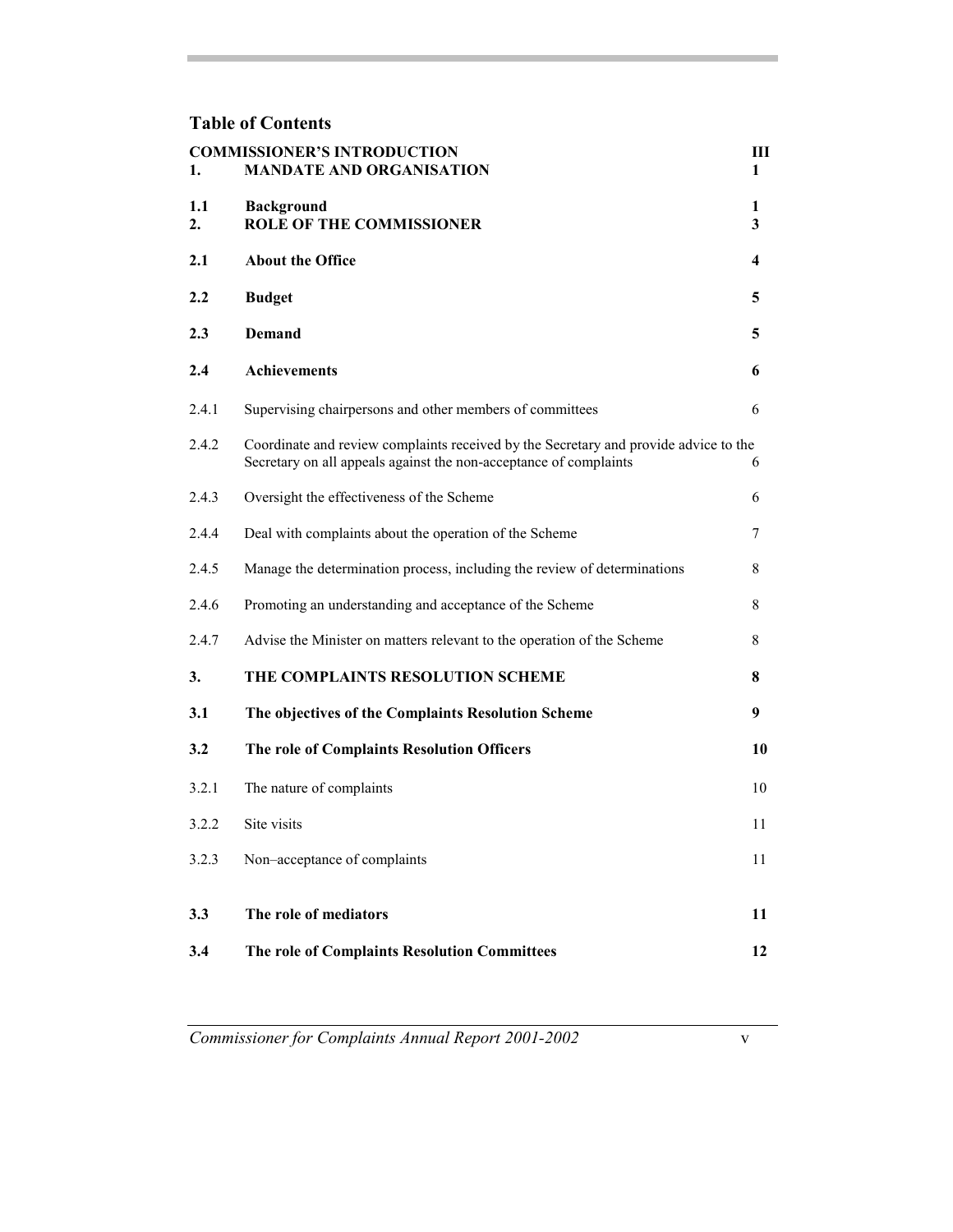## **Table of Contents**

| 1.        | <b>COMMISSIONER'S INTRODUCTION</b><br><b>MANDATE AND ORGANISATION</b>                                                                                     | Ш<br>1                       |
|-----------|-----------------------------------------------------------------------------------------------------------------------------------------------------------|------------------------------|
| 1.1<br>2. | <b>Background</b><br><b>ROLE OF THE COMMISSIONER</b>                                                                                                      | 1<br>$\overline{\mathbf{3}}$ |
| 2.1       | <b>About the Office</b>                                                                                                                                   | 4                            |
| 2.2       | <b>Budget</b>                                                                                                                                             | 5                            |
| 2.3       | <b>Demand</b>                                                                                                                                             | 5                            |
| 2.4       | <b>Achievements</b>                                                                                                                                       | 6                            |
| 2.4.1     | Supervising chairpersons and other members of committees                                                                                                  | 6                            |
| 2.4.2     | Coordinate and review complaints received by the Secretary and provide advice to the<br>Secretary on all appeals against the non-acceptance of complaints | 6                            |
| 2.4.3     | Oversight the effectiveness of the Scheme                                                                                                                 | 6                            |
| 2.4.4     | Deal with complaints about the operation of the Scheme                                                                                                    | 7                            |
| 2.4.5     | Manage the determination process, including the review of determinations                                                                                  | 8                            |
| 2.4.6     | Promoting an understanding and acceptance of the Scheme                                                                                                   | 8                            |
| 2.4.7     | Advise the Minister on matters relevant to the operation of the Scheme                                                                                    | 8                            |
| 3.        | THE COMPLAINTS RESOLUTION SCHEME                                                                                                                          | 8                            |
| 3.1       | The objectives of the Complaints Resolution Scheme                                                                                                        | 9                            |
| 3.2       | The role of Complaints Resolution Officers                                                                                                                | 10                           |
| 3.2.1     | The nature of complaints                                                                                                                                  | 10                           |
| 3.2.2     | Site visits                                                                                                                                               | 11                           |
| 3.2.3     | Non-acceptance of complaints                                                                                                                              | 11                           |
| 3.3       | The role of mediators                                                                                                                                     | 11                           |
| 3.4       | The role of Complaints Resolution Committees                                                                                                              | 12                           |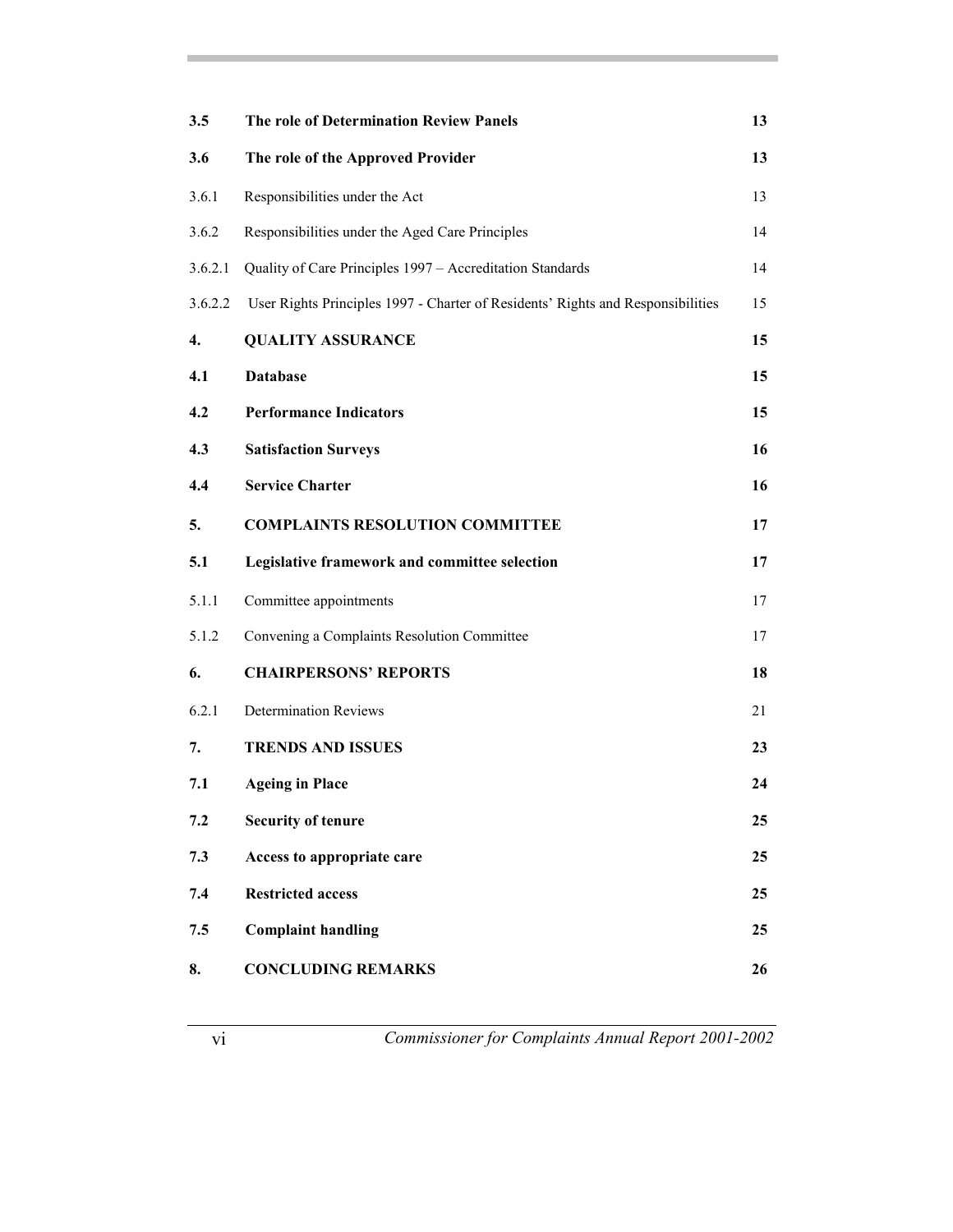| 3.5     | <b>The role of Determination Review Panels</b>                                  | 13 |
|---------|---------------------------------------------------------------------------------|----|
| 3.6     | The role of the Approved Provider                                               | 13 |
| 3.6.1   | Responsibilities under the Act                                                  | 13 |
| 3.6.2   | Responsibilities under the Aged Care Principles                                 | 14 |
| 3.6.2.1 | Quality of Care Principles 1997 - Accreditation Standards                       | 14 |
| 3.6.2.2 | User Rights Principles 1997 - Charter of Residents' Rights and Responsibilities | 15 |
| 4.      | <b>QUALITY ASSURANCE</b>                                                        | 15 |
| 4.1     | <b>Database</b>                                                                 | 15 |
| 4.2     | <b>Performance Indicators</b>                                                   | 15 |
| 4.3     | <b>Satisfaction Surveys</b>                                                     | 16 |
| 4.4     | <b>Service Charter</b>                                                          | 16 |
| 5.      | <b>COMPLAINTS RESOLUTION COMMITTEE</b>                                          | 17 |
| 5.1     | Legislative framework and committee selection                                   | 17 |
| 5.1.1   | Committee appointments                                                          | 17 |
| 5.1.2   | Convening a Complaints Resolution Committee                                     | 17 |
| 6.      | <b>CHAIRPERSONS' REPORTS</b>                                                    | 18 |
| 6.2.1   | <b>Determination Reviews</b>                                                    | 21 |
| 7.      | <b>TRENDS AND ISSUES</b>                                                        | 23 |
| 7.1     | <b>Ageing in Place</b>                                                          | 24 |
| 7.2     | <b>Security of tenure</b>                                                       | 25 |
| 7.3     | Access to appropriate care                                                      | 25 |
| 7.4     | <b>Restricted access</b>                                                        | 25 |
| 7.5     | <b>Complaint handling</b>                                                       | 25 |
| 8.      | <b>CONCLUDING REMARKS</b>                                                       | 26 |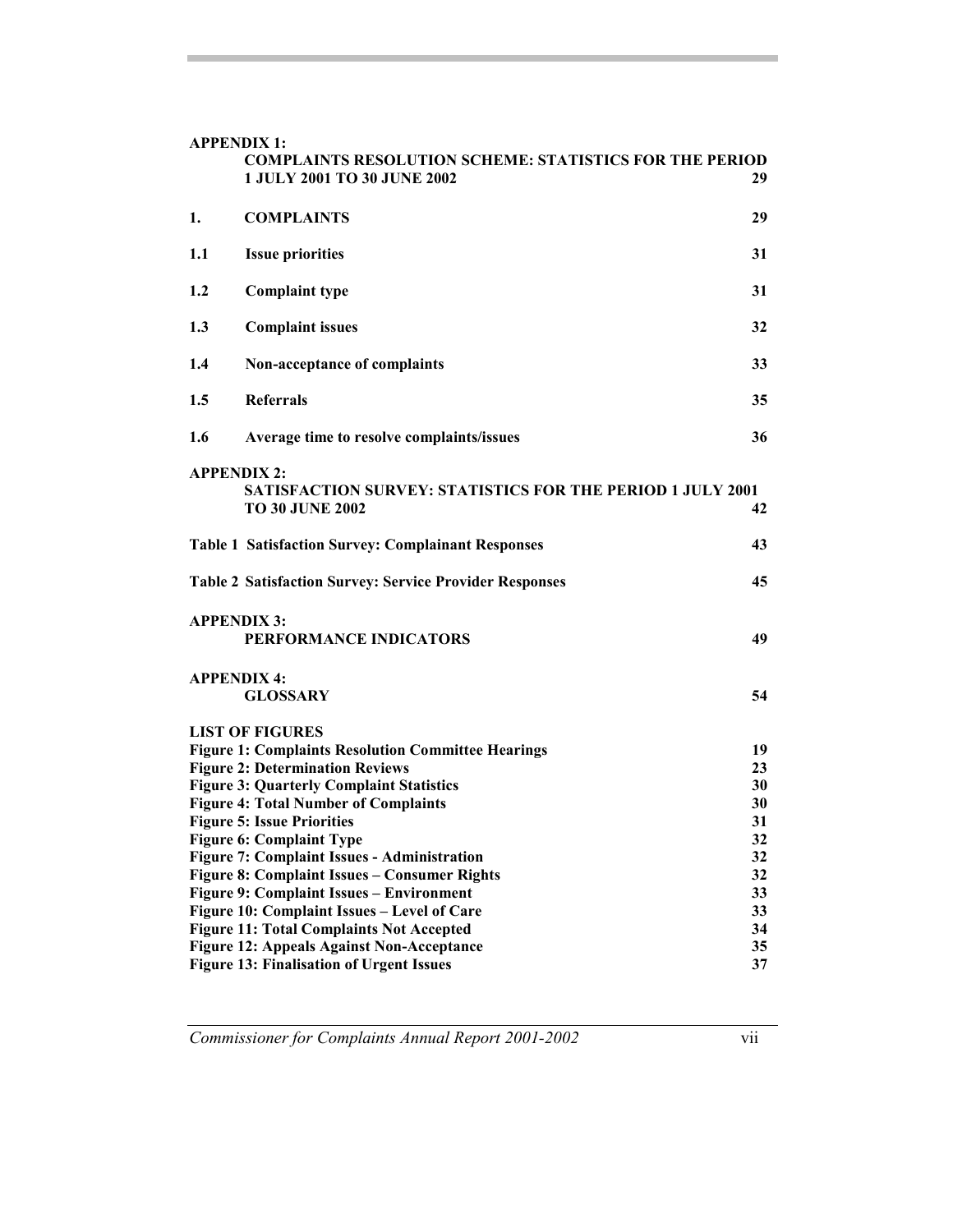| <b>APPENDIX 1:</b>                                                   |                                                                                                      |          |  |
|----------------------------------------------------------------------|------------------------------------------------------------------------------------------------------|----------|--|
|                                                                      | <b>COMPLAINTS RESOLUTION SCHEME: STATISTICS FOR THE PERIOD</b><br><b>1 JULY 2001 TO 30 JUNE 2002</b> | 29       |  |
| 1.                                                                   | <b>COMPLAINTS</b>                                                                                    | 29       |  |
| 1.1                                                                  | <b>Issue priorities</b>                                                                              | 31       |  |
| 1.2                                                                  | <b>Complaint type</b>                                                                                | 31       |  |
| 1.3                                                                  | <b>Complaint issues</b>                                                                              | 32       |  |
| 1.4                                                                  | Non-acceptance of complaints                                                                         | 33       |  |
| 1.5                                                                  | <b>Referrals</b>                                                                                     | 35       |  |
| 1.6                                                                  | Average time to resolve complaints/issues                                                            | 36       |  |
| <b>APPENDIX 2:</b>                                                   |                                                                                                      |          |  |
|                                                                      | <b>SATISFACTION SURVEY: STATISTICS FOR THE PERIOD 1 JULY 2001</b><br><b>TO 30 JUNE 2002</b>          | 42       |  |
|                                                                      | <b>Table 1 Satisfaction Survey: Complainant Responses</b>                                            | 43       |  |
| <b>Table 2 Satisfaction Survey: Service Provider Responses</b><br>45 |                                                                                                      |          |  |
| <b>APPENDIX 3:</b>                                                   |                                                                                                      |          |  |
| PERFORMANCE INDICATORS<br>49                                         |                                                                                                      |          |  |
| <b>APPENDIX 4:</b>                                                   |                                                                                                      |          |  |
|                                                                      | <b>GLOSSARY</b>                                                                                      | 54       |  |
| <b>LIST OF FIGURES</b>                                               |                                                                                                      |          |  |
| <b>Figure 1: Complaints Resolution Committee Hearings</b><br>19      |                                                                                                      |          |  |
|                                                                      | <b>Figure 2: Determination Reviews</b>                                                               | 23       |  |
|                                                                      | <b>Figure 3: Quarterly Complaint Statistics</b><br><b>Figure 4: Total Number of Complaints</b>       | 30<br>30 |  |
|                                                                      | <b>Figure 5: Issue Priorities</b>                                                                    | 31       |  |
|                                                                      | <b>Figure 6: Complaint Type</b>                                                                      | 32       |  |
| 32<br><b>Figure 7: Complaint Issues - Administration</b>             |                                                                                                      |          |  |
| 32<br><b>Figure 8: Complaint Issues - Consumer Rights</b>            |                                                                                                      |          |  |
| Figure 9: Complaint Issues - Environment<br>33                       |                                                                                                      |          |  |
| 33<br>Figure 10: Complaint Issues - Level of Care                    |                                                                                                      |          |  |
| 34<br><b>Figure 11: Total Complaints Not Accepted</b>                |                                                                                                      |          |  |
| <b>Figure 12: Appeals Against Non-Acceptance</b><br>35               |                                                                                                      |          |  |
| 37<br><b>Figure 13: Finalisation of Urgent Issues</b>                |                                                                                                      |          |  |

*Commissioner for Complaints Annual Report 2001-2002* vii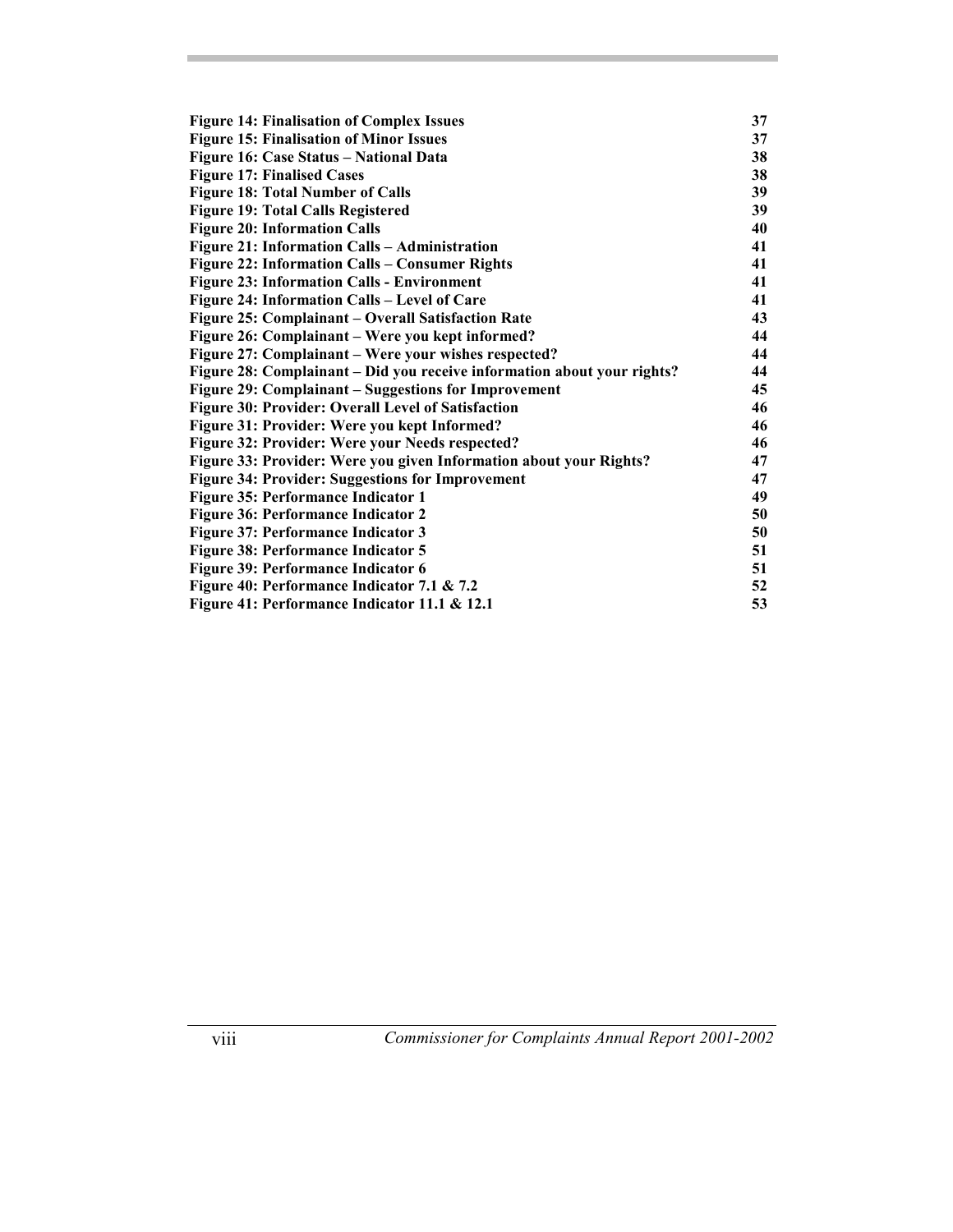| <b>Figure 14: Finalisation of Complex Issues</b>                        | 37 |
|-------------------------------------------------------------------------|----|
| <b>Figure 15: Finalisation of Minor Issues</b>                          | 37 |
| Figure 16: Case Status - National Data                                  | 38 |
| <b>Figure 17: Finalised Cases</b>                                       | 38 |
| <b>Figure 18: Total Number of Calls</b>                                 | 39 |
| <b>Figure 19: Total Calls Registered</b>                                | 39 |
| <b>Figure 20: Information Calls</b>                                     | 40 |
| Figure 21: Information Calls - Administration                           | 41 |
| Figure 22: Information Calls - Consumer Rights                          | 41 |
| <b>Figure 23: Information Calls - Environment</b>                       | 41 |
| Figure 24: Information Calls - Level of Care                            | 41 |
| Figure 25: Complainant - Overall Satisfaction Rate                      | 43 |
| Figure 26: Complainant – Were you kept informed?                        | 44 |
| Figure 27: Complainant - Were your wishes respected?                    | 44 |
| Figure 28: Complainant – Did you receive information about your rights? | 44 |
| Figure 29: Complainant – Suggestions for Improvement                    | 45 |
| Figure 30: Provider: Overall Level of Satisfaction                      | 46 |
| Figure 31: Provider: Were you kept Informed?                            | 46 |
| Figure 32: Provider: Were your Needs respected?                         | 46 |
| Figure 33: Provider: Were you given Information about your Rights?      | 47 |
| <b>Figure 34: Provider: Suggestions for Improvement</b>                 | 47 |
| Figure 35: Performance Indicator 1                                      | 49 |
| Figure 36: Performance Indicator 2                                      | 50 |
| Figure 37: Performance Indicator 3                                      | 50 |
| <b>Figure 38: Performance Indicator 5</b>                               | 51 |
| Figure 39: Performance Indicator 6                                      | 51 |
| Figure 40: Performance Indicator 7.1 & 7.2                              | 52 |
| Figure 41: Performance Indicator 11.1 & 12.1                            | 53 |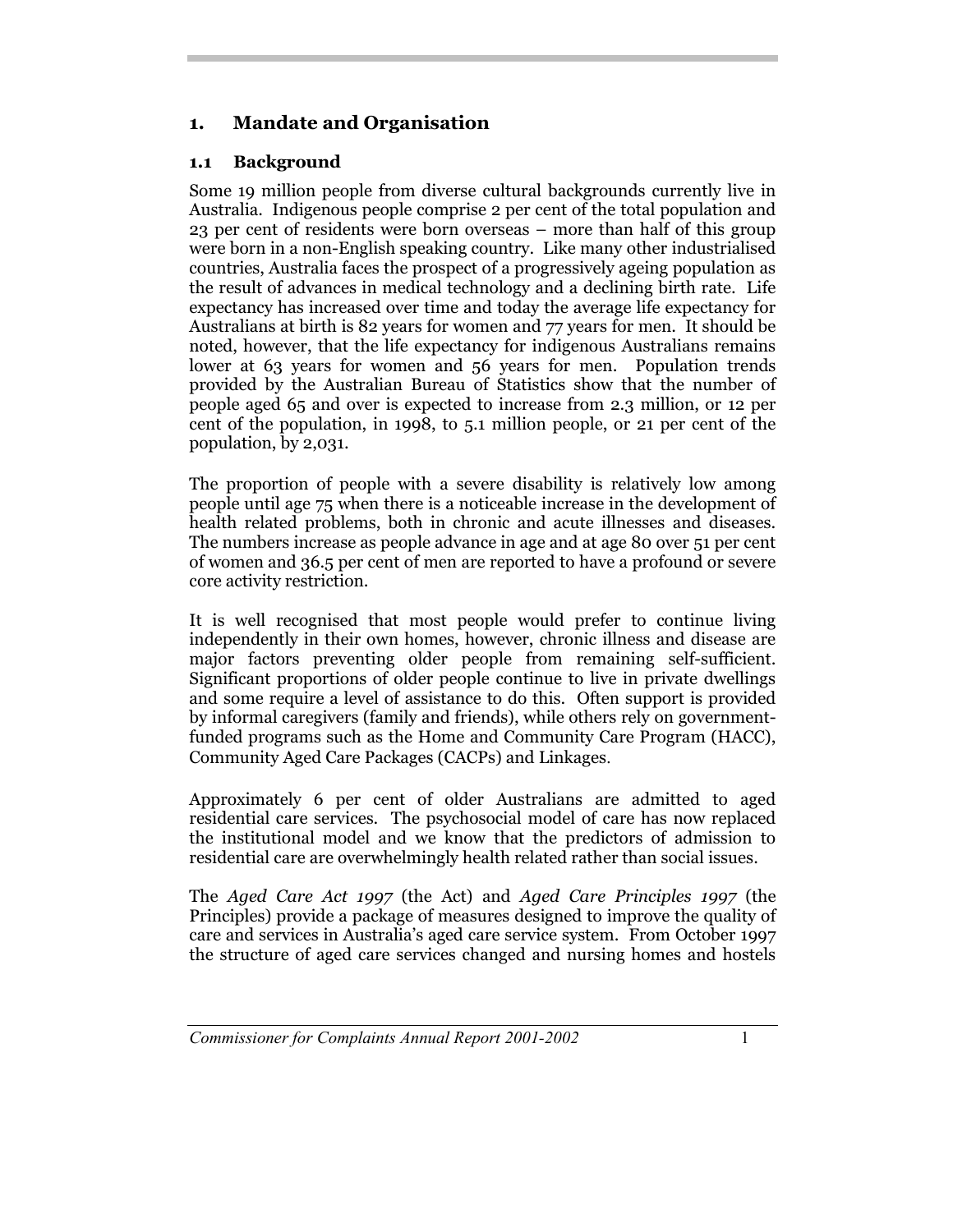## **1. Mandate and Organisation**

## **1.1 Background**

Some 19 million people from diverse cultural backgrounds currently live in Australia. Indigenous people comprise 2 per cent of the total population and 23 per cent of residents were born overseas – more than half of this group were born in a non-English speaking country. Like many other industrialised countries, Australia faces the prospect of a progressively ageing population as the result of advances in medical technology and a declining birth rate. Life expectancy has increased over time and today the average life expectancy for Australians at birth is 82 years for women and 77 years for men. It should be noted, however, that the life expectancy for indigenous Australians remains lower at 63 years for women and 56 years for men. Population trends provided by the Australian Bureau of Statistics show that the number of people aged 65 and over is expected to increase from 2.3 million, or 12 per cent of the population, in 1998, to 5.1 million people, or 21 per cent of the population, by 2,031.

The proportion of people with a severe disability is relatively low among people until age 75 when there is a noticeable increase in the development of health related problems, both in chronic and acute illnesses and diseases. The numbers increase as people advance in age and at age 80 over 51 per cent of women and 36.5 per cent of men are reported to have a profound or severe core activity restriction.

It is well recognised that most people would prefer to continue living independently in their own homes, however, chronic illness and disease are major factors preventing older people from remaining self-sufficient. Significant proportions of older people continue to live in private dwellings and some require a level of assistance to do this. Often support is provided by informal caregivers (family and friends), while others rely on governmentfunded programs such as the Home and Community Care Program (HACC), Community Aged Care Packages (CACPs) and Linkages.

Approximately 6 per cent of older Australians are admitted to aged residential care services. The psychosocial model of care has now replaced the institutional model and we know that the predictors of admission to residential care are overwhelmingly health related rather than social issues.

The *Aged Care Act 1997* (the Act) and *Aged Care Principles 1997* (the Principles) provide a package of measures designed to improve the quality of care and services in Australia's aged care service system. From October 1997 the structure of aged care services changed and nursing homes and hostels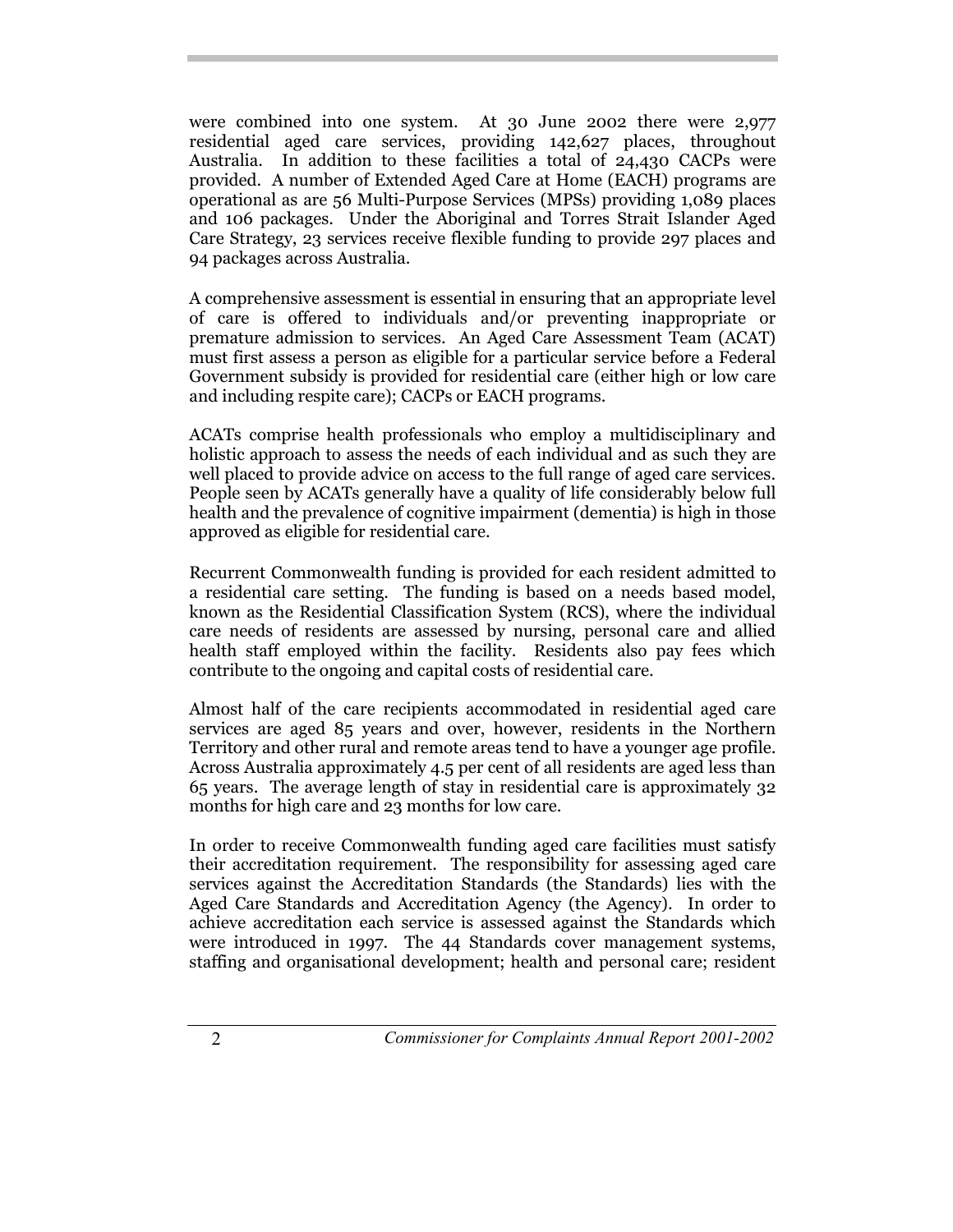were combined into one system. At 30 June 2002 there were 2,977 residential aged care services, providing 142,627 places, throughout Australia. In addition to these facilities a total of 24,430 CACPs were provided. A number of Extended Aged Care at Home (EACH) programs are operational as are 56 Multi-Purpose Services (MPSs) providing 1,089 places and 106 packages. Under the Aboriginal and Torres Strait Islander Aged Care Strategy, 23 services receive flexible funding to provide 297 places and 94 packages across Australia.

A comprehensive assessment is essential in ensuring that an appropriate level of care is offered to individuals and/or preventing inappropriate or premature admission to services. An Aged Care Assessment Team (ACAT) must first assess a person as eligible for a particular service before a Federal Government subsidy is provided for residential care (either high or low care and including respite care); CACPs or EACH programs.

ACATs comprise health professionals who employ a multidisciplinary and holistic approach to assess the needs of each individual and as such they are well placed to provide advice on access to the full range of aged care services. People seen by ACATs generally have a quality of life considerably below full health and the prevalence of cognitive impairment (dementia) is high in those approved as eligible for residential care.

Recurrent Commonwealth funding is provided for each resident admitted to a residential care setting. The funding is based on a needs based model, known as the Residential Classification System (RCS), where the individual care needs of residents are assessed by nursing, personal care and allied health staff employed within the facility. Residents also pay fees which contribute to the ongoing and capital costs of residential care.

Almost half of the care recipients accommodated in residential aged care services are aged 85 years and over, however, residents in the Northern Territory and other rural and remote areas tend to have a younger age profile. Across Australia approximately 4.5 per cent of all residents are aged less than 65 years. The average length of stay in residential care is approximately 32 months for high care and 23 months for low care.

In order to receive Commonwealth funding aged care facilities must satisfy their accreditation requirement. The responsibility for assessing aged care services against the Accreditation Standards (the Standards) lies with the Aged Care Standards and Accreditation Agency (the Agency). In order to achieve accreditation each service is assessed against the Standards which were introduced in 1997. The 44 Standards cover management systems, staffing and organisational development; health and personal care; resident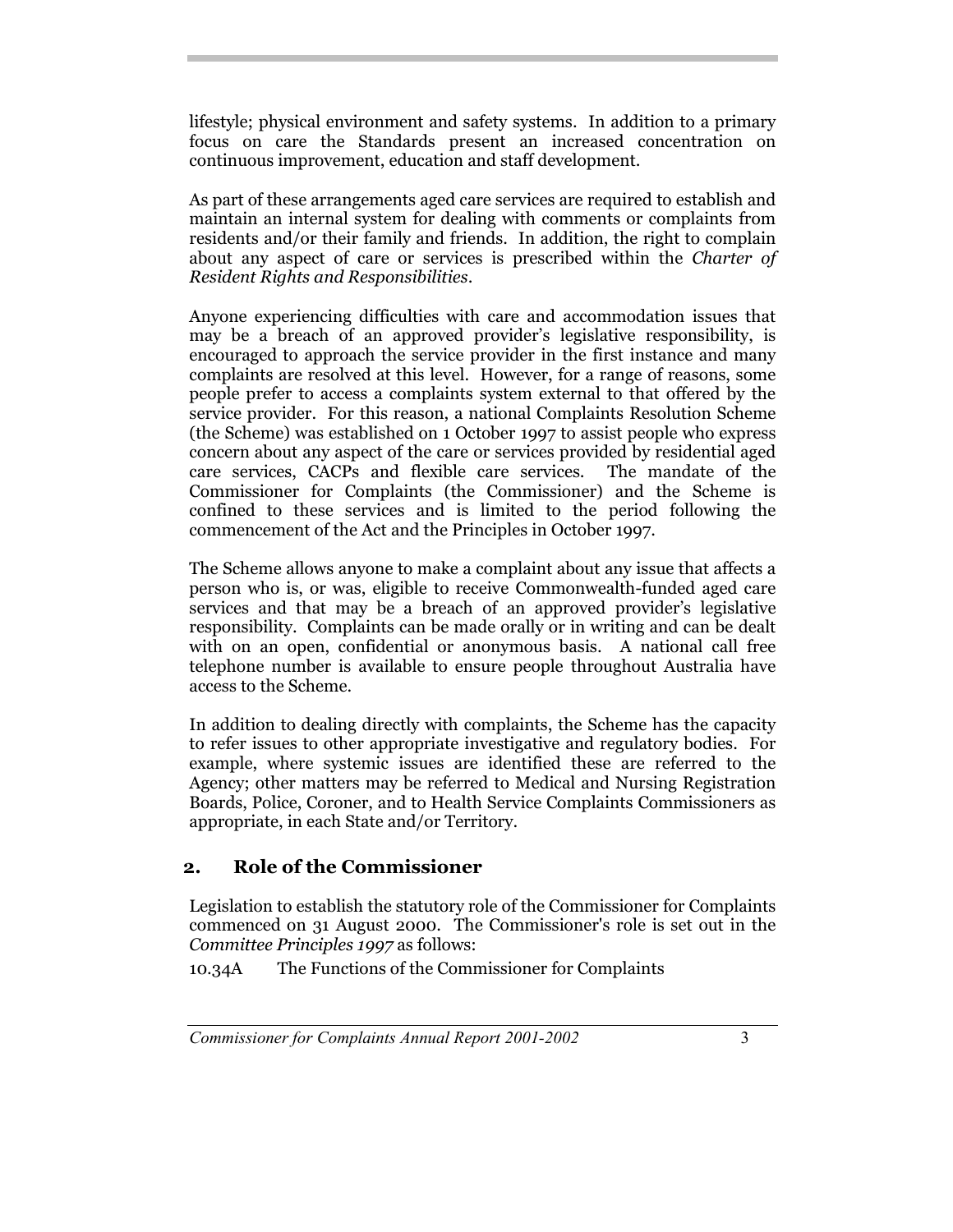lifestyle; physical environment and safety systems. In addition to a primary focus on care the Standards present an increased concentration on continuous improvement, education and staff development.

As part of these arrangements aged care services are required to establish and maintain an internal system for dealing with comments or complaints from residents and/or their family and friends. In addition, the right to complain about any aspect of care or services is prescribed within the *Charter of Resident Rights and Responsibilities*.

Anyone experiencing difficulties with care and accommodation issues that may be a breach of an approved provider's legislative responsibility, is encouraged to approach the service provider in the first instance and many complaints are resolved at this level. However, for a range of reasons, some people prefer to access a complaints system external to that offered by the service provider. For this reason, a national Complaints Resolution Scheme (the Scheme) was established on 1 October 1997 to assist people who express concern about any aspect of the care or services provided by residential aged care services, CACPs and flexible care services. The mandate of the Commissioner for Complaints (the Commissioner) and the Scheme is confined to these services and is limited to the period following the commencement of the Act and the Principles in October 1997.

The Scheme allows anyone to make a complaint about any issue that affects a person who is, or was, eligible to receive Commonwealth-funded aged care services and that may be a breach of an approved provider's legislative responsibility. Complaints can be made orally or in writing and can be dealt with on an open, confidential or anonymous basis. A national call free telephone number is available to ensure people throughout Australia have access to the Scheme.

In addition to dealing directly with complaints, the Scheme has the capacity to refer issues to other appropriate investigative and regulatory bodies. For example, where systemic issues are identified these are referred to the Agency; other matters may be referred to Medical and Nursing Registration Boards, Police, Coroner, and to Health Service Complaints Commissioners as appropriate, in each State and/or Territory.

## **2. Role of the Commissioner**

Legislation to establish the statutory role of the Commissioner for Complaints commenced on 31 August 2000. The Commissioner's role is set out in the *Committee Principles 1997* as follows:

10.34A The Functions of the Commissioner for Complaints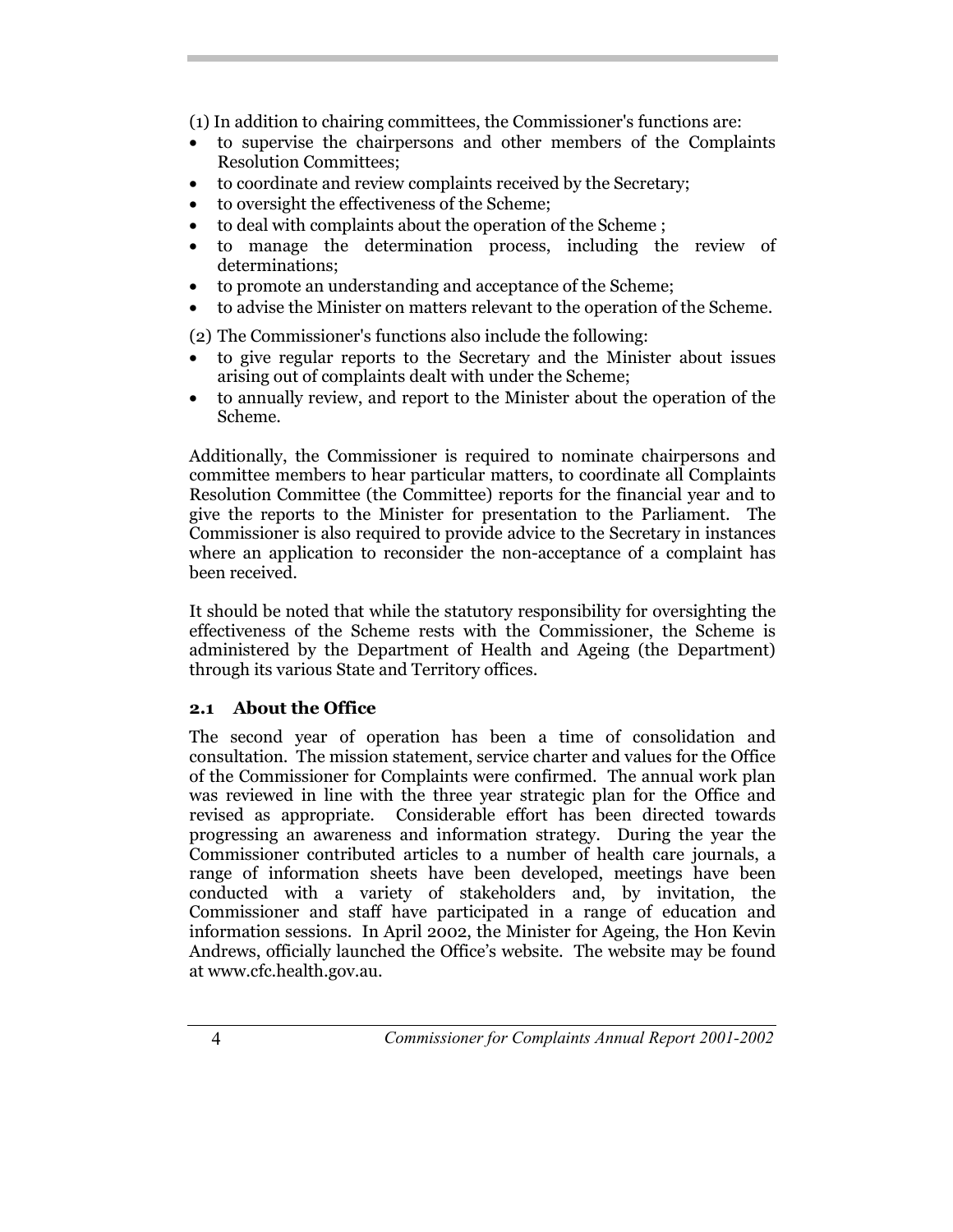(1) In addition to chairing committees, the Commissioner's functions are:

- to supervise the chairpersons and other members of the Complaints Resolution Committees;
- to coordinate and review complaints received by the Secretary;
- to oversight the effectiveness of the Scheme;
- to deal with complaints about the operation of the Scheme ;
- to manage the determination process, including the review of determinations;
- to promote an understanding and acceptance of the Scheme;
- to advise the Minister on matters relevant to the operation of the Scheme.

(2) The Commissioner's functions also include the following:

- to give regular reports to the Secretary and the Minister about issues arising out of complaints dealt with under the Scheme;
- to annually review, and report to the Minister about the operation of the Scheme.

Additionally, the Commissioner is required to nominate chairpersons and committee members to hear particular matters, to coordinate all Complaints Resolution Committee (the Committee) reports for the financial year and to give the reports to the Minister for presentation to the Parliament. The Commissioner is also required to provide advice to the Secretary in instances where an application to reconsider the non-acceptance of a complaint has been received.

It should be noted that while the statutory responsibility for oversighting the effectiveness of the Scheme rests with the Commissioner, the Scheme is administered by the Department of Health and Ageing (the Department) through its various State and Territory offices.

#### **2.1 About the Office**

The second year of operation has been a time of consolidation and consultation. The mission statement, service charter and values for the Office of the Commissioner for Complaints were confirmed. The annual work plan was reviewed in line with the three year strategic plan for the Office and revised as appropriate. Considerable effort has been directed towards progressing an awareness and information strategy. During the year the Commissioner contributed articles to a number of health care journals, a range of information sheets have been developed, meetings have been conducted with a variety of stakeholders and, by invitation, the Commissioner and staff have participated in a range of education and information sessions. In April 2002, the Minister for Ageing, the Hon Kevin Andrews, officially launched the Office's website. The website may be found at www.cfc.health.gov.au.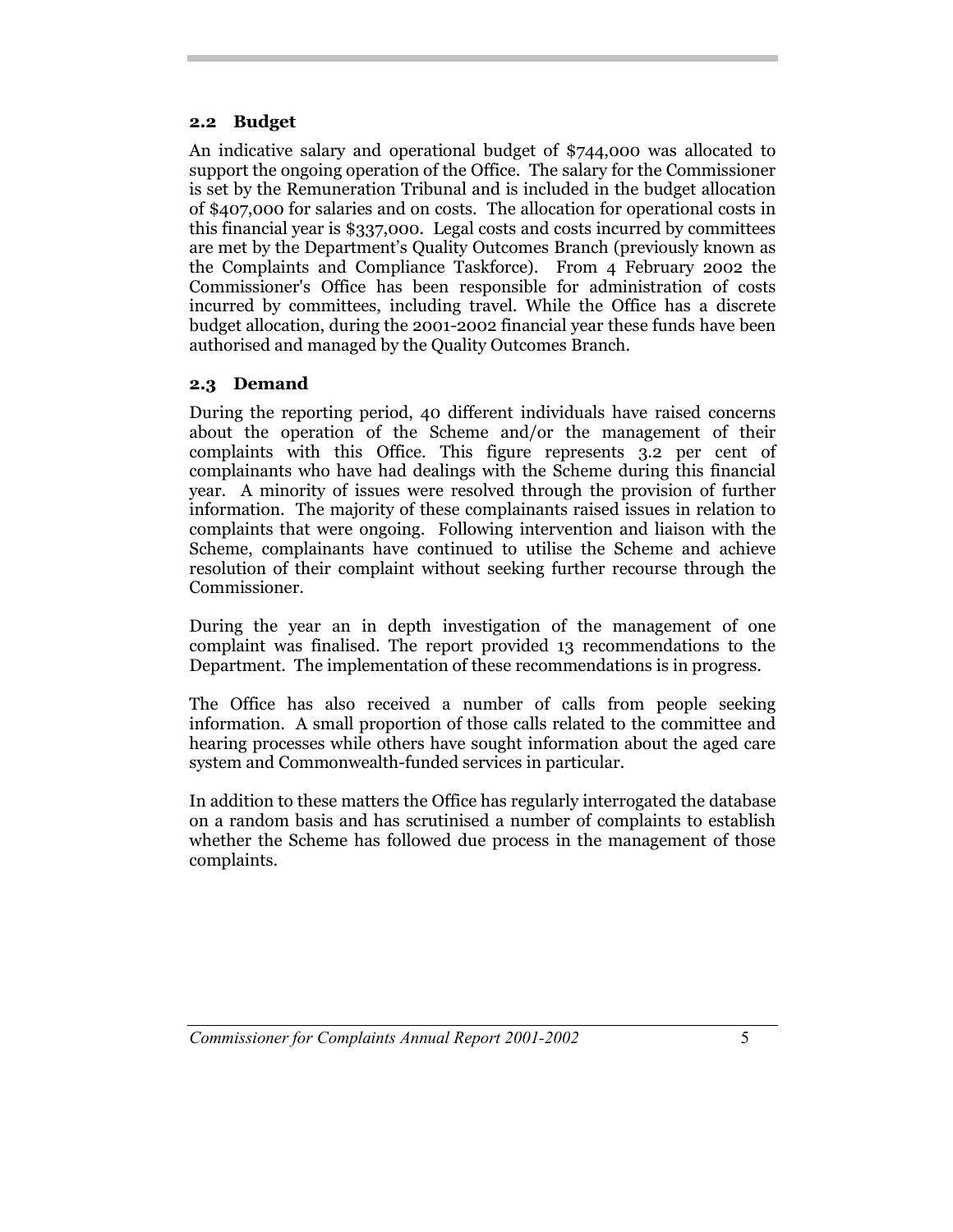#### **2.2 Budget**

An indicative salary and operational budget of \$744,000 was allocated to support the ongoing operation of the Office. The salary for the Commissioner is set by the Remuneration Tribunal and is included in the budget allocation of \$407,000 for salaries and on costs. The allocation for operational costs in this financial year is \$337,000. Legal costs and costs incurred by committees are met by the Department's Quality Outcomes Branch (previously known as the Complaints and Compliance Taskforce). From 4 February 2002 the Commissioner's Office has been responsible for administration of costs incurred by committees, including travel. While the Office has a discrete budget allocation, during the 2001-2002 financial year these funds have been authorised and managed by the Quality Outcomes Branch.

#### **2.3 Demand**

During the reporting period, 40 different individuals have raised concerns about the operation of the Scheme and/or the management of their complaints with this Office. This figure represents 3.2 per cent of complainants who have had dealings with the Scheme during this financial year. A minority of issues were resolved through the provision of further information. The majority of these complainants raised issues in relation to complaints that were ongoing. Following intervention and liaison with the Scheme, complainants have continued to utilise the Scheme and achieve resolution of their complaint without seeking further recourse through the Commissioner.

During the year an in depth investigation of the management of one complaint was finalised. The report provided 13 recommendations to the Department. The implementation of these recommendations is in progress.

The Office has also received a number of calls from people seeking information. A small proportion of those calls related to the committee and hearing processes while others have sought information about the aged care system and Commonwealth-funded services in particular.

In addition to these matters the Office has regularly interrogated the database on a random basis and has scrutinised a number of complaints to establish whether the Scheme has followed due process in the management of those complaints.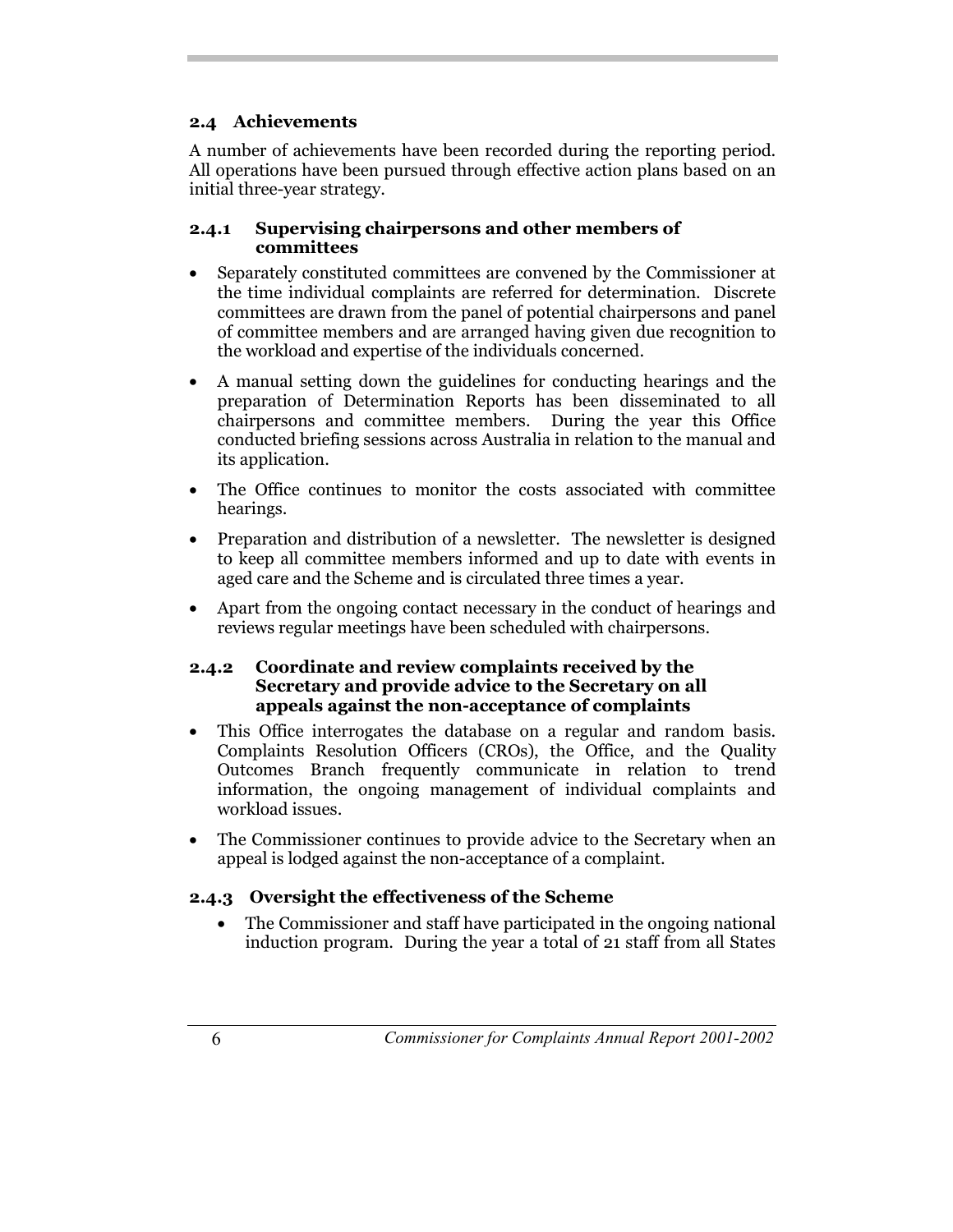## **2.4 Achievements**

A number of achievements have been recorded during the reporting period. All operations have been pursued through effective action plans based on an initial three-year strategy.

#### **2.4.1 Supervising chairpersons and other members of committees**

- Separately constituted committees are convened by the Commissioner at the time individual complaints are referred for determination. Discrete committees are drawn from the panel of potential chairpersons and panel of committee members and are arranged having given due recognition to the workload and expertise of the individuals concerned.
- A manual setting down the guidelines for conducting hearings and the preparation of Determination Reports has been disseminated to all chairpersons and committee members. During the year this Office conducted briefing sessions across Australia in relation to the manual and its application.
- The Office continues to monitor the costs associated with committee hearings.
- Preparation and distribution of a newsletter. The newsletter is designed to keep all committee members informed and up to date with events in aged care and the Scheme and is circulated three times a year.
- Apart from the ongoing contact necessary in the conduct of hearings and reviews regular meetings have been scheduled with chairpersons.

#### **2.4.2 Coordinate and review complaints received by the Secretary and provide advice to the Secretary on all appeals against the non-acceptance of complaints**

- This Office interrogates the database on a regular and random basis. Complaints Resolution Officers (CROs), the Office, and the Quality Outcomes Branch frequently communicate in relation to trend information, the ongoing management of individual complaints and workload issues.
- The Commissioner continues to provide advice to the Secretary when an appeal is lodged against the non-acceptance of a complaint.

## **2.4.3 Oversight the effectiveness of the Scheme**

 The Commissioner and staff have participated in the ongoing national induction program. During the year a total of 21 staff from all States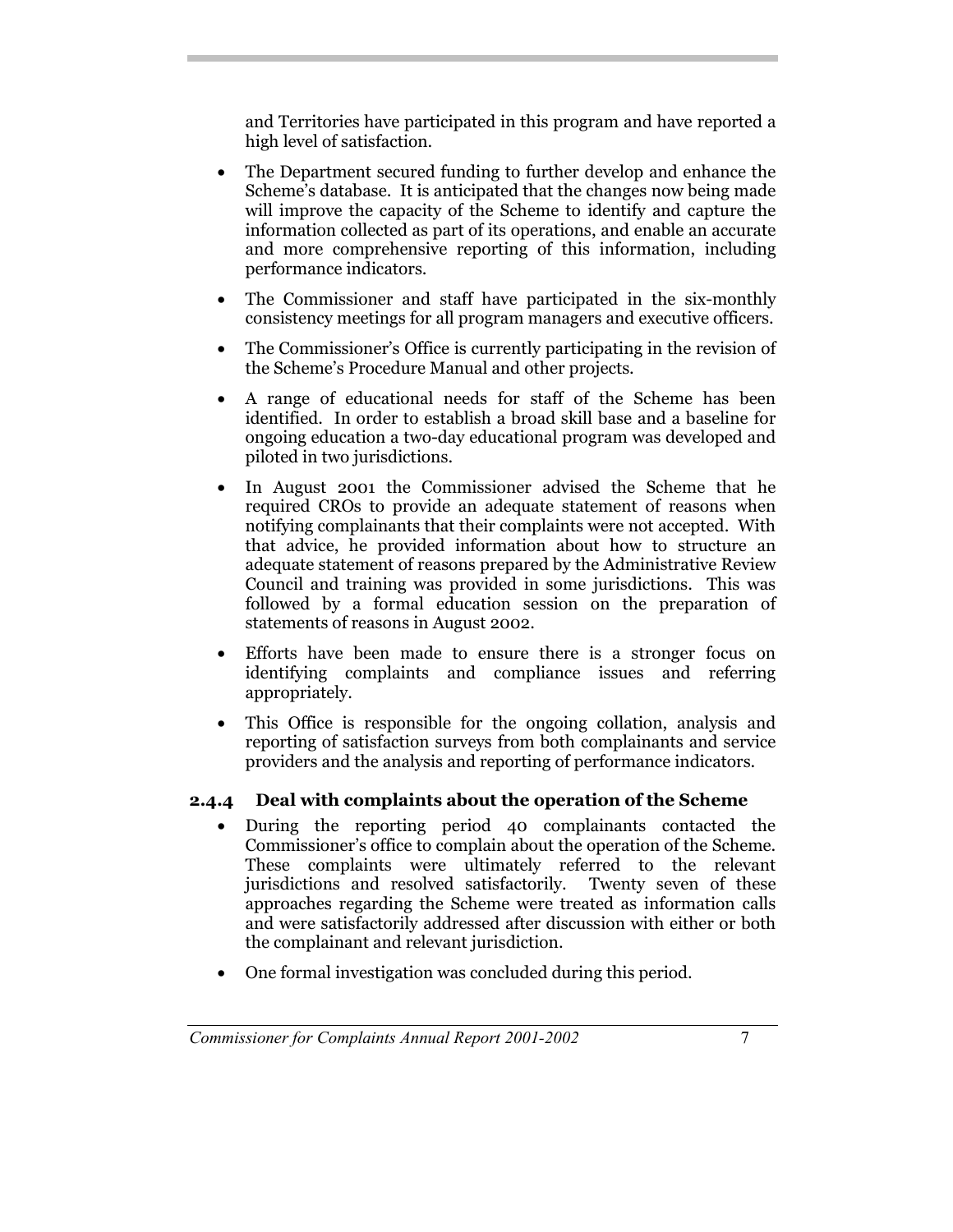and Territories have participated in this program and have reported a high level of satisfaction.

- The Department secured funding to further develop and enhance the Scheme's database. It is anticipated that the changes now being made will improve the capacity of the Scheme to identify and capture the information collected as part of its operations, and enable an accurate and more comprehensive reporting of this information, including performance indicators.
- The Commissioner and staff have participated in the six-monthly consistency meetings for all program managers and executive officers.
- The Commissioner's Office is currently participating in the revision of the Scheme's Procedure Manual and other projects.
- A range of educational needs for staff of the Scheme has been identified. In order to establish a broad skill base and a baseline for ongoing education a two-day educational program was developed and piloted in two jurisdictions.
- In August 2001 the Commissioner advised the Scheme that he required CROs to provide an adequate statement of reasons when notifying complainants that their complaints were not accepted. With that advice, he provided information about how to structure an adequate statement of reasons prepared by the Administrative Review Council and training was provided in some jurisdictions. This was followed by a formal education session on the preparation of statements of reasons in August 2002.
- Efforts have been made to ensure there is a stronger focus on identifying complaints and compliance issues and referring appropriately.
- This Office is responsible for the ongoing collation, analysis and reporting of satisfaction surveys from both complainants and service providers and the analysis and reporting of performance indicators.

## **2.4.4 Deal with complaints about the operation of the Scheme**

- During the reporting period 40 complainants contacted the Commissioner's office to complain about the operation of the Scheme. These complaints were ultimately referred to the relevant jurisdictions and resolved satisfactorily. Twenty seven of these approaches regarding the Scheme were treated as information calls and were satisfactorily addressed after discussion with either or both the complainant and relevant jurisdiction.
- One formal investigation was concluded during this period.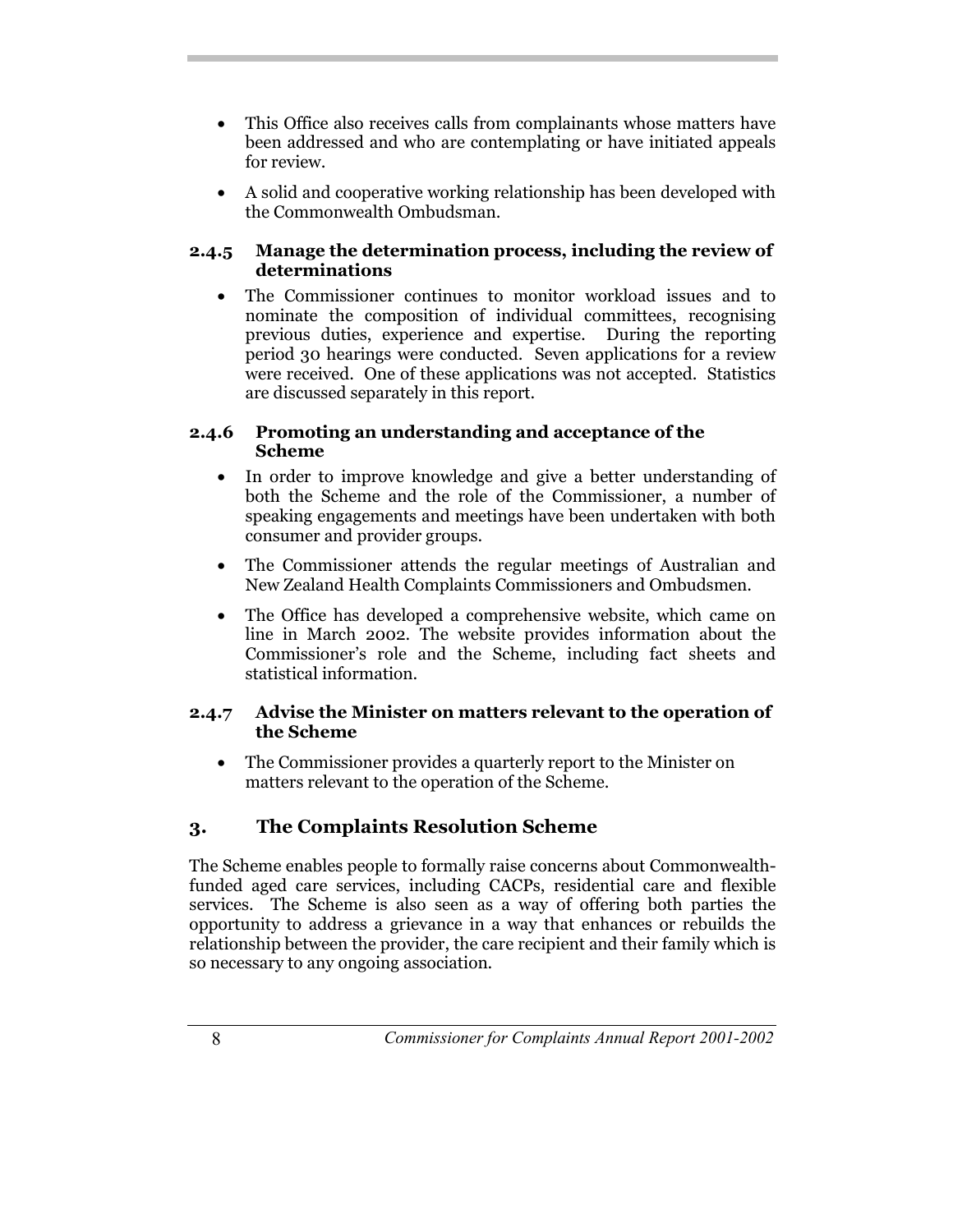- This Office also receives calls from complainants whose matters have been addressed and who are contemplating or have initiated appeals for review.
- A solid and cooperative working relationship has been developed with the Commonwealth Ombudsman.

#### **2.4.5 Manage the determination process, including the review of determinations**

 The Commissioner continues to monitor workload issues and to nominate the composition of individual committees, recognising previous duties, experience and expertise*.* During the reporting period 30 hearings were conducted. Seven applications for a review were received. One of these applications was not accepted. Statistics are discussed separately in this report.

#### **2.4.6 Promoting an understanding and acceptance of the Scheme**

- In order to improve knowledge and give a better understanding of both the Scheme and the role of the Commissioner, a number of speaking engagements and meetings have been undertaken with both consumer and provider groups.
- The Commissioner attends the regular meetings of Australian and New Zealand Health Complaints Commissioners and Ombudsmen.
- The Office has developed a comprehensive website, which came on line in March 2002. The website provides information about the Commissioner's role and the Scheme, including fact sheets and statistical information.

#### **2.4.7 Advise the Minister on matters relevant to the operation of the Scheme**

 The Commissioner provides a quarterly report to the Minister on matters relevant to the operation of the Scheme.

## **3. The Complaints Resolution Scheme**

The Scheme enables people to formally raise concerns about Commonwealthfunded aged care services, including CACPs, residential care and flexible services. The Scheme is also seen as a way of offering both parties the opportunity to address a grievance in a way that enhances or rebuilds the relationship between the provider, the care recipient and their family which is so necessary to any ongoing association.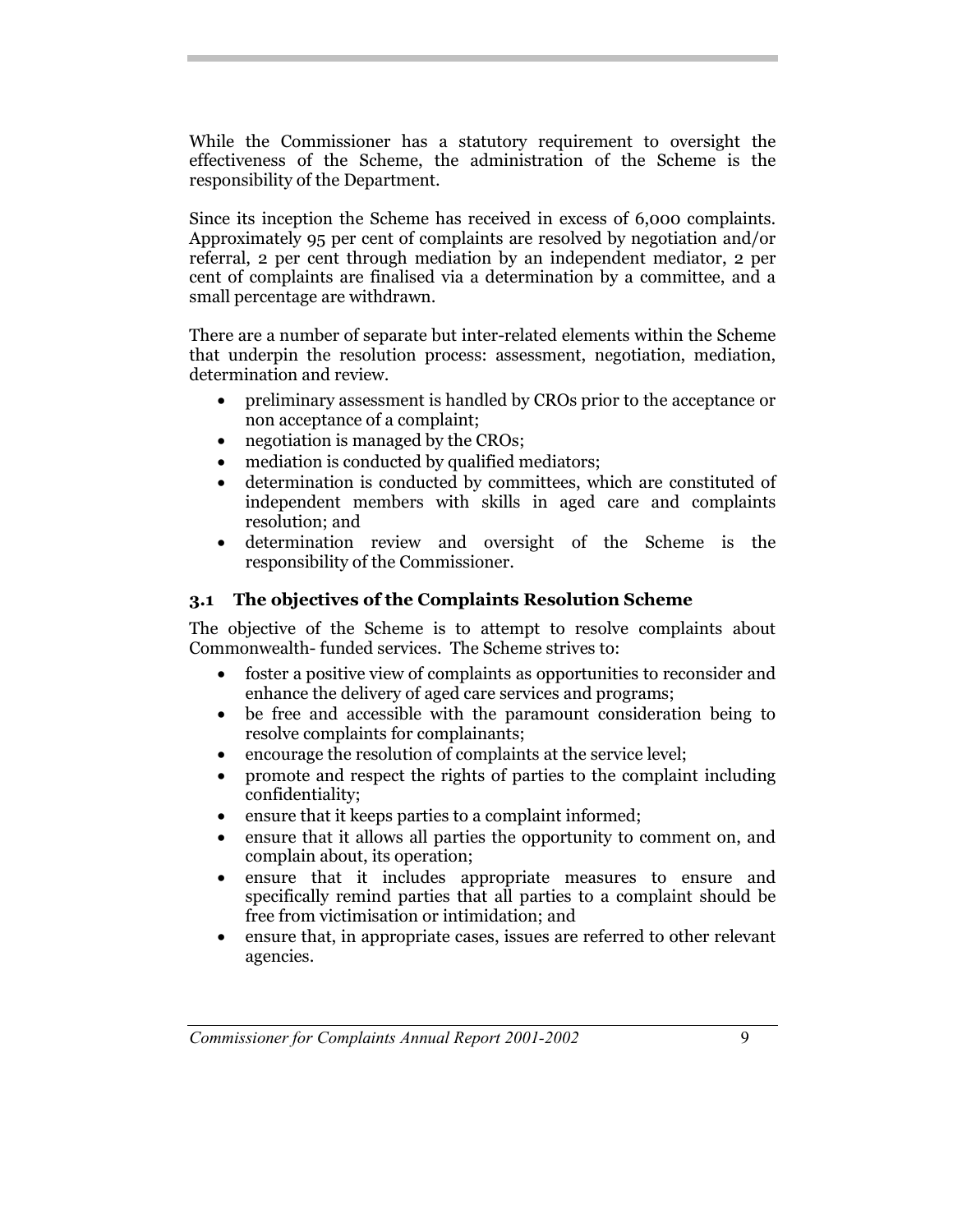While the Commissioner has a statutory requirement to oversight the effectiveness of the Scheme, the administration of the Scheme is the responsibility of the Department.

Since its inception the Scheme has received in excess of 6,000 complaints. Approximately 95 per cent of complaints are resolved by negotiation and/or referral, 2 per cent through mediation by an independent mediator, 2 per cent of complaints are finalised via a determination by a committee, and a small percentage are withdrawn.

There are a number of separate but inter-related elements within the Scheme that underpin the resolution process: assessment, negotiation, mediation, determination and review.

- preliminary assessment is handled by CROs prior to the acceptance or non acceptance of a complaint;
- negotiation is managed by the CROs;
- mediation is conducted by qualified mediators;
- determination is conducted by committees, which are constituted of independent members with skills in aged care and complaints resolution; and
- determination review and oversight of the Scheme is the responsibility of the Commissioner.

#### **3.1 The objectives of the Complaints Resolution Scheme**

The objective of the Scheme is to attempt to resolve complaints about Commonwealth- funded services. The Scheme strives to:

- foster a positive view of complaints as opportunities to reconsider and enhance the delivery of aged care services and programs;
- be free and accessible with the paramount consideration being to resolve complaints for complainants;
- encourage the resolution of complaints at the service level;
- promote and respect the rights of parties to the complaint including confidentiality;
- ensure that it keeps parties to a complaint informed;
- ensure that it allows all parties the opportunity to comment on, and complain about, its operation;
- ensure that it includes appropriate measures to ensure and specifically remind parties that all parties to a complaint should be free from victimisation or intimidation; and
- ensure that, in appropriate cases, issues are referred to other relevant agencies.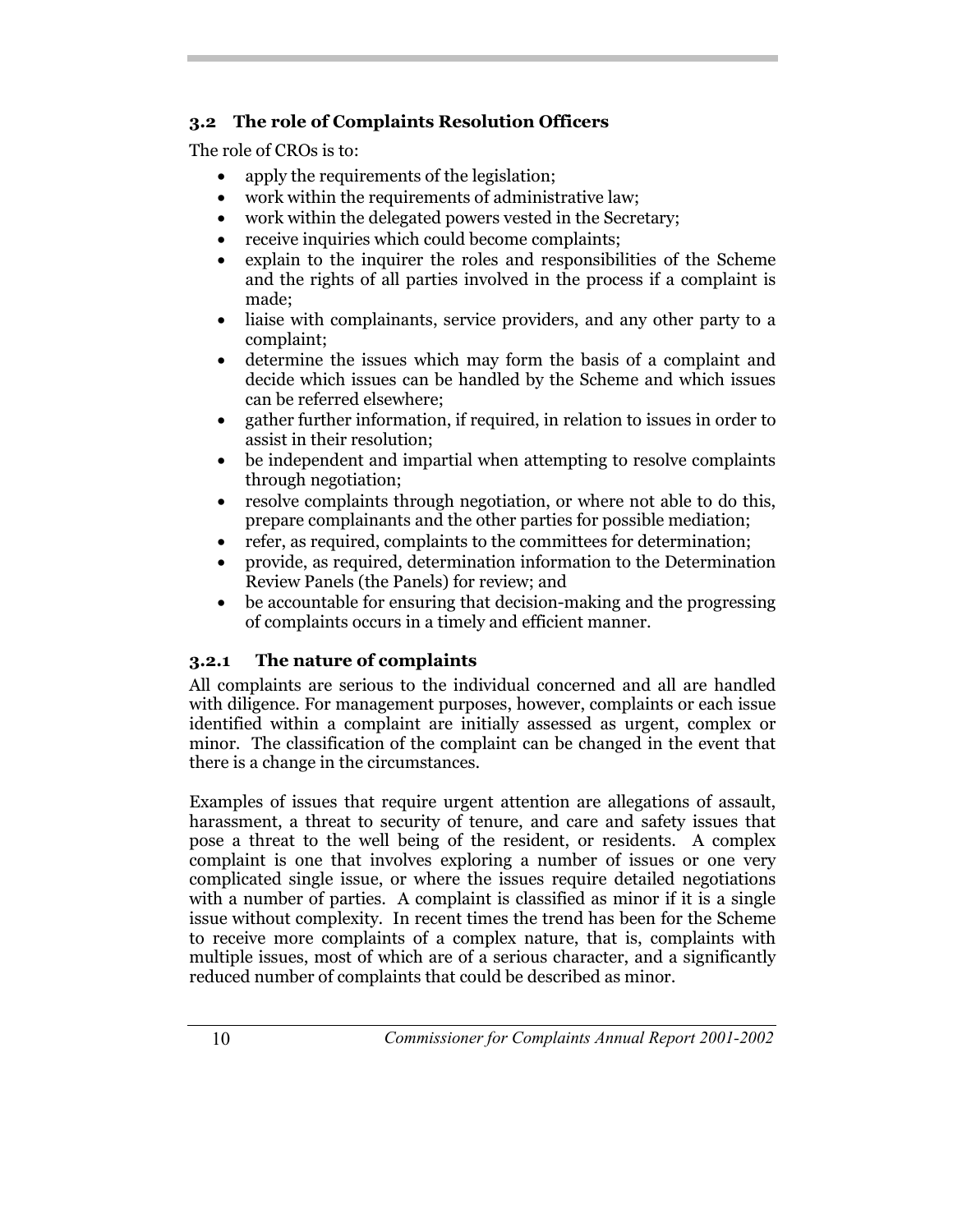## **3.2 The role of Complaints Resolution Officers**

The role of CROs is to:

- apply the requirements of the legislation;
- work within the requirements of administrative law;
- work within the delegated powers vested in the Secretary;
- receive inquiries which could become complaints;
- explain to the inquirer the roles and responsibilities of the Scheme and the rights of all parties involved in the process if a complaint is made;
- liaise with complainants, service providers, and any other party to a complaint;
- determine the issues which may form the basis of a complaint and decide which issues can be handled by the Scheme and which issues can be referred elsewhere;
- gather further information, if required, in relation to issues in order to assist in their resolution;
- be independent and impartial when attempting to resolve complaints through negotiation;
- resolve complaints through negotiation, or where not able to do this, prepare complainants and the other parties for possible mediation;
- refer, as required, complaints to the committees for determination;
- provide, as required, determination information to the Determination Review Panels (the Panels) for review; and
- be accountable for ensuring that decision-making and the progressing of complaints occurs in a timely and efficient manner.

## **3.2.1 The nature of complaints**

All complaints are serious to the individual concerned and all are handled with diligence. For management purposes, however, complaints or each issue identified within a complaint are initially assessed as urgent, complex or minor. The classification of the complaint can be changed in the event that there is a change in the circumstances.

Examples of issues that require urgent attention are allegations of assault, harassment, a threat to security of tenure, and care and safety issues that pose a threat to the well being of the resident, or residents. A complex complaint is one that involves exploring a number of issues or one very complicated single issue, or where the issues require detailed negotiations with a number of parties. A complaint is classified as minor if it is a single issue without complexity. In recent times the trend has been for the Scheme to receive more complaints of a complex nature, that is, complaints with multiple issues, most of which are of a serious character, and a significantly reduced number of complaints that could be described as minor.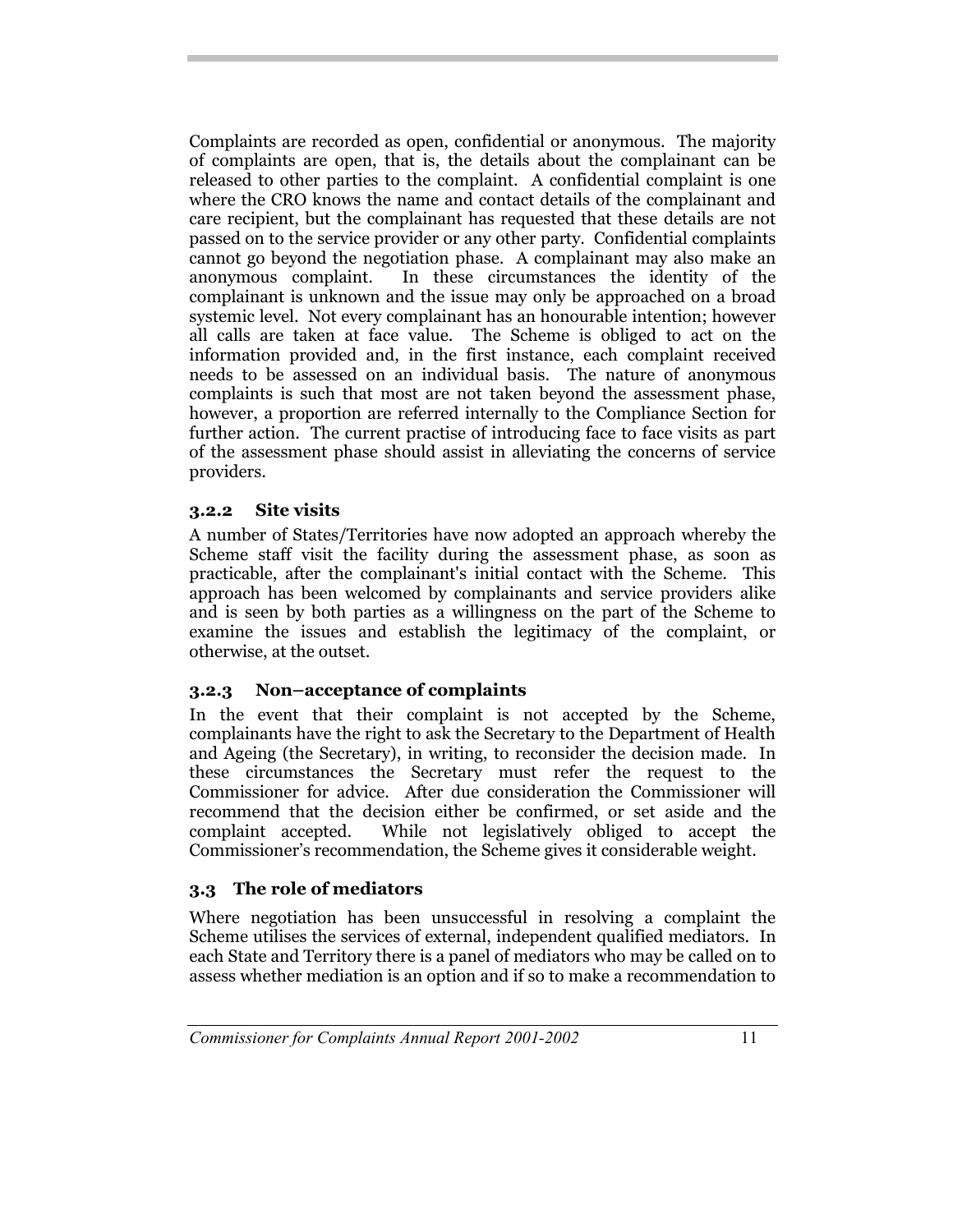Complaints are recorded as open, confidential or anonymous. The majority of complaints are open, that is, the details about the complainant can be released to other parties to the complaint. A confidential complaint is one where the CRO knows the name and contact details of the complainant and care recipient, but the complainant has requested that these details are not passed on to the service provider or any other party. Confidential complaints cannot go beyond the negotiation phase. A complainant may also make an anonymous complaint. In these circumstances the identity of the complainant is unknown and the issue may only be approached on a broad systemic level. Not every complainant has an honourable intention; however all calls are taken at face value. The Scheme is obliged to act on the information provided and, in the first instance, each complaint received needs to be assessed on an individual basis. The nature of anonymous complaints is such that most are not taken beyond the assessment phase, however, a proportion are referred internally to the Compliance Section for further action. The current practise of introducing face to face visits as part of the assessment phase should assist in alleviating the concerns of service providers.

#### **3.2.2 Site visits**

A number of States/Territories have now adopted an approach whereby the Scheme staff visit the facility during the assessment phase, as soon as practicable, after the complainant's initial contact with the Scheme. This approach has been welcomed by complainants and service providers alike and is seen by both parties as a willingness on the part of the Scheme to examine the issues and establish the legitimacy of the complaint, or otherwise, at the outset.

#### **3.2.3 Non–acceptance of complaints**

In the event that their complaint is not accepted by the Scheme, complainants have the right to ask the Secretary to the Department of Health and Ageing (the Secretary), in writing, to reconsider the decision made. In these circumstances the Secretary must refer the request to the Commissioner for advice. After due consideration the Commissioner will recommend that the decision either be confirmed, or set aside and the complaint accepted. While not legislatively obliged to accept the Commissioner's recommendation, the Scheme gives it considerable weight.

#### **3.3 The role of mediators**

Where negotiation has been unsuccessful in resolving a complaint the Scheme utilises the services of external, independent qualified mediators. In each State and Territory there is a panel of mediators who may be called on to assess whether mediation is an option and if so to make a recommendation to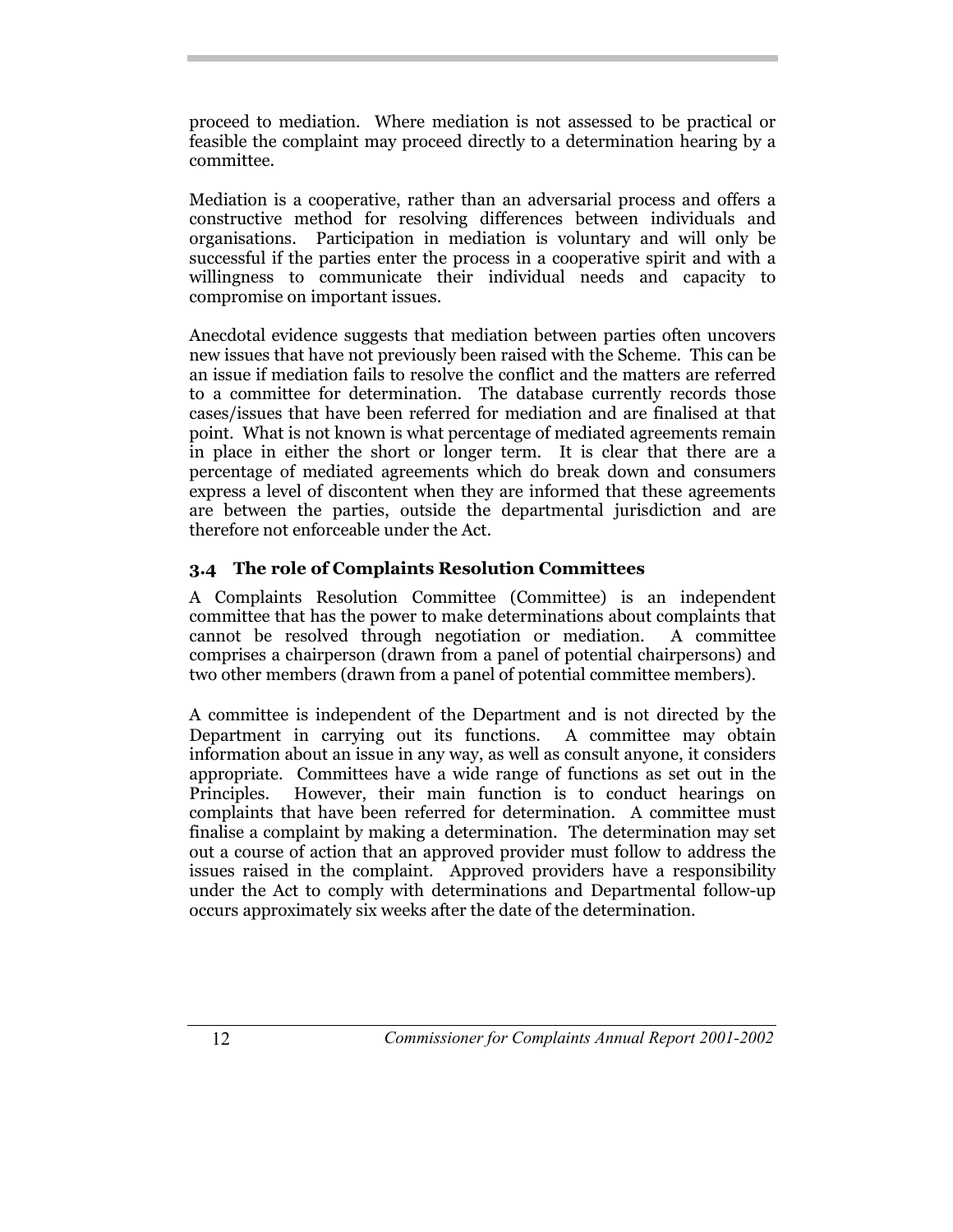proceed to mediation. Where mediation is not assessed to be practical or feasible the complaint may proceed directly to a determination hearing by a committee.

Mediation is a cooperative, rather than an adversarial process and offers a constructive method for resolving differences between individuals and organisations. Participation in mediation is voluntary and will only be successful if the parties enter the process in a cooperative spirit and with a willingness to communicate their individual needs and capacity to compromise on important issues.

Anecdotal evidence suggests that mediation between parties often uncovers new issues that have not previously been raised with the Scheme. This can be an issue if mediation fails to resolve the conflict and the matters are referred to a committee for determination. The database currently records those cases/issues that have been referred for mediation and are finalised at that point. What is not known is what percentage of mediated agreements remain in place in either the short or longer term. It is clear that there are a percentage of mediated agreements which do break down and consumers express a level of discontent when they are informed that these agreements are between the parties, outside the departmental jurisdiction and are therefore not enforceable under the Act.

## **3.4 The role of Complaints Resolution Committees**

A Complaints Resolution Committee (Committee) is an independent committee that has the power to make determinations about complaints that cannot be resolved through negotiation or mediation. A committee comprises a chairperson (drawn from a panel of potential chairpersons) and two other members (drawn from a panel of potential committee members).

A committee is independent of the Department and is not directed by the Department in carrying out its functions. A committee may obtain information about an issue in any way, as well as consult anyone, it considers appropriate. Committees have a wide range of functions as set out in the Principles. However, their main function is to conduct hearings on complaints that have been referred for determination. A committee must finalise a complaint by making a determination. The determination may set out a course of action that an approved provider must follow to address the issues raised in the complaint. Approved providers have a responsibility under the Act to comply with determinations and Departmental follow-up occurs approximately six weeks after the date of the determination.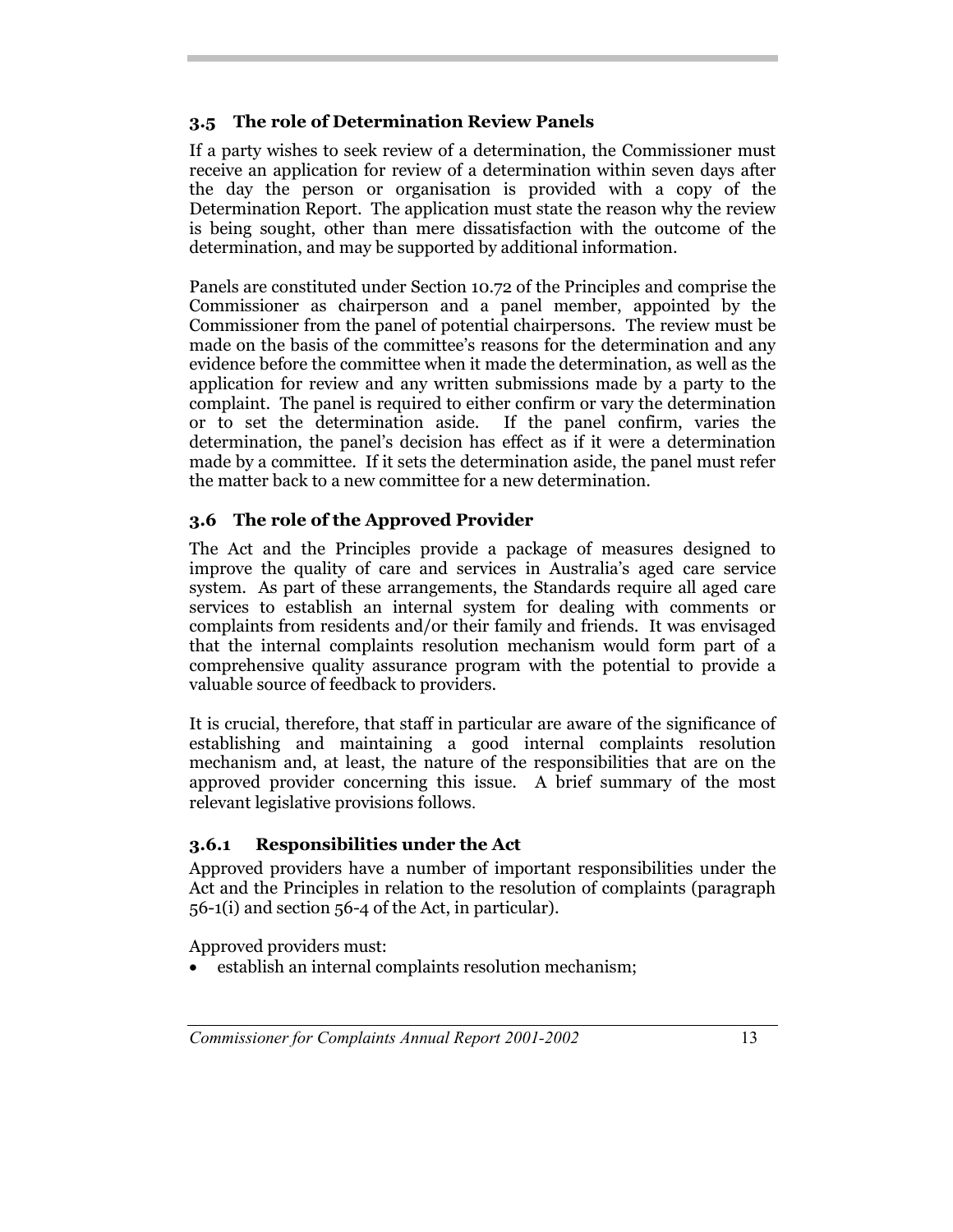## **3.5 The role of Determination Review Panels**

If a party wishes to seek review of a determination, the Commissioner must receive an application for review of a determination within seven days after the day the person or organisation is provided with a copy of the Determination Report. The application must state the reason why the review is being sought, other than mere dissatisfaction with the outcome of the determination, and may be supported by additional information.

Panels are constituted under Section 10.72 of the Principle*s* and comprise the Commissioner as chairperson and a panel member, appointed by the Commissioner from the panel of potential chairpersons. The review must be made on the basis of the committee's reasons for the determination and any evidence before the committee when it made the determination, as well as the application for review and any written submissions made by a party to the complaint. The panel is required to either confirm or vary the determination or to set the determination aside. If the panel confirm, varies the determination, the panel's decision has effect as if it were a determination made by a committee. If it sets the determination aside, the panel must refer the matter back to a new committee for a new determination.

## **3.6 The role of the Approved Provider**

The Act and the Principles provide a package of measures designed to improve the quality of care and services in Australia's aged care service system. As part of these arrangements, the Standards require all aged care services to establish an internal system for dealing with comments or complaints from residents and/or their family and friends. It was envisaged that the internal complaints resolution mechanism would form part of a comprehensive quality assurance program with the potential to provide a valuable source of feedback to providers.

It is crucial, therefore, that staff in particular are aware of the significance of establishing and maintaining a good internal complaints resolution mechanism and, at least, the nature of the responsibilities that are on the approved provider concerning this issue. A brief summary of the most relevant legislative provisions follows.

## **3.6.1 Responsibilities under the Act**

Approved providers have a number of important responsibilities under the Act and the Principles in relation to the resolution of complaints (paragraph 56-1(i) and section 56-4 of the Act, in particular).

Approved providers must:

establish an internal complaints resolution mechanism;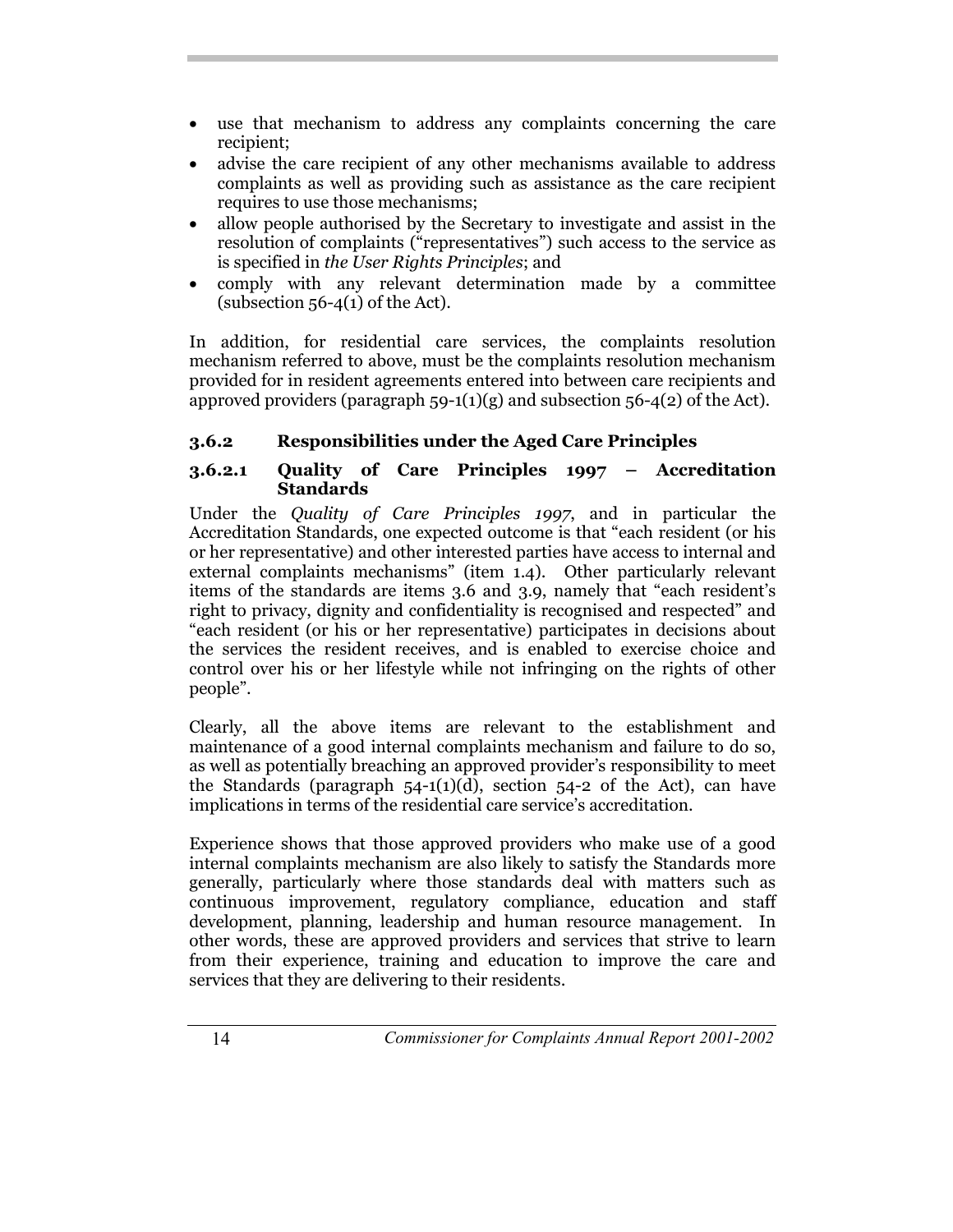- use that mechanism to address any complaints concerning the care recipient;
- advise the care recipient of any other mechanisms available to address complaints as well as providing such as assistance as the care recipient requires to use those mechanisms;
- allow people authorised by the Secretary to investigate and assist in the resolution of complaints ("representatives") such access to the service as is specified in *the User Rights Principles*; and
- comply with any relevant determination made by a committee (subsection  $56-4(1)$  of the Act).

In addition, for residential care services, the complaints resolution mechanism referred to above, must be the complaints resolution mechanism provided for in resident agreements entered into between care recipients and approved providers (paragraph  $59-1(1)(g)$  and subsection  $56-4(2)$  of the Act).

## **3.6.2 Responsibilities under the Aged Care Principles**

#### **3.6.2.1 Quality of Care Principles 1997 – Accreditation Standards**

Under the *Quality of Care Principles 1997*, and in particular the Accreditation Standards, one expected outcome is that "each resident (or his or her representative) and other interested parties have access to internal and external complaints mechanisms" (item 1.4). Other particularly relevant items of the standards are items 3.6 and 3.9, namely that "each resident's right to privacy, dignity and confidentiality is recognised and respected" and "each resident (or his or her representative) participates in decisions about the services the resident receives, and is enabled to exercise choice and control over his or her lifestyle while not infringing on the rights of other people".

Clearly, all the above items are relevant to the establishment and maintenance of a good internal complaints mechanism and failure to do so, as well as potentially breaching an approved provider's responsibility to meet the Standards (paragraph  $54-1(1)(d)$ , section  $54-2$  of the Act), can have implications in terms of the residential care service's accreditation.

Experience shows that those approved providers who make use of a good internal complaints mechanism are also likely to satisfy the Standards more generally, particularly where those standards deal with matters such as continuous improvement, regulatory compliance, education and staff development, planning, leadership and human resource management. In other words, these are approved providers and services that strive to learn from their experience, training and education to improve the care and services that they are delivering to their residents.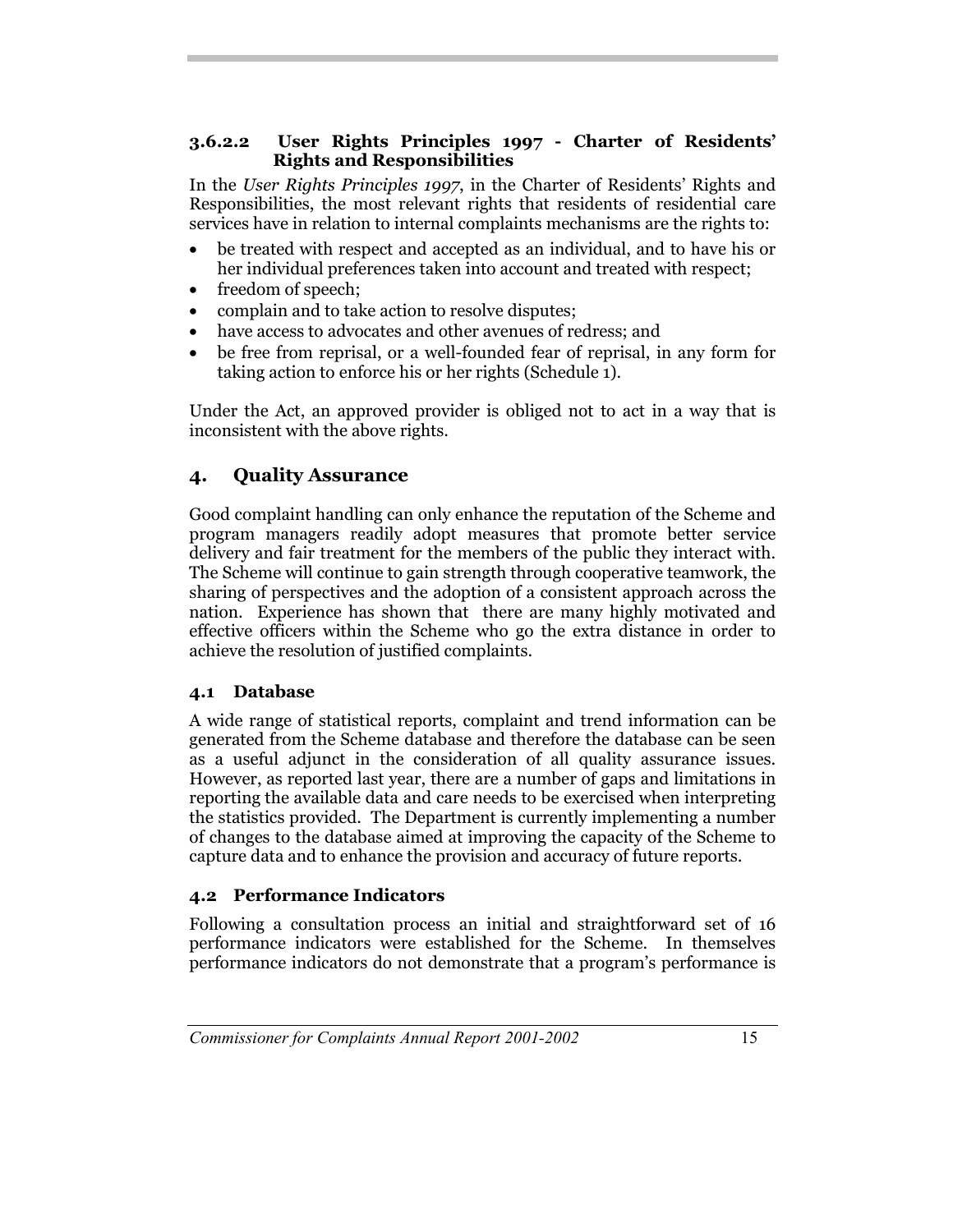#### **3.6.2.2 User Rights Principles 1997 - Charter of Residents' Rights and Responsibilities**

In the *User Rights Principles 1997*, in the Charter of Residents' Rights and Responsibilities, the most relevant rights that residents of residential care services have in relation to internal complaints mechanisms are the rights to:

- be treated with respect and accepted as an individual, and to have his or her individual preferences taken into account and treated with respect;
- freedom of speech;
- complain and to take action to resolve disputes;
- have access to advocates and other avenues of redress; and
- be free from reprisal, or a well-founded fear of reprisal, in any form for taking action to enforce his or her rights (Schedule 1).

Under the Act, an approved provider is obliged not to act in a way that is inconsistent with the above rights.

## **4. Quality Assurance**

Good complaint handling can only enhance the reputation of the Scheme and program managers readily adopt measures that promote better service delivery and fair treatment for the members of the public they interact with. The Scheme will continue to gain strength through cooperative teamwork, the sharing of perspectives and the adoption of a consistent approach across the nation. Experience has shown that there are many highly motivated and effective officers within the Scheme who go the extra distance in order to achieve the resolution of justified complaints.

#### **4.1 Database**

A wide range of statistical reports, complaint and trend information can be generated from the Scheme database and therefore the database can be seen as a useful adjunct in the consideration of all quality assurance issues. However, as reported last year, there are a number of gaps and limitations in reporting the available data and care needs to be exercised when interpreting the statistics provided. The Department is currently implementing a number of changes to the database aimed at improving the capacity of the Scheme to capture data and to enhance the provision and accuracy of future reports.

## **4.2 Performance Indicators**

Following a consultation process an initial and straightforward set of 16 performance indicators were established for the Scheme. In themselves performance indicators do not demonstrate that a program's performance is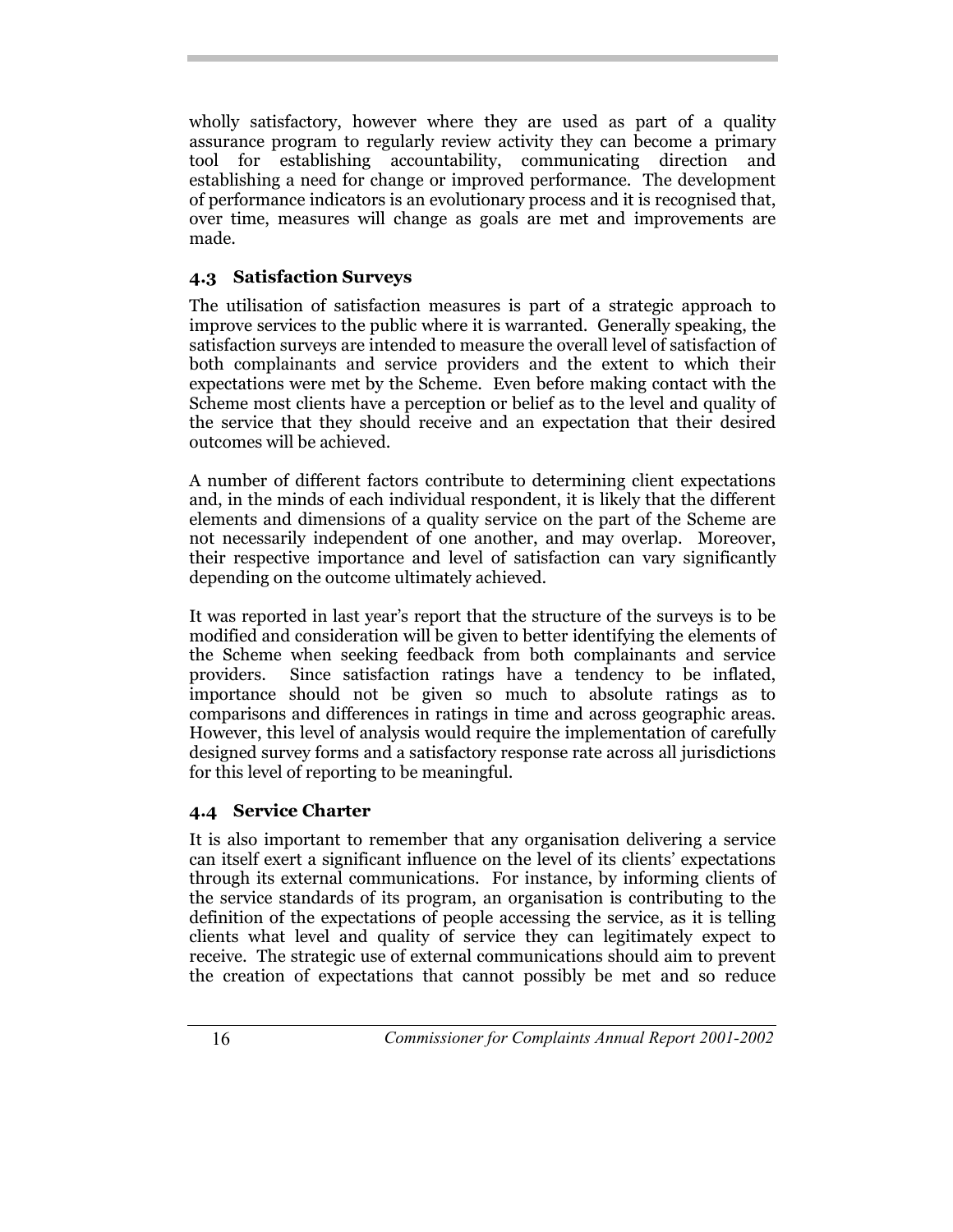wholly satisfactory, however where they are used as part of a quality assurance program to regularly review activity they can become a primary tool for establishing accountability, communicating direction and establishing a need for change or improved performance. The development of performance indicators is an evolutionary process and it is recognised that, over time, measures will change as goals are met and improvements are made.

## **4.3 Satisfaction Surveys**

The utilisation of satisfaction measures is part of a strategic approach to improve services to the public where it is warranted. Generally speaking, the satisfaction surveys are intended to measure the overall level of satisfaction of both complainants and service providers and the extent to which their expectations were met by the Scheme. Even before making contact with the Scheme most clients have a perception or belief as to the level and quality of the service that they should receive and an expectation that their desired outcomes will be achieved.

A number of different factors contribute to determining client expectations and, in the minds of each individual respondent, it is likely that the different elements and dimensions of a quality service on the part of the Scheme are not necessarily independent of one another, and may overlap. Moreover, their respective importance and level of satisfaction can vary significantly depending on the outcome ultimately achieved.

It was reported in last year's report that the structure of the surveys is to be modified and consideration will be given to better identifying the elements of the Scheme when seeking feedback from both complainants and service providers. Since satisfaction ratings have a tendency to be inflated, importance should not be given so much to absolute ratings as to comparisons and differences in ratings in time and across geographic areas. However, this level of analysis would require the implementation of carefully designed survey forms and a satisfactory response rate across all jurisdictions for this level of reporting to be meaningful.

## **4.4 Service Charter**

It is also important to remember that any organisation delivering a service can itself exert a significant influence on the level of its clients' expectations through its external communications. For instance, by informing clients of the service standards of its program, an organisation is contributing to the definition of the expectations of people accessing the service, as it is telling clients what level and quality of service they can legitimately expect to receive. The strategic use of external communications should aim to prevent the creation of expectations that cannot possibly be met and so reduce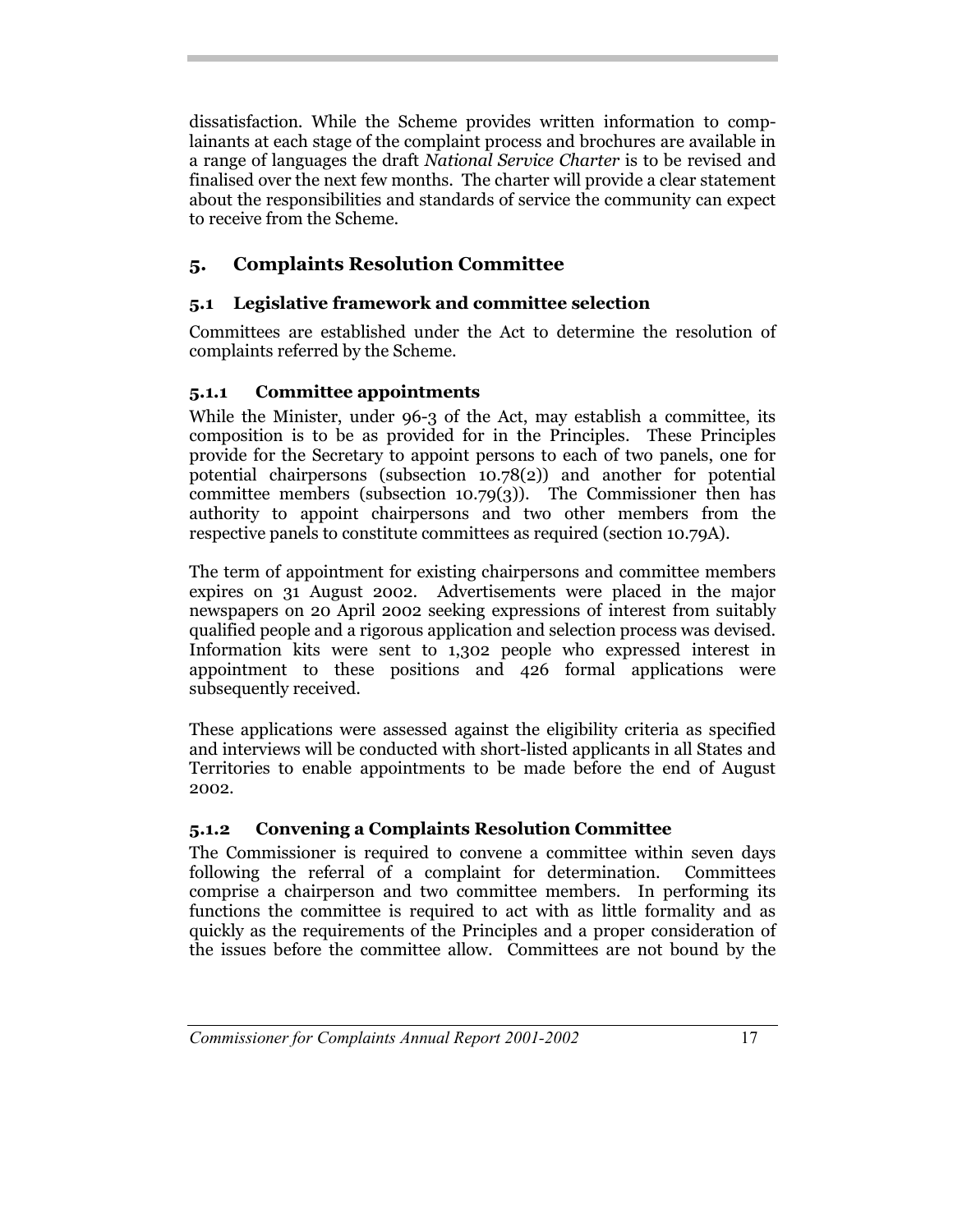dissatisfaction. While the Scheme provides written information to complainants at each stage of the complaint process and brochures are available in a range of languages the draft *National Service Charter* is to be revised and finalised over the next few months. The charter will provide a clear statement about the responsibilities and standards of service the community can expect to receive from the Scheme.

## **5. Complaints Resolution Committee**

## **5.1 Legislative framework and committee selection**

Committees are established under the Act to determine the resolution of complaints referred by the Scheme.

## **5.1.1 Committee appointments**

While the Minister, under 96-3 of the Act, may establish a committee, its composition is to be as provided for in the Principles. These Principles provide for the Secretary to appoint persons to each of two panels, one for potential chairpersons (subsection 10.78(2)) and another for potential committee members (subsection 10.79(3)). The Commissioner then has authority to appoint chairpersons and two other members from the respective panels to constitute committees as required (section 10.79A).

The term of appointment for existing chairpersons and committee members expires on 31 August 2002. Advertisements were placed in the major newspapers on 20 April 2002 seeking expressions of interest from suitably qualified people and a rigorous application and selection process was devised. Information kits were sent to 1,302 people who expressed interest in appointment to these positions and 426 formal applications were subsequently received.

These applications were assessed against the eligibility criteria as specified and interviews will be conducted with short-listed applicants in all States and Territories to enable appointments to be made before the end of August 2002.

## **5.1.2 Convening a Complaints Resolution Committee**

The Commissioner is required to convene a committee within seven days following the referral of a complaint for determination. Committees comprise a chairperson and two committee members. In performing its functions the committee is required to act with as little formality and as quickly as the requirements of the Principles and a proper consideration of the issues before the committee allow. Committees are not bound by the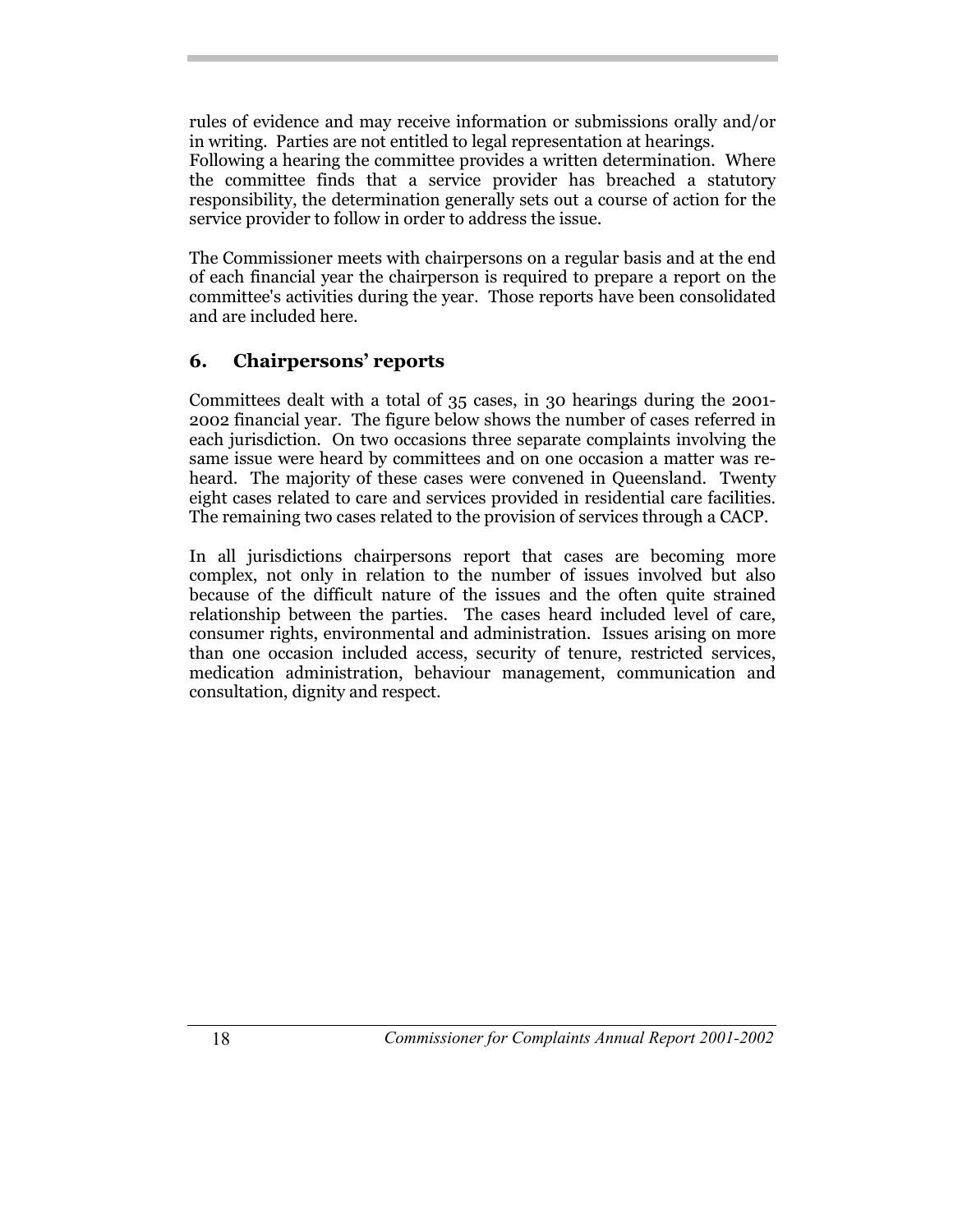rules of evidence and may receive information or submissions orally and/or in writing. Parties are not entitled to legal representation at hearings.

Following a hearing the committee provides a written determination. Where the committee finds that a service provider has breached a statutory responsibility, the determination generally sets out a course of action for the service provider to follow in order to address the issue.

The Commissioner meets with chairpersons on a regular basis and at the end of each financial year the chairperson is required to prepare a report on the committee's activities during the year. Those reports have been consolidated and are included here.

## **6. Chairpersons' reports**

Committees dealt with a total of 35 cases, in 30 hearings during the 2001- 2002 financial year. The figure below shows the number of cases referred in each jurisdiction. On two occasions three separate complaints involving the same issue were heard by committees and on one occasion a matter was reheard. The majority of these cases were convened in Queensland. Twenty eight cases related to care and services provided in residential care facilities. The remaining two cases related to the provision of services through a CACP.

In all jurisdictions chairpersons report that cases are becoming more complex, not only in relation to the number of issues involved but also because of the difficult nature of the issues and the often quite strained relationship between the parties. The cases heard included level of care, consumer rights, environmental and administration. Issues arising on more than one occasion included access, security of tenure, restricted services, medication administration, behaviour management, communication and consultation, dignity and respect.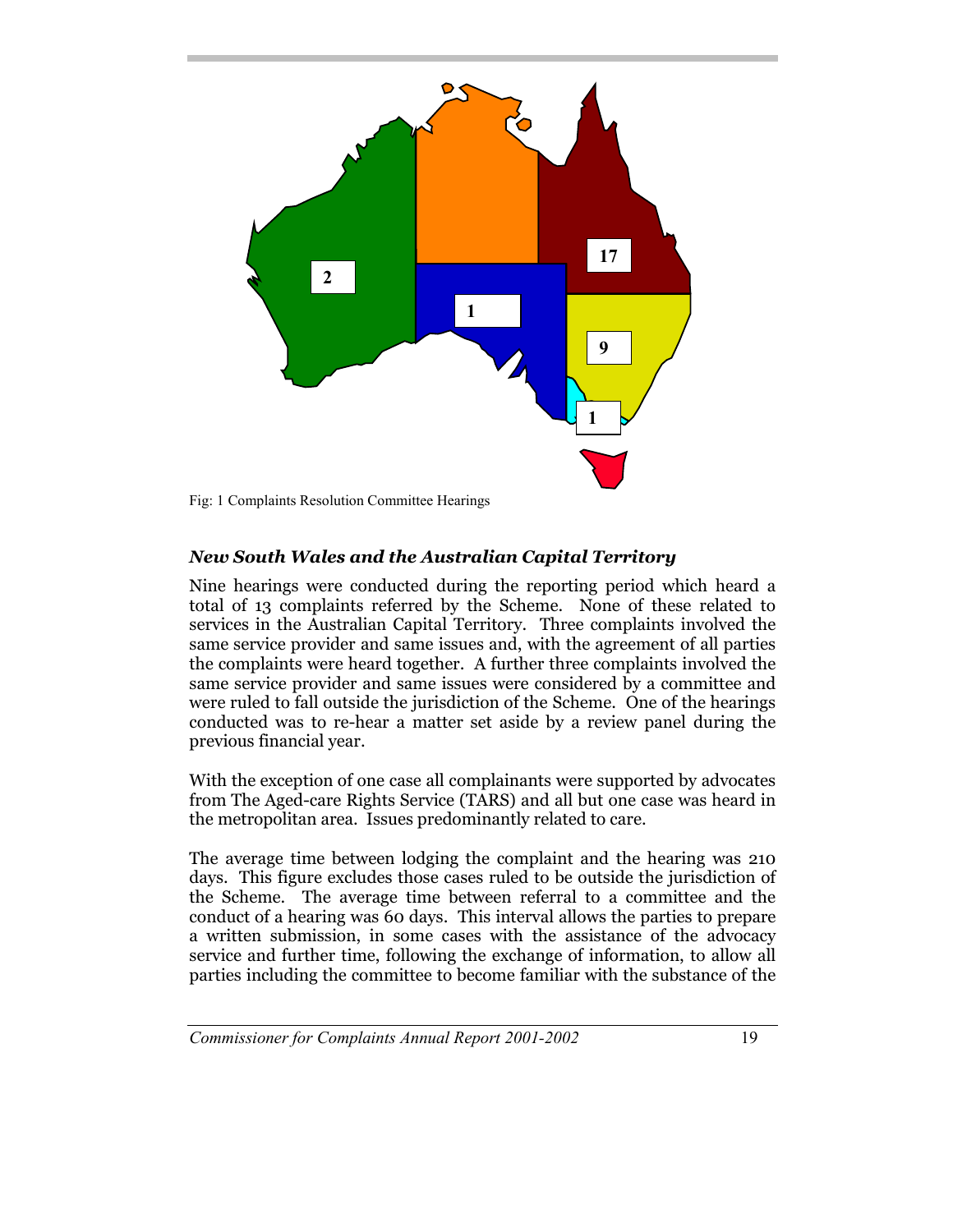

Fig: 1 Complaints Resolution Committee Hearings

#### *New South Wales and the Australian Capital Territory*

Nine hearings were conducted during the reporting period which heard a total of 13 complaints referred by the Scheme. None of these related to services in the Australian Capital Territory. Three complaints involved the same service provider and same issues and, with the agreement of all parties the complaints were heard together. A further three complaints involved the same service provider and same issues were considered by a committee and were ruled to fall outside the jurisdiction of the Scheme. One of the hearings conducted was to re-hear a matter set aside by a review panel during the previous financial year.

With the exception of one case all complainants were supported by advocates from The Aged-care Rights Service (TARS) and all but one case was heard in the metropolitan area. Issues predominantly related to care.

The average time between lodging the complaint and the hearing was 210 days. This figure excludes those cases ruled to be outside the jurisdiction of the Scheme. The average time between referral to a committee and the conduct of a hearing was 60 days. This interval allows the parties to prepare a written submission, in some cases with the assistance of the advocacy service and further time, following the exchange of information, to allow all parties including the committee to become familiar with the substance of the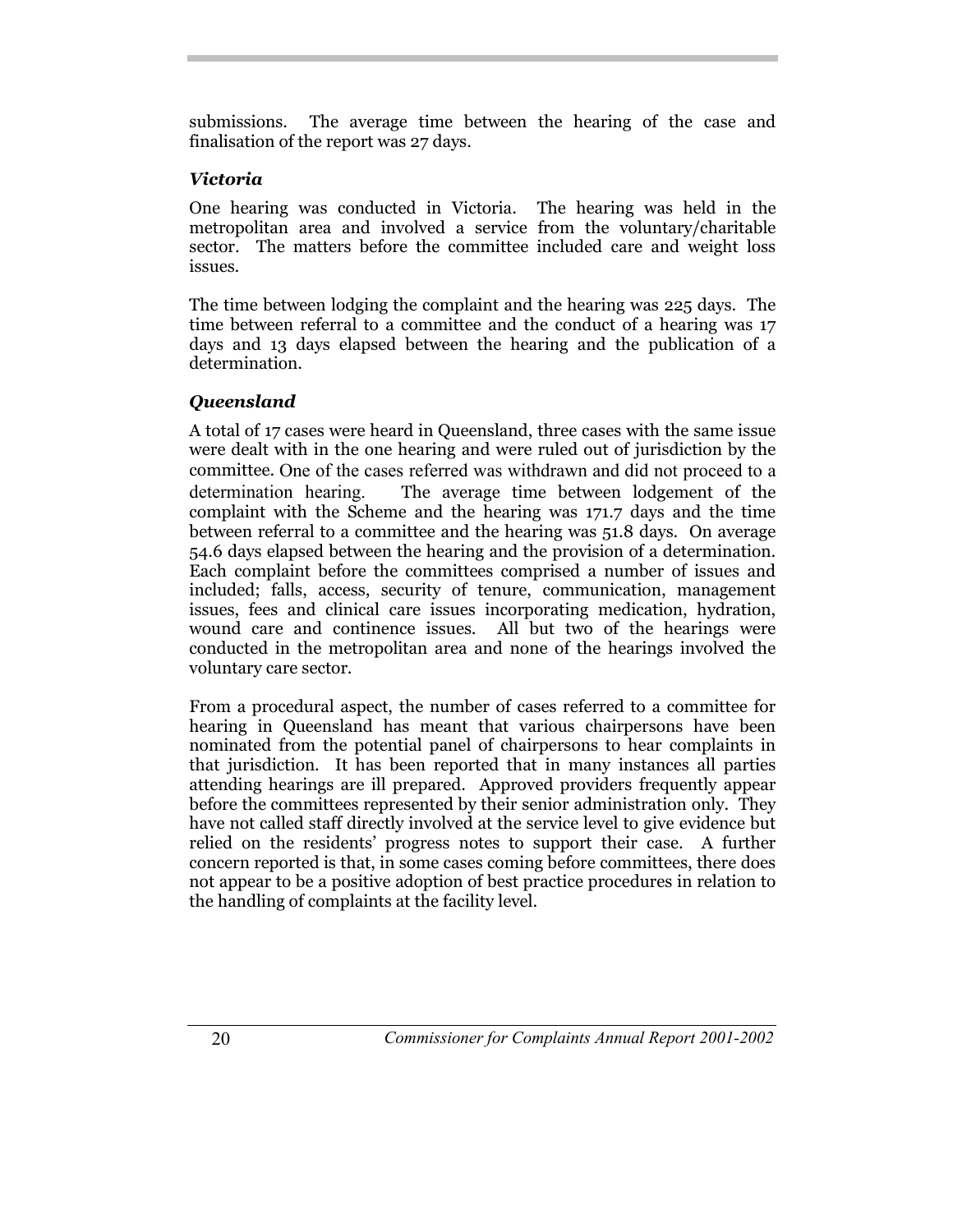submissions. The average time between the hearing of the case and finalisation of the report was 27 days.

## *Victoria*

One hearing was conducted in Victoria. The hearing was held in the metropolitan area and involved a service from the voluntary/charitable sector. The matters before the committee included care and weight loss issues.

The time between lodging the complaint and the hearing was 225 days. The time between referral to a committee and the conduct of a hearing was 17 days and 13 days elapsed between the hearing and the publication of a determination.

## *Queensland*

A total of 17 cases were heard in Queensland, three cases with the same issue were dealt with in the one hearing and were ruled out of jurisdiction by the committee. One of the cases referred was withdrawn and did not proceed to a determination hearing. The average time between lodgement of the complaint with the Scheme and the hearing was 171.7 days and the time between referral to a committee and the hearing was 51.8 days. On average 54.6 days elapsed between the hearing and the provision of a determination. Each complaint before the committees comprised a number of issues and included; falls, access, security of tenure, communication, management issues, fees and clinical care issues incorporating medication, hydration, wound care and continence issues. All but two of the hearings were conducted in the metropolitan area and none of the hearings involved the voluntary care sector.

From a procedural aspect, the number of cases referred to a committee for hearing in Queensland has meant that various chairpersons have been nominated from the potential panel of chairpersons to hear complaints in that jurisdiction. It has been reported that in many instances all parties attending hearings are ill prepared. Approved providers frequently appear before the committees represented by their senior administration only. They have not called staff directly involved at the service level to give evidence but relied on the residents' progress notes to support their case. A further concern reported is that, in some cases coming before committees, there does not appear to be a positive adoption of best practice procedures in relation to the handling of complaints at the facility level.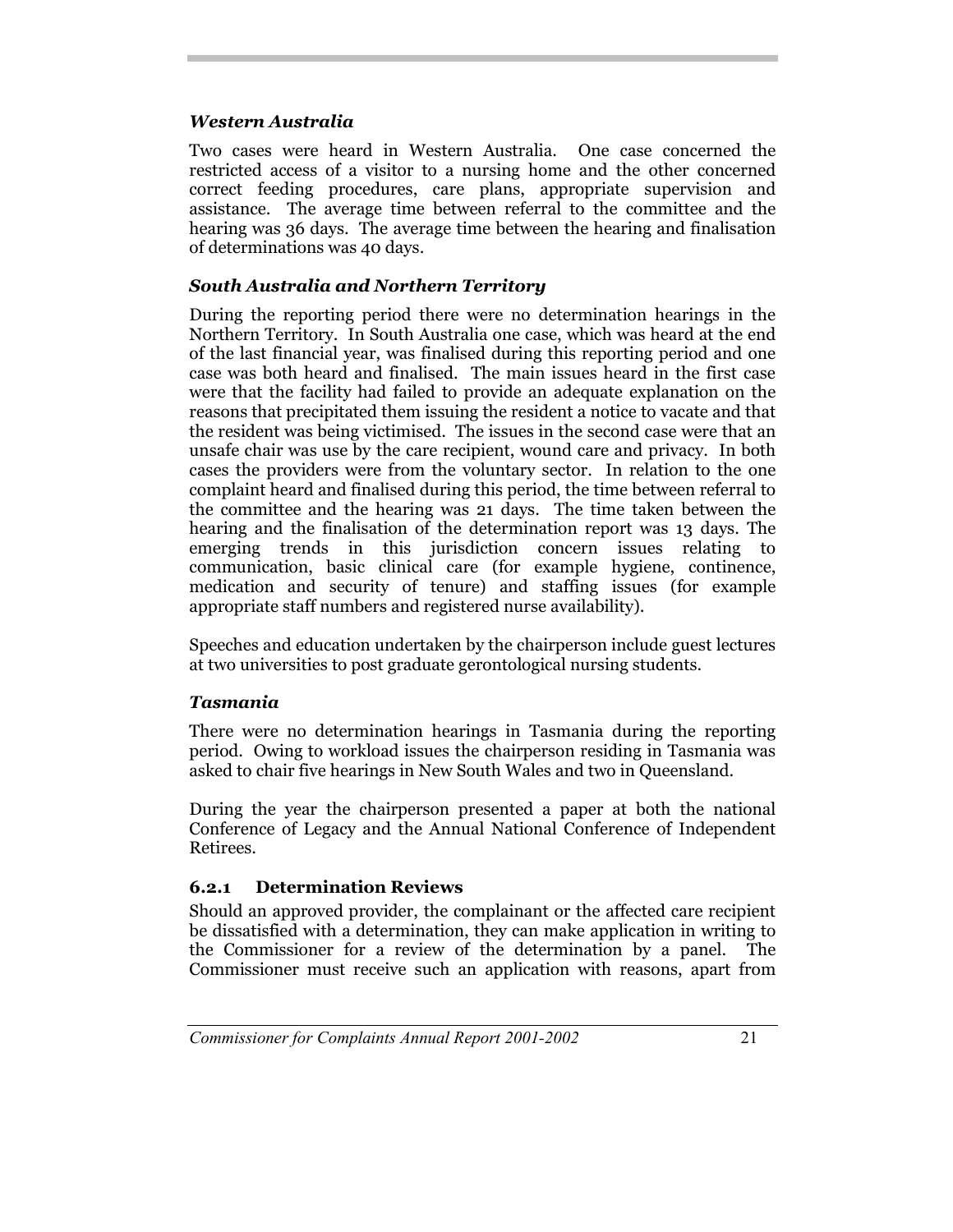#### *Western Australia*

Two cases were heard in Western Australia. One case concerned the restricted access of a visitor to a nursing home and the other concerned correct feeding procedures, care plans, appropriate supervision and assistance. The average time between referral to the committee and the hearing was 36 days. The average time between the hearing and finalisation of determinations was 40 days.

#### *South Australia and Northern Territory*

During the reporting period there were no determination hearings in the Northern Territory. In South Australia one case, which was heard at the end of the last financial year, was finalised during this reporting period and one case was both heard and finalised. The main issues heard in the first case were that the facility had failed to provide an adequate explanation on the reasons that precipitated them issuing the resident a notice to vacate and that the resident was being victimised. The issues in the second case were that an unsafe chair was use by the care recipient, wound care and privacy. In both cases the providers were from the voluntary sector. In relation to the one complaint heard and finalised during this period, the time between referral to the committee and the hearing was 21 days. The time taken between the hearing and the finalisation of the determination report was 13 days. The emerging trends in this jurisdiction concern issues relating to communication, basic clinical care (for example hygiene, continence, medication and security of tenure) and staffing issues (for example appropriate staff numbers and registered nurse availability).

Speeches and education undertaken by the chairperson include guest lectures at two universities to post graduate gerontological nursing students.

#### *Tasmania*

There were no determination hearings in Tasmania during the reporting period. Owing to workload issues the chairperson residing in Tasmania was asked to chair five hearings in New South Wales and two in Queensland.

During the year the chairperson presented a paper at both the national Conference of Legacy and the Annual National Conference of Independent Retirees.

## **6.2.1 Determination Reviews**

Should an approved provider, the complainant or the affected care recipient be dissatisfied with a determination, they can make application in writing to the Commissioner for a review of the determination by a panel. The Commissioner must receive such an application with reasons, apart from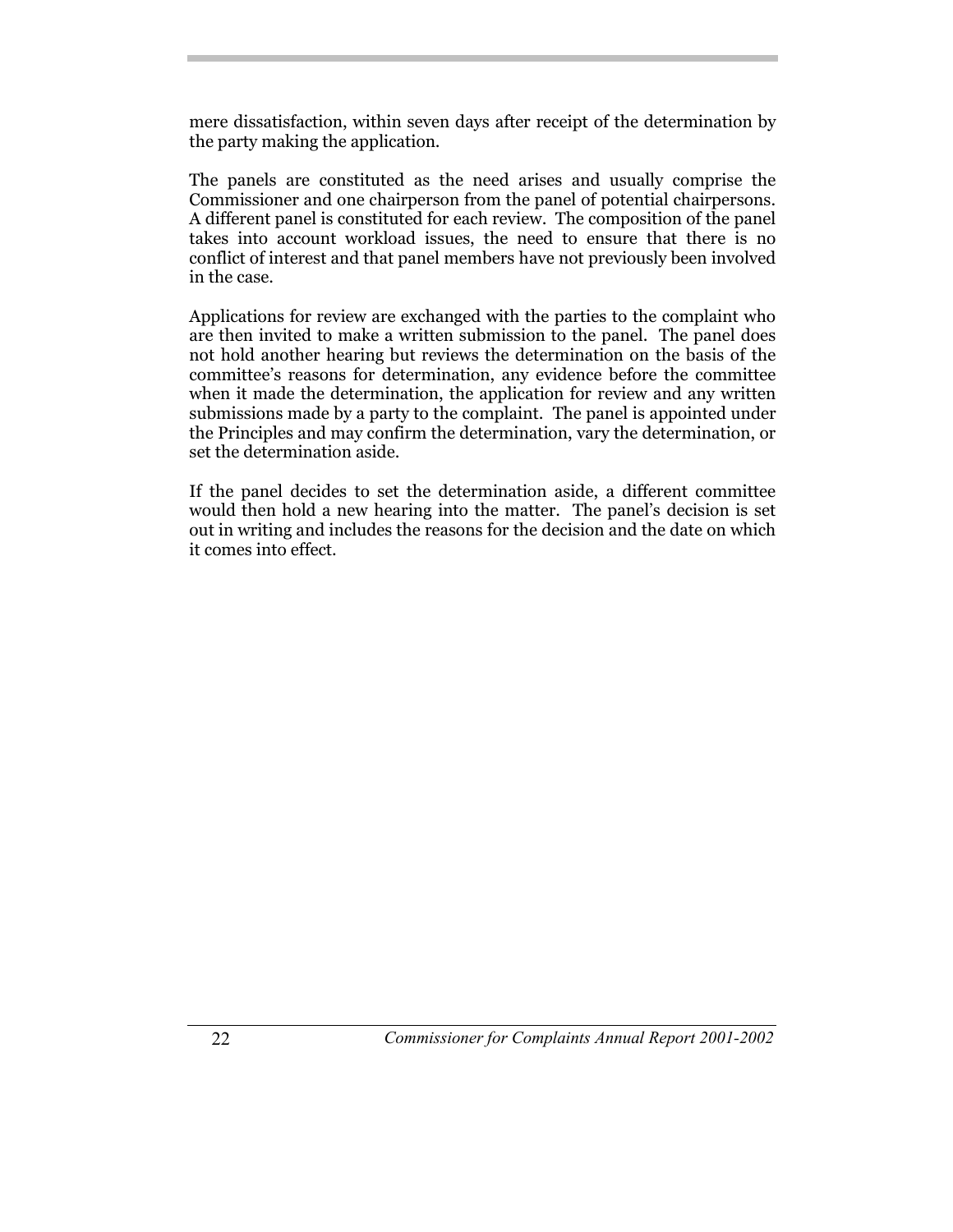mere dissatisfaction, within seven days after receipt of the determination by the party making the application.

The panels are constituted as the need arises and usually comprise the Commissioner and one chairperson from the panel of potential chairpersons. A different panel is constituted for each review. The composition of the panel takes into account workload issues, the need to ensure that there is no conflict of interest and that panel members have not previously been involved in the case.

Applications for review are exchanged with the parties to the complaint who are then invited to make a written submission to the panel. The panel does not hold another hearing but reviews the determination on the basis of the committee's reasons for determination, any evidence before the committee when it made the determination, the application for review and any written submissions made by a party to the complaint. The panel is appointed under the Principles and may confirm the determination, vary the determination, or set the determination aside.

If the panel decides to set the determination aside, a different committee would then hold a new hearing into the matter. The panel's decision is set out in writing and includes the reasons for the decision and the date on which it comes into effect.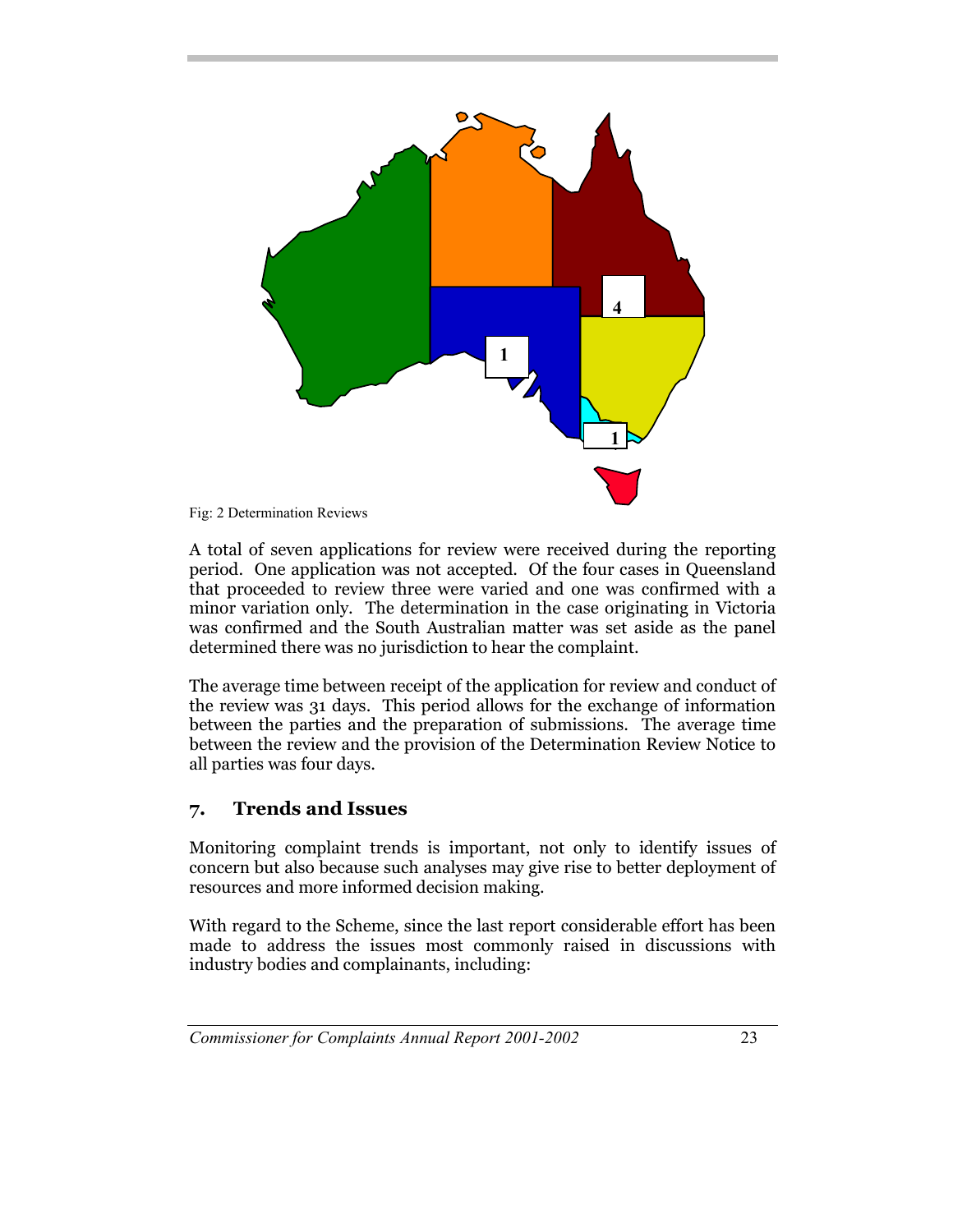

Fig: 2 Determination Reviews

A total of seven applications for review were received during the reporting period. One application was not accepted. Of the four cases in Queensland that proceeded to review three were varied and one was confirmed with a minor variation only. The determination in the case originating in Victoria was confirmed and the South Australian matter was set aside as the panel determined there was no jurisdiction to hear the complaint.

The average time between receipt of the application for review and conduct of the review was 31 days. This period allows for the exchange of information between the parties and the preparation of submissions. The average time between the review and the provision of the Determination Review Notice to all parties was four days.

## **7. Trends and Issues**

Monitoring complaint trends is important, not only to identify issues of concern but also because such analyses may give rise to better deployment of resources and more informed decision making.

With regard to the Scheme, since the last report considerable effort has been made to address the issues most commonly raised in discussions with industry bodies and complainants, including: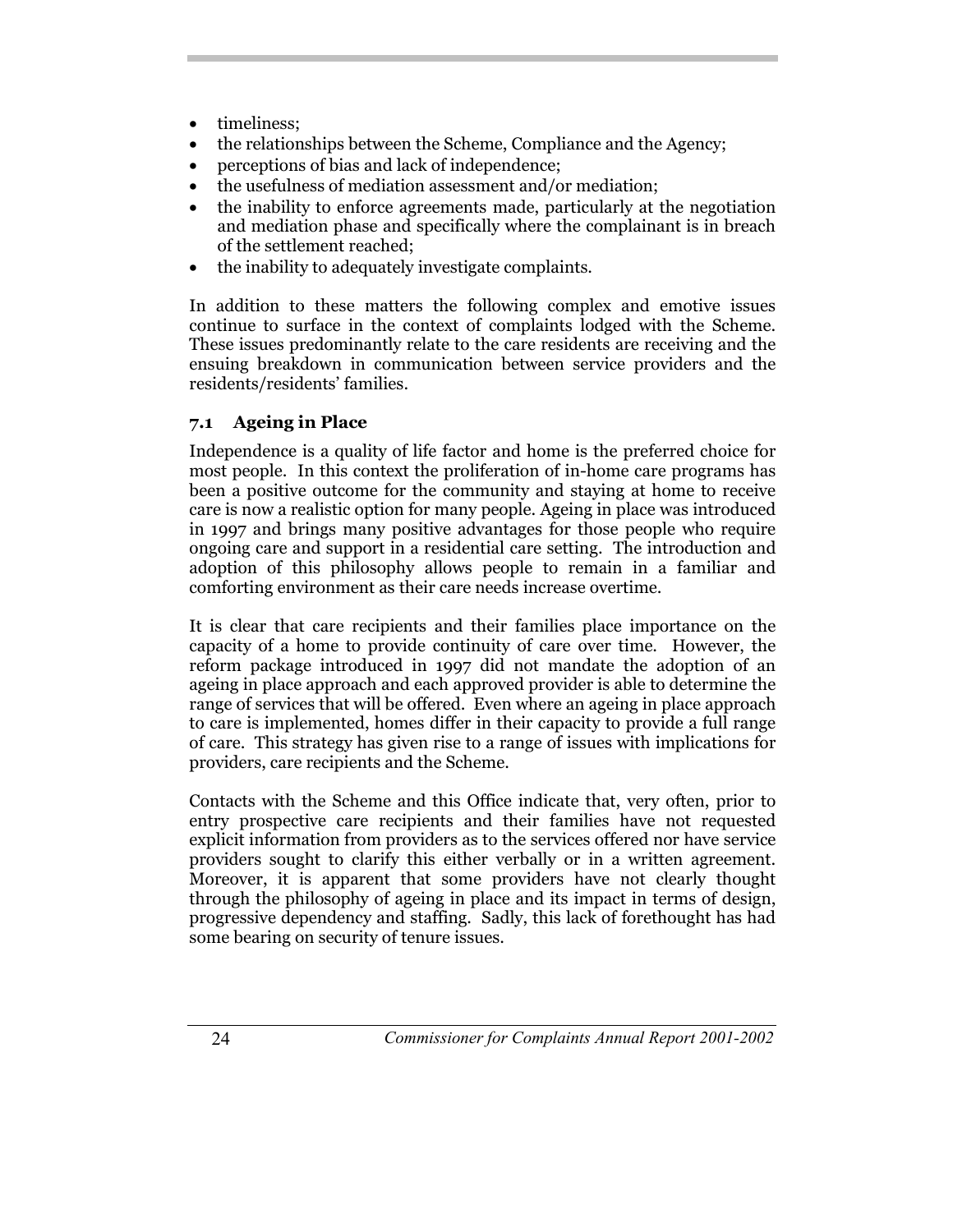- timeliness:
- the relationships between the Scheme, Compliance and the Agency;
- perceptions of bias and lack of independence;
- the usefulness of mediation assessment and/or mediation;
- the inability to enforce agreements made, particularly at the negotiation and mediation phase and specifically where the complainant is in breach of the settlement reached;
- the inability to adequately investigate complaints.

In addition to these matters the following complex and emotive issues continue to surface in the context of complaints lodged with the Scheme. These issues predominantly relate to the care residents are receiving and the ensuing breakdown in communication between service providers and the residents/residents' families.

## **7.1 Ageing in Place**

Independence is a quality of life factor and home is the preferred choice for most people. In this context the proliferation of in-home care programs has been a positive outcome for the community and staying at home to receive care is now a realistic option for many people. Ageing in place was introduced in 1997 and brings many positive advantages for those people who require ongoing care and support in a residential care setting. The introduction and adoption of this philosophy allows people to remain in a familiar and comforting environment as their care needs increase overtime.

It is clear that care recipients and their families place importance on the capacity of a home to provide continuity of care over time. However, the reform package introduced in 1997 did not mandate the adoption of an ageing in place approach and each approved provider is able to determine the range of services that will be offered. Even where an ageing in place approach to care is implemented, homes differ in their capacity to provide a full range of care. This strategy has given rise to a range of issues with implications for providers, care recipients and the Scheme.

Contacts with the Scheme and this Office indicate that, very often, prior to entry prospective care recipients and their families have not requested explicit information from providers as to the services offered nor have service providers sought to clarify this either verbally or in a written agreement. Moreover, it is apparent that some providers have not clearly thought through the philosophy of ageing in place and its impact in terms of design, progressive dependency and staffing. Sadly, this lack of forethought has had some bearing on security of tenure issues.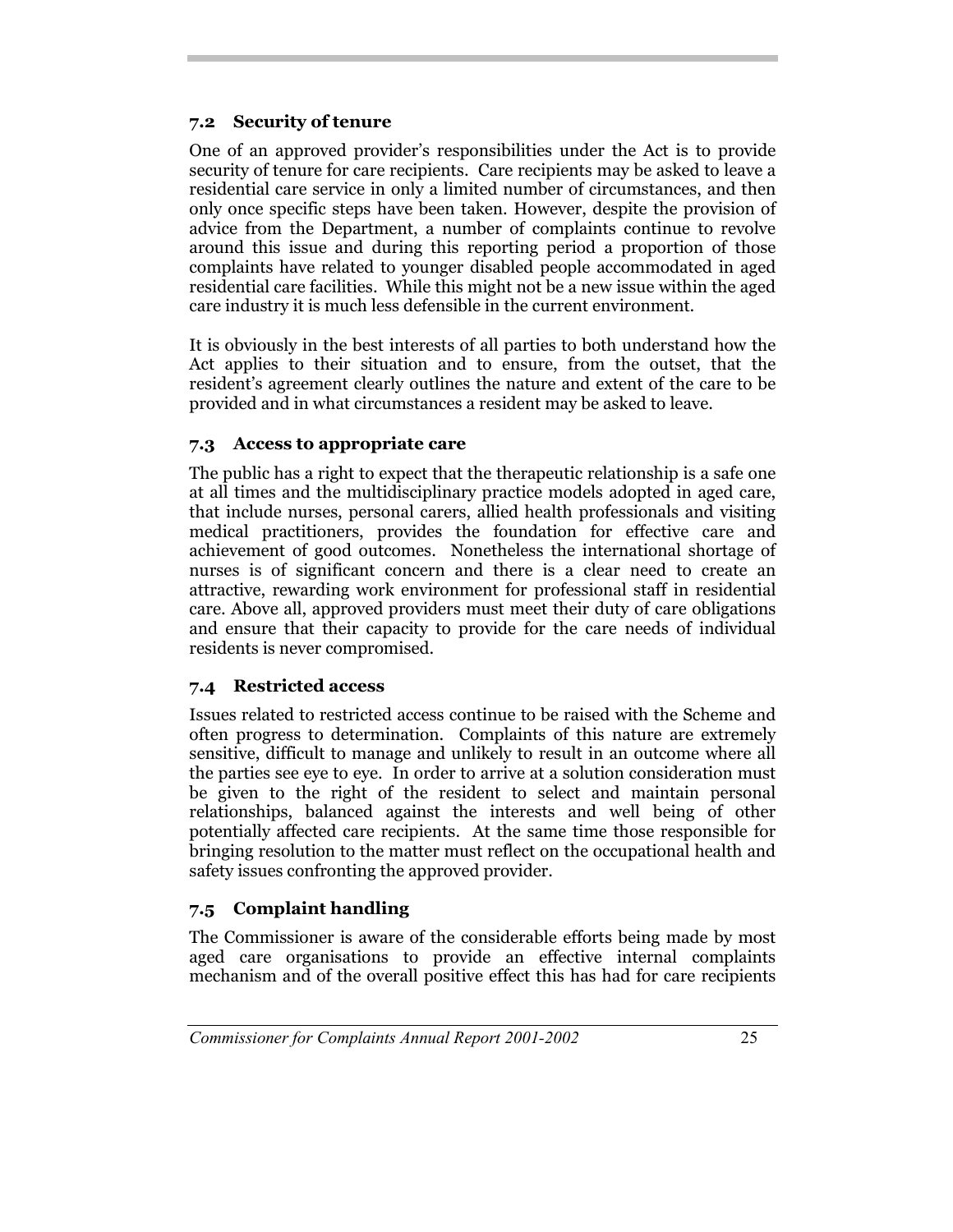### **7.2 Security of tenure**

One of an approved provider's responsibilities under the Act is to provide security of tenure for care recipients. Care recipients may be asked to leave a residential care service in only a limited number of circumstances, and then only once specific steps have been taken. However, despite the provision of advice from the Department, a number of complaints continue to revolve around this issue and during this reporting period a proportion of those complaints have related to younger disabled people accommodated in aged residential care facilities. While this might not be a new issue within the aged care industry it is much less defensible in the current environment.

It is obviously in the best interests of all parties to both understand how the Act applies to their situation and to ensure, from the outset, that the resident's agreement clearly outlines the nature and extent of the care to be provided and in what circumstances a resident may be asked to leave.

#### **7.3 Access to appropriate care**

The public has a right to expect that the therapeutic relationship is a safe one at all times and the multidisciplinary practice models adopted in aged care, that include nurses, personal carers, allied health professionals and visiting medical practitioners, provides the foundation for effective care and achievement of good outcomes. Nonetheless the international shortage of nurses is of significant concern and there is a clear need to create an attractive, rewarding work environment for professional staff in residential care. Above all, approved providers must meet their duty of care obligations and ensure that their capacity to provide for the care needs of individual residents is never compromised.

## **7.4 Restricted access**

Issues related to restricted access continue to be raised with the Scheme and often progress to determination. Complaints of this nature are extremely sensitive, difficult to manage and unlikely to result in an outcome where all the parties see eye to eye. In order to arrive at a solution consideration must be given to the right of the resident to select and maintain personal relationships, balanced against the interests and well being of other potentially affected care recipients. At the same time those responsible for bringing resolution to the matter must reflect on the occupational health and safety issues confronting the approved provider.

## **7.5 Complaint handling**

The Commissioner is aware of the considerable efforts being made by most aged care organisations to provide an effective internal complaints mechanism and of the overall positive effect this has had for care recipients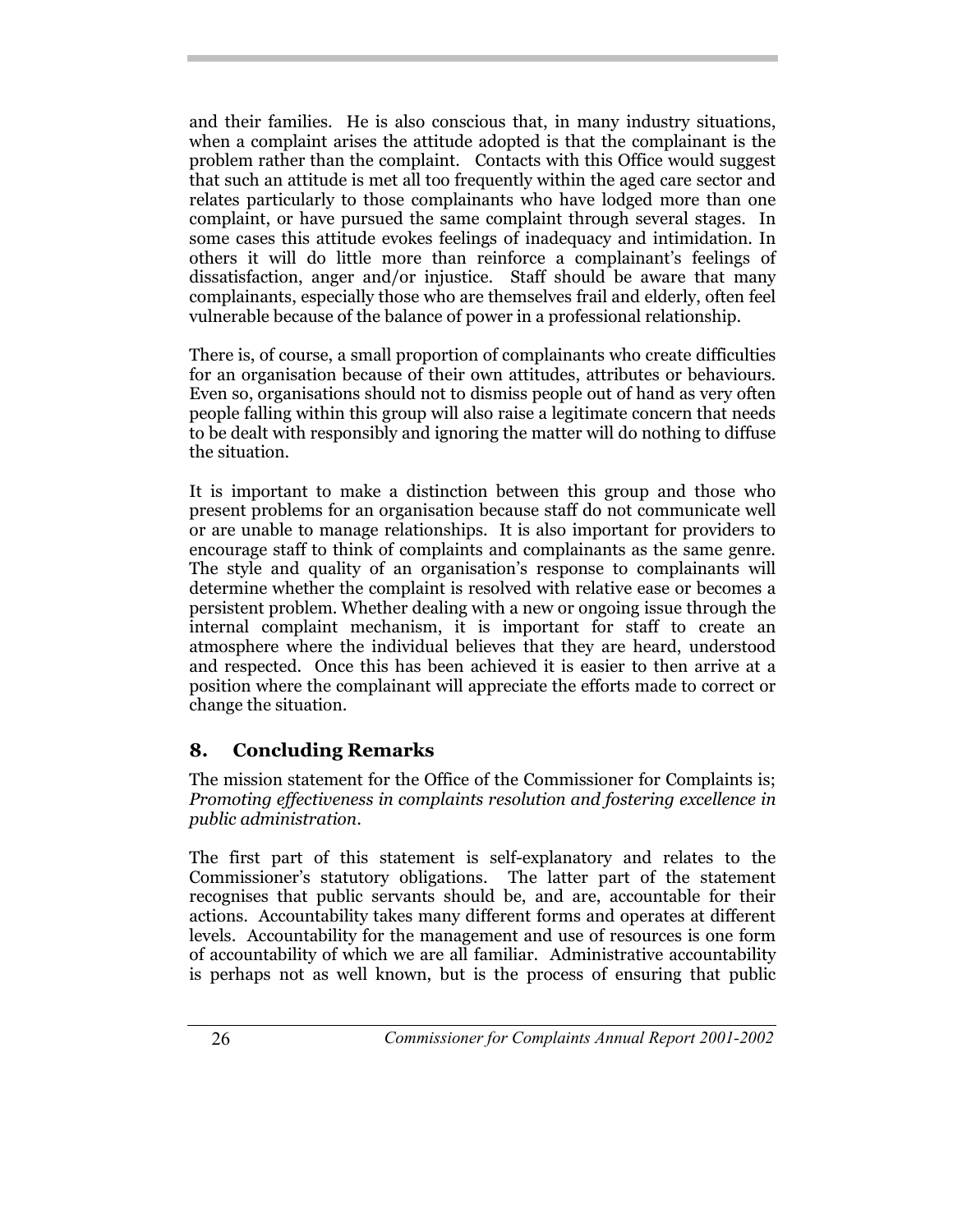and their families. He is also conscious that, in many industry situations, when a complaint arises the attitude adopted is that the complainant is the problem rather than the complaint. Contacts with this Office would suggest that such an attitude is met all too frequently within the aged care sector and relates particularly to those complainants who have lodged more than one complaint, or have pursued the same complaint through several stages. In some cases this attitude evokes feelings of inadequacy and intimidation. In others it will do little more than reinforce a complainant's feelings of dissatisfaction, anger and/or injustice. Staff should be aware that many complainants, especially those who are themselves frail and elderly, often feel vulnerable because of the balance of power in a professional relationship.

There is, of course, a small proportion of complainants who create difficulties for an organisation because of their own attitudes, attributes or behaviours. Even so, organisations should not to dismiss people out of hand as very often people falling within this group will also raise a legitimate concern that needs to be dealt with responsibly and ignoring the matter will do nothing to diffuse the situation.

It is important to make a distinction between this group and those who present problems for an organisation because staff do not communicate well or are unable to manage relationships. It is also important for providers to encourage staff to think of complaints and complainants as the same genre. The style and quality of an organisation's response to complainants will determine whether the complaint is resolved with relative ease or becomes a persistent problem. Whether dealing with a new or ongoing issue through the internal complaint mechanism, it is important for staff to create an atmosphere where the individual believes that they are heard, understood and respected. Once this has been achieved it is easier to then arrive at a position where the complainant will appreciate the efforts made to correct or change the situation.

## **8. Concluding Remarks**

The mission statement for the Office of the Commissioner for Complaints is; *Promoting effectiveness in complaints resolution and fostering excellence in public administration*.

The first part of this statement is self-explanatory and relates to the Commissioner's statutory obligations. The latter part of the statement recognises that public servants should be, and are, accountable for their actions. Accountability takes many different forms and operates at different levels. Accountability for the management and use of resources is one form of accountability of which we are all familiar. Administrative accountability is perhaps not as well known, but is the process of ensuring that public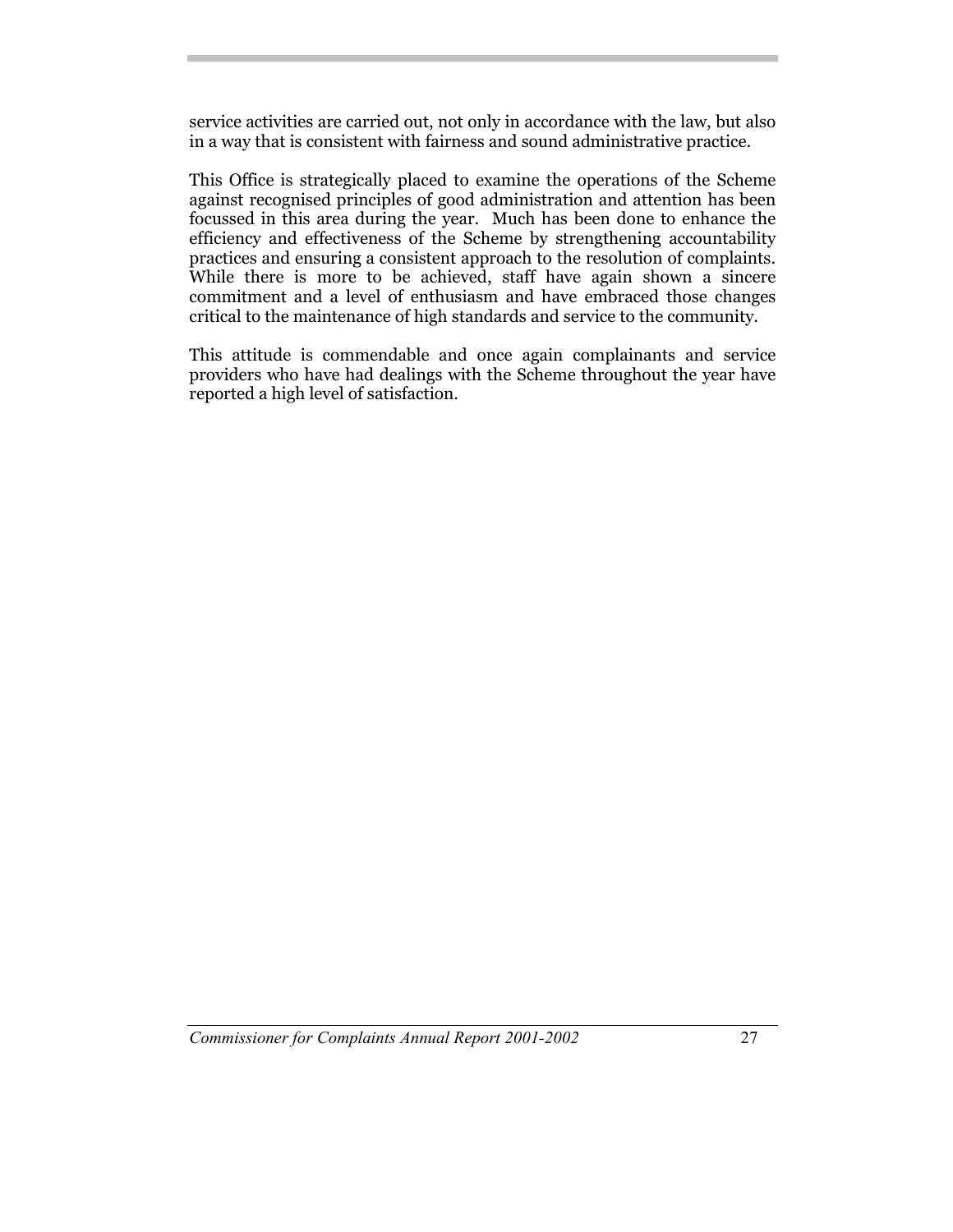service activities are carried out, not only in accordance with the law, but also in a way that is consistent with fairness and sound administrative practice.

This Office is strategically placed to examine the operations of the Scheme against recognised principles of good administration and attention has been focussed in this area during the year. Much has been done to enhance the efficiency and effectiveness of the Scheme by strengthening accountability practices and ensuring a consistent approach to the resolution of complaints. While there is more to be achieved, staff have again shown a sincere commitment and a level of enthusiasm and have embraced those changes critical to the maintenance of high standards and service to the community.

This attitude is commendable and once again complainants and service providers who have had dealings with the Scheme throughout the year have reported a high level of satisfaction.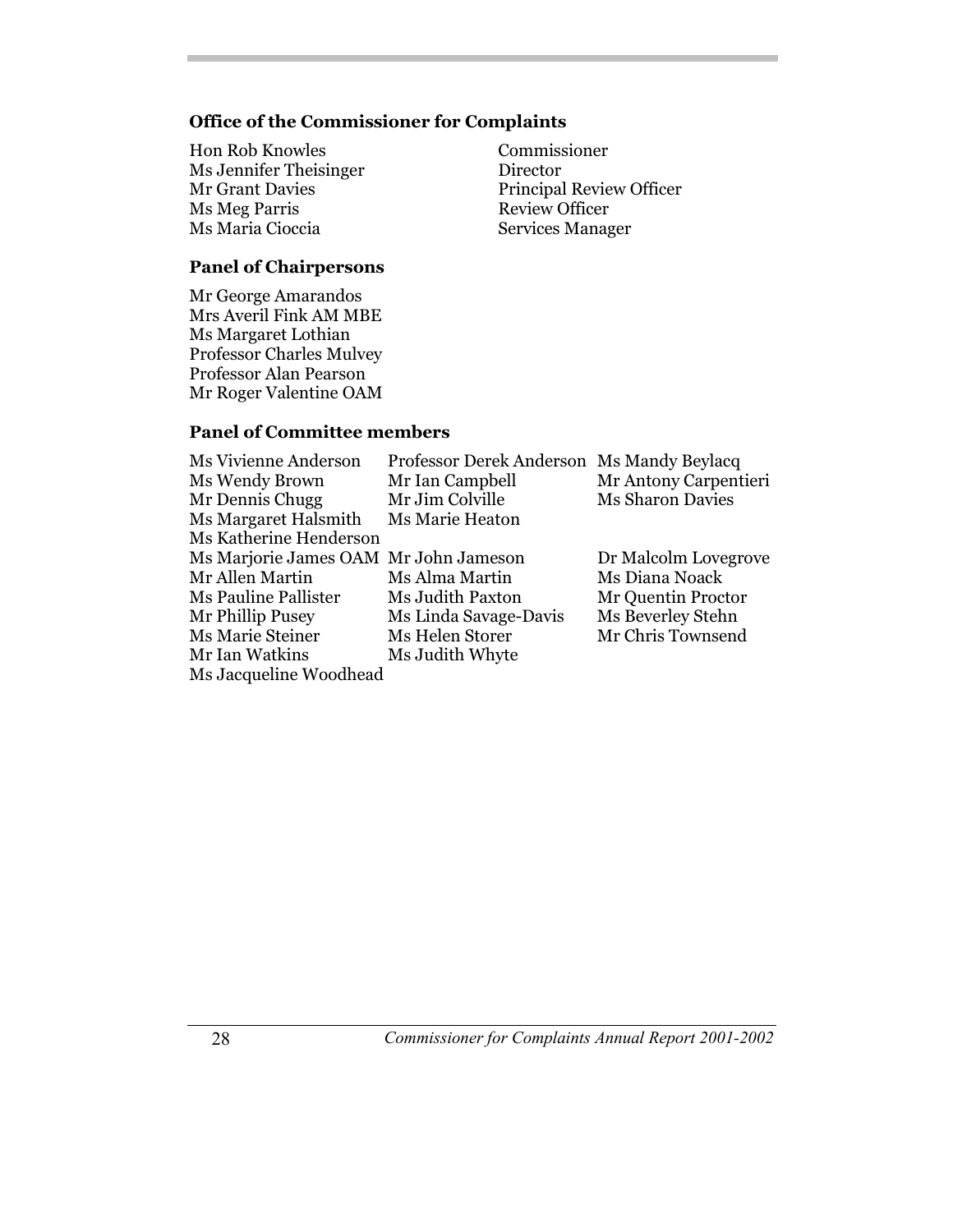#### **Office of the Commissioner for Complaints**

- Hon Rob Knowles Commissioner Ms Jennifer Theisinger Director **Ms Meg Parris** Ms Maria Cioccia Services Manager
- Mr Grant Davies Principal Review Officer<br>Ms Meg Parris Review Officer

#### **Panel of Chairpersons**

Mr George Amarandos Mrs Averil Fink AM MBE Ms Margaret Lothian Professor Charles Mulvey Professor Alan Pearson Mr Roger Valentine OAM

#### **Panel of Committee members**

| <b>Ms Vivienne Anderson</b>           | Professor Derek Anderson Ms Mandy Beylacq |                         |
|---------------------------------------|-------------------------------------------|-------------------------|
| Ms Wendy Brown                        | Mr Ian Campbell                           | Mr Antony Carpentieri   |
| Mr Dennis Chugg                       | Mr Jim Colville                           | <b>Ms Sharon Davies</b> |
| Ms Margaret Halsmith                  | Ms Marie Heaton                           |                         |
| Ms Katherine Henderson                |                                           |                         |
| Ms Marjorie James OAM Mr John Jameson |                                           | Dr Malcolm Lovegrove    |
| Mr Allen Martin                       | Ms Alma Martin                            | Ms Diana Noack          |
| <b>Ms Pauline Pallister</b>           | Ms Judith Paxton                          | Mr Quentin Proctor      |
| Mr Phillip Pusey                      | Ms Linda Savage-Davis                     | Ms Beverley Stehn       |
| Ms Marie Steiner                      | Ms Helen Storer                           | Mr Chris Townsend       |
| Mr Ian Watkins                        | Ms Judith Whyte                           |                         |
| Ms Jacqueline Woodhead                |                                           |                         |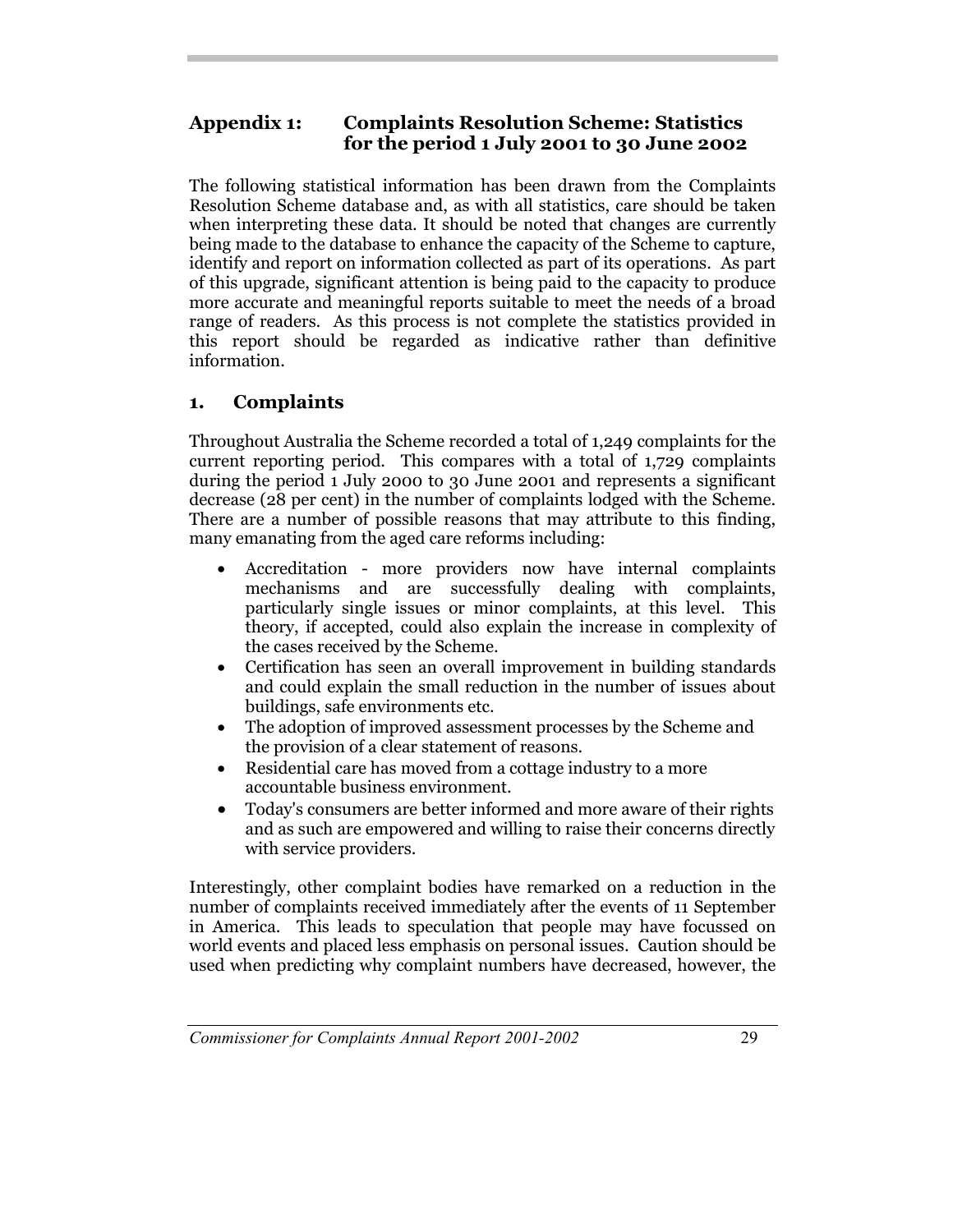## **Appendix 1: Complaints Resolution Scheme: Statistics for the period 1 July 2001 to 30 June 2002**

The following statistical information has been drawn from the Complaints Resolution Scheme database and, as with all statistics, care should be taken when interpreting these data. It should be noted that changes are currently being made to the database to enhance the capacity of the Scheme to capture, identify and report on information collected as part of its operations. As part of this upgrade, significant attention is being paid to the capacity to produce more accurate and meaningful reports suitable to meet the needs of a broad range of readers. As this process is not complete the statistics provided in this report should be regarded as indicative rather than definitive information.

## **1. Complaints**

Throughout Australia the Scheme recorded a total of 1,249 complaints for the current reporting period. This compares with a total of 1,729 complaints during the period 1 July 2000 to 30 June 2001 and represents a significant decrease (28 per cent) in the number of complaints lodged with the Scheme. There are a number of possible reasons that may attribute to this finding, many emanating from the aged care reforms including:

- Accreditation more providers now have internal complaints mechanisms and are successfully dealing with complaints, particularly single issues or minor complaints, at this level. This theory, if accepted, could also explain the increase in complexity of the cases received by the Scheme.
- Certification has seen an overall improvement in building standards and could explain the small reduction in the number of issues about buildings, safe environments etc.
- The adoption of improved assessment processes by the Scheme and the provision of a clear statement of reasons.
- Residential care has moved from a cottage industry to a more accountable business environment.
- Today's consumers are better informed and more aware of their rights and as such are empowered and willing to raise their concerns directly with service providers.

Interestingly, other complaint bodies have remarked on a reduction in the number of complaints received immediately after the events of 11 September in America. This leads to speculation that people may have focussed on world events and placed less emphasis on personal issues. Caution should be used when predicting why complaint numbers have decreased, however, the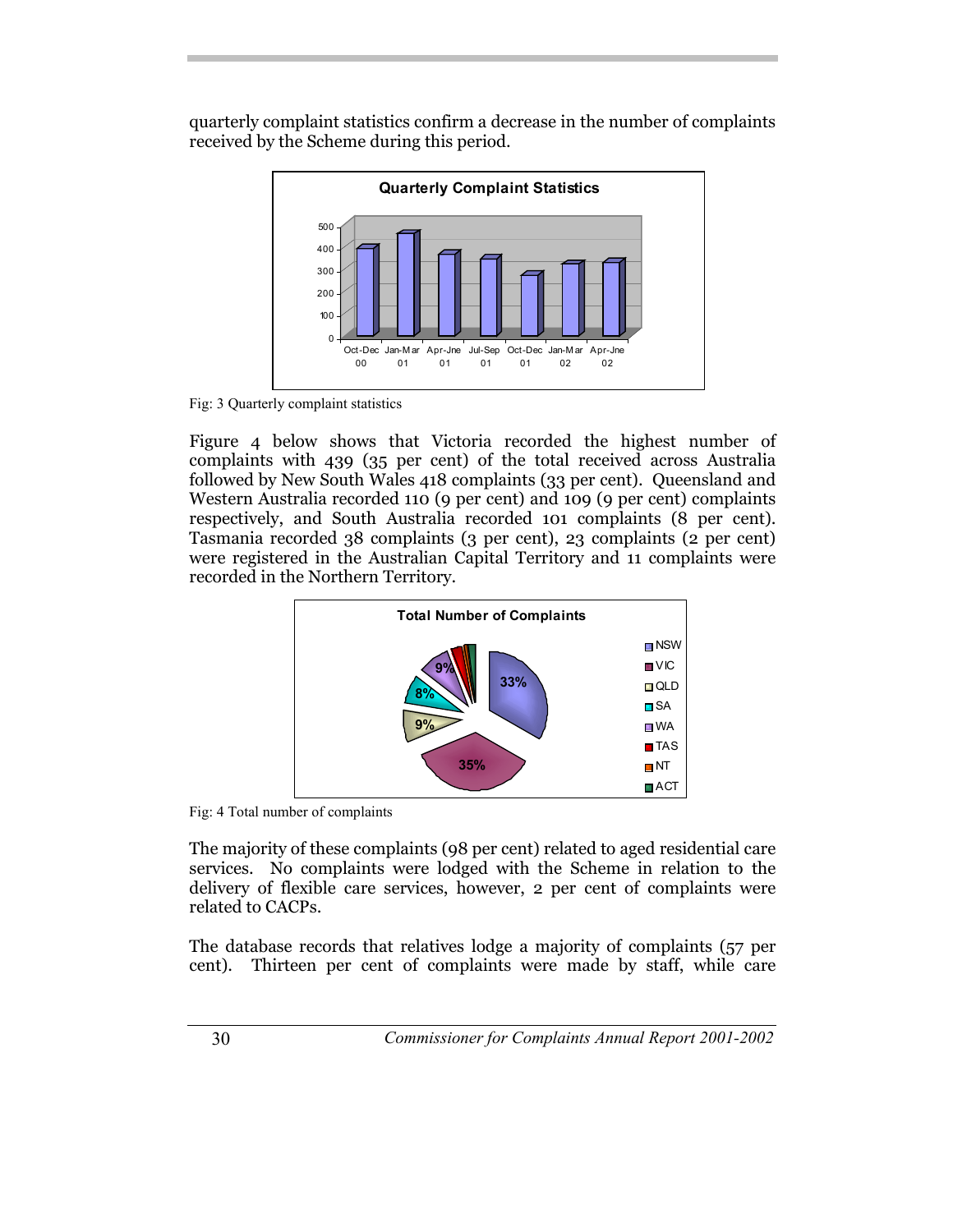quarterly complaint statistics confirm a decrease in the number of complaints received by the Scheme during this period.



Fig: 3 Quarterly complaint statistics

Figure 4 below shows that Victoria recorded the highest number of complaints with 439 (35 per cent) of the total received across Australia followed by New South Wales 418 complaints (33 per cent). Queensland and Western Australia recorded 110 (9 per cent) and 109 (9 per cent) complaints respectively, and South Australia recorded 101 complaints (8 per cent). Tasmania recorded 38 complaints (3 per cent), 23 complaints (2 per cent) were registered in the Australian Capital Territory and 11 complaints were recorded in the Northern Territory.



Fig: 4 Total number of complaints

The majority of these complaints (98 per cent) related to aged residential care services. No complaints were lodged with the Scheme in relation to the delivery of flexible care services, however, 2 per cent of complaints were related to CACPs.

The database records that relatives lodge a majority of complaints (57 per cent). Thirteen per cent of complaints were made by staff, while care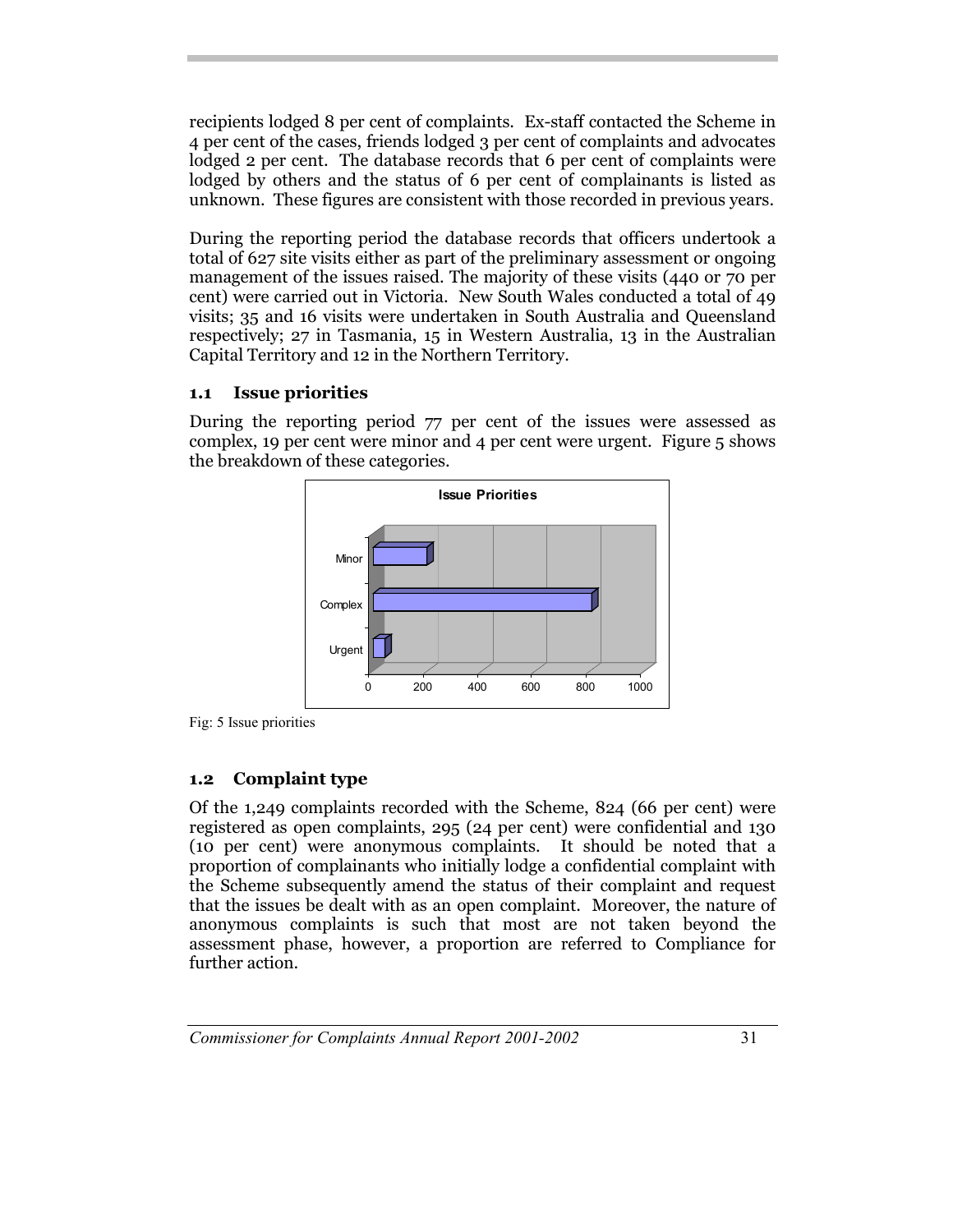recipients lodged 8 per cent of complaints. Ex-staff contacted the Scheme in 4 per cent of the cases, friends lodged 3 per cent of complaints and advocates lodged 2 per cent. The database records that 6 per cent of complaints were lodged by others and the status of 6 per cent of complainants is listed as unknown. These figures are consistent with those recorded in previous years.

During the reporting period the database records that officers undertook a total of 627 site visits either as part of the preliminary assessment or ongoing management of the issues raised. The majority of these visits (440 or 70 per cent) were carried out in Victoria. New South Wales conducted a total of 49 visits; 35 and 16 visits were undertaken in South Australia and Queensland respectively; 27 in Tasmania, 15 in Western Australia, 13 in the Australian Capital Territory and 12 in the Northern Territory.

## **1.1 Issue priorities**

During the reporting period 77 per cent of the issues were assessed as complex, 19 per cent were minor and 4 per cent were urgent. Figure 5 shows the breakdown of these categories.





## **1.2 Complaint type**

Of the 1,249 complaints recorded with the Scheme, 824 (66 per cent) were registered as open complaints, 295 (24 per cent) were confidential and 130 (10 per cent) were anonymous complaints. It should be noted that a proportion of complainants who initially lodge a confidential complaint with the Scheme subsequently amend the status of their complaint and request that the issues be dealt with as an open complaint. Moreover, the nature of anonymous complaints is such that most are not taken beyond the assessment phase, however, a proportion are referred to Compliance for further action.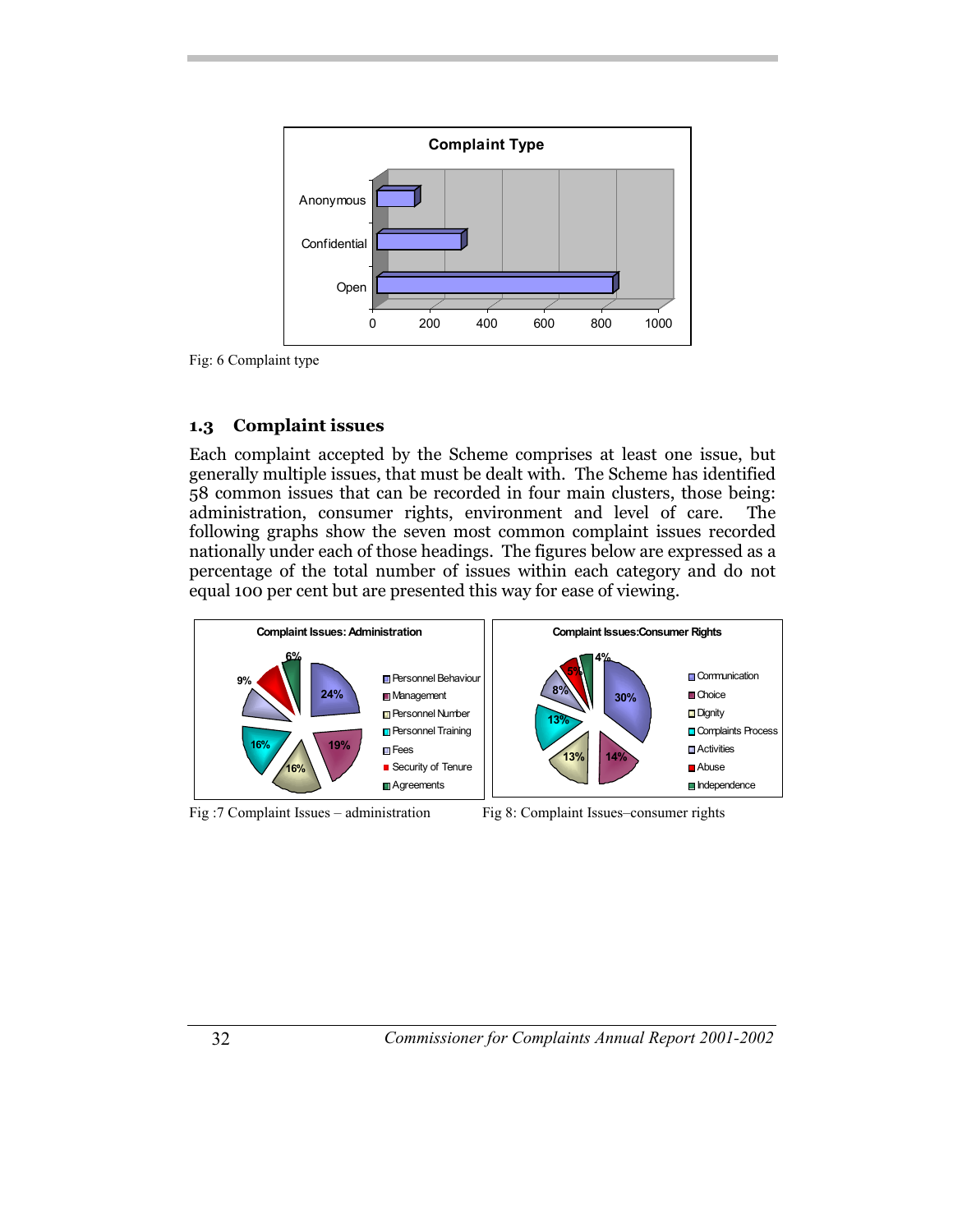

Fig: 6 Complaint type

#### **1.3 Complaint issues**

Each complaint accepted by the Scheme comprises at least one issue, but generally multiple issues, that must be dealt with. The Scheme has identified 58 common issues that can be recorded in four main clusters, those being: administration, consumer rights, environment and level of care. The following graphs show the seven most common complaint issues recorded nationally under each of those headings. The figures below are expressed as a percentage of the total number of issues within each category and do not equal 100 per cent but are presented this way for ease of viewing.



Fig :7 Complaint Issues – administration Fig 8: Complaint Issues–consumer rights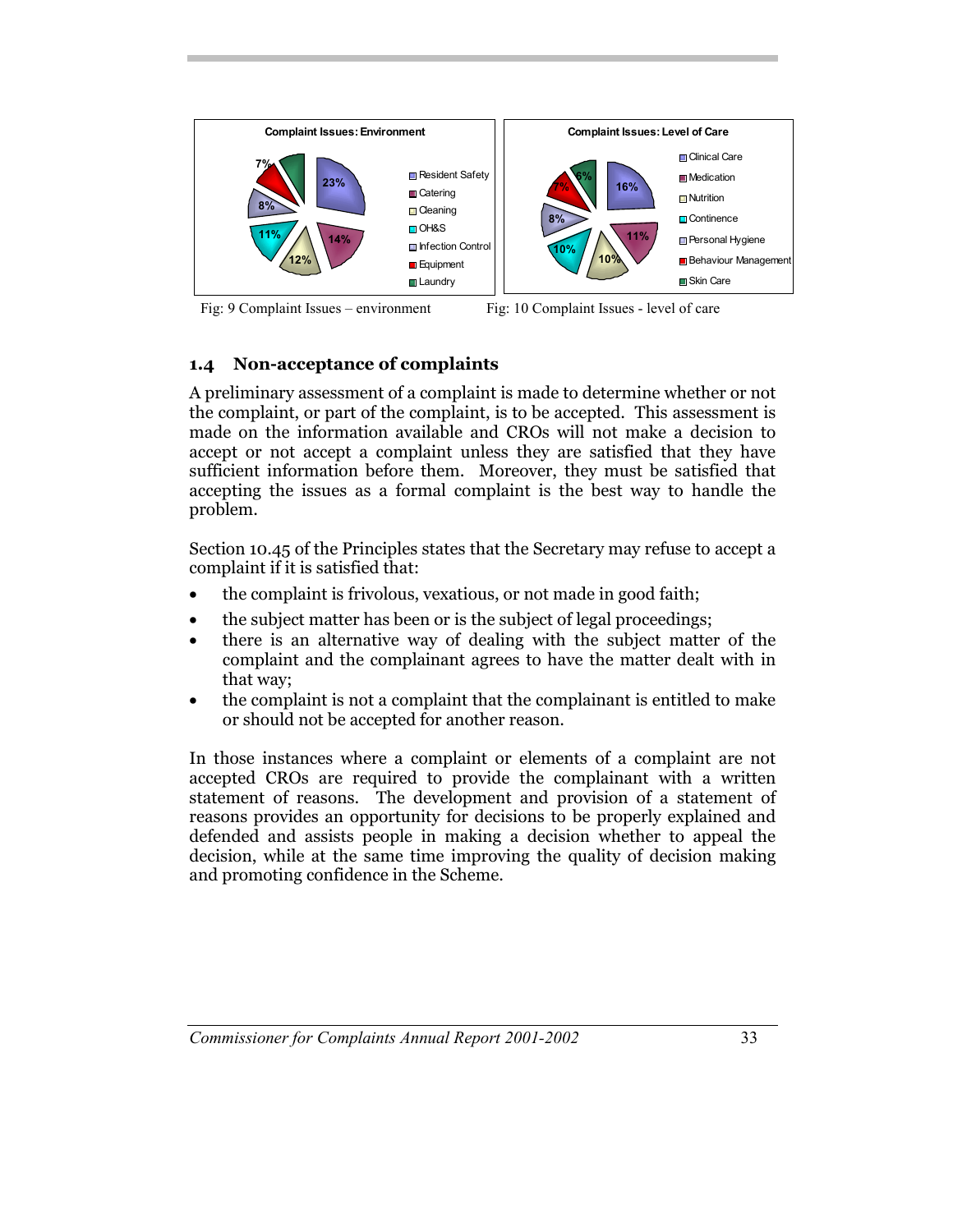

Fig: 9 Complaint Issues – environment Fig: 10 Complaint Issues - level of care

## **1.4 Non-acceptance of complaints**

A preliminary assessment of a complaint is made to determine whether or not the complaint, or part of the complaint, is to be accepted. This assessment is made on the information available and CROs will not make a decision to accept or not accept a complaint unless they are satisfied that they have sufficient information before them. Moreover, they must be satisfied that accepting the issues as a formal complaint is the best way to handle the problem.

Section 10.45 of the Principles states that the Secretary may refuse to accept a complaint if it is satisfied that:

- the complaint is frivolous, vexatious, or not made in good faith;
- the subject matter has been or is the subject of legal proceedings;
- there is an alternative way of dealing with the subject matter of the complaint and the complainant agrees to have the matter dealt with in that way;
- the complaint is not a complaint that the complainant is entitled to make or should not be accepted for another reason.

In those instances where a complaint or elements of a complaint are not accepted CROs are required to provide the complainant with a written statement of reasons. The development and provision of a statement of reasons provides an opportunity for decisions to be properly explained and defended and assists people in making a decision whether to appeal the decision, while at the same time improving the quality of decision making and promoting confidence in the Scheme.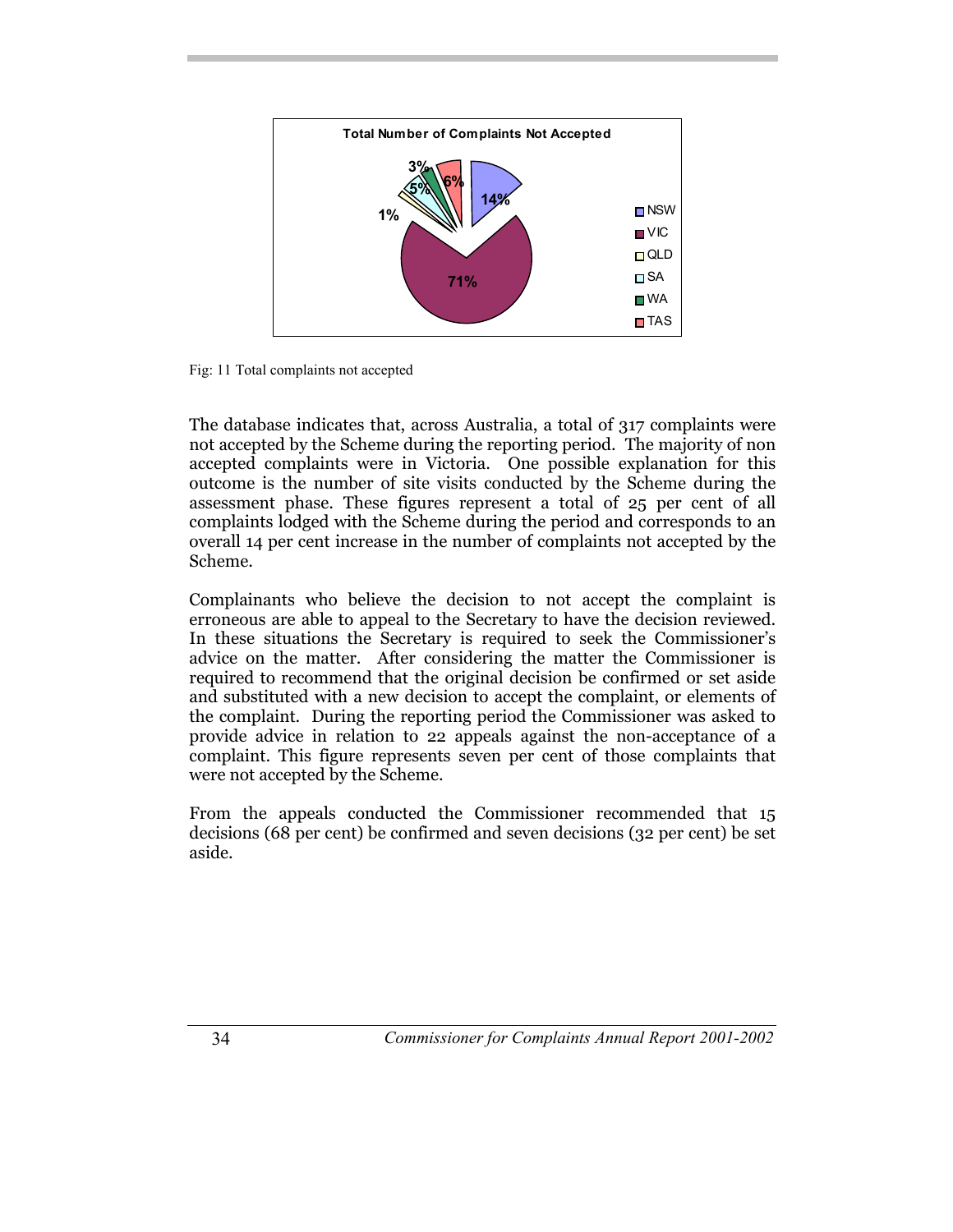

Fig: 11 Total complaints not accepted

The database indicates that, across Australia, a total of 317 complaints were not accepted by the Scheme during the reporting period. The majority of non accepted complaints were in Victoria. One possible explanation for this outcome is the number of site visits conducted by the Scheme during the assessment phase. These figures represent a total of 25 per cent of all complaints lodged with the Scheme during the period and corresponds to an overall 14 per cent increase in the number of complaints not accepted by the Scheme.

Complainants who believe the decision to not accept the complaint is erroneous are able to appeal to the Secretary to have the decision reviewed. In these situations the Secretary is required to seek the Commissioner's advice on the matter. After considering the matter the Commissioner is required to recommend that the original decision be confirmed or set aside and substituted with a new decision to accept the complaint, or elements of the complaint. During the reporting period the Commissioner was asked to provide advice in relation to 22 appeals against the non-acceptance of a complaint. This figure represents seven per cent of those complaints that were not accepted by the Scheme.

From the appeals conducted the Commissioner recommended that 15 decisions (68 per cent) be confirmed and seven decisions (32 per cent) be set aside.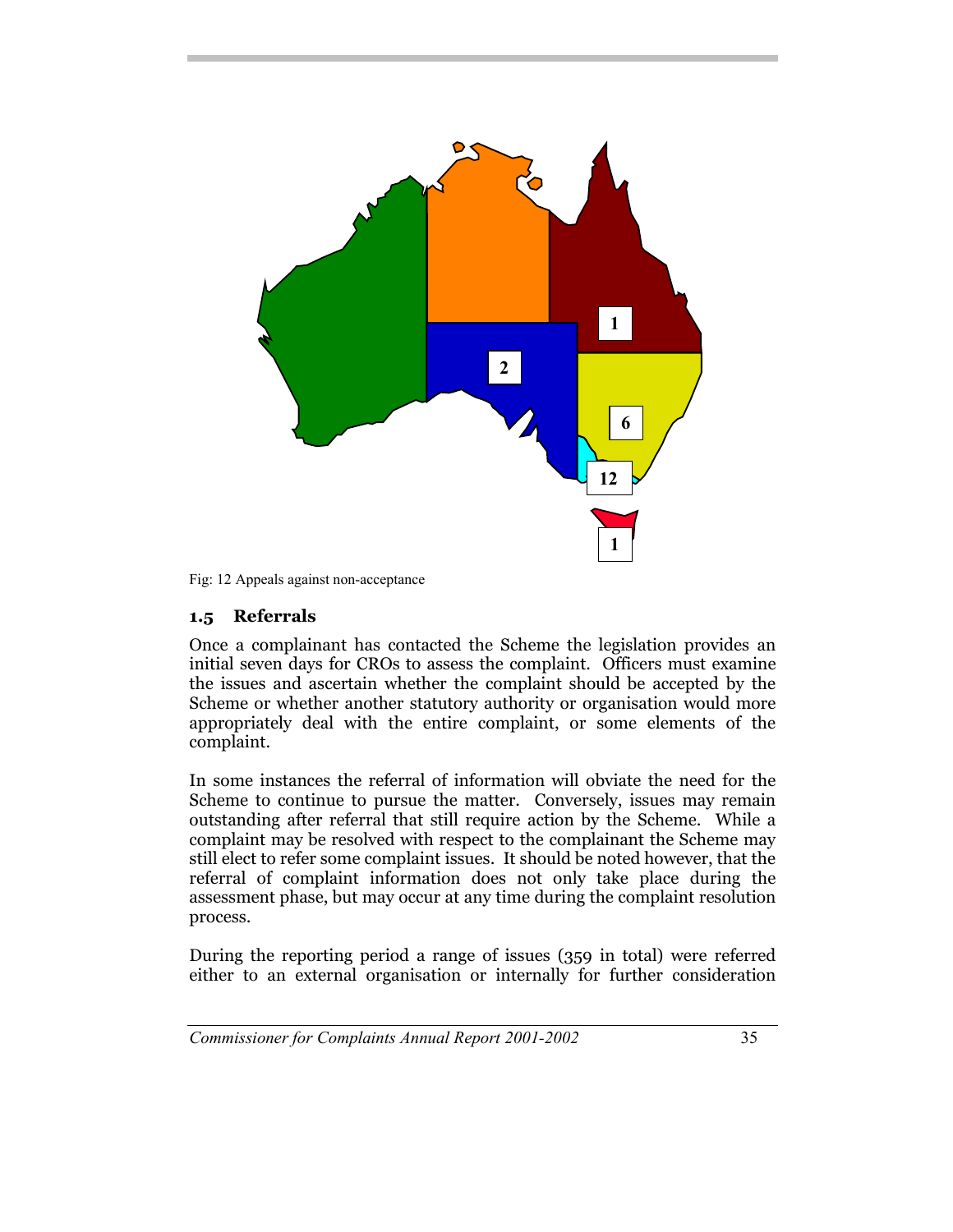

Fig: 12 Appeals against non-acceptance

#### **1.5 Referrals**

Once a complainant has contacted the Scheme the legislation provides an initial seven days for CROs to assess the complaint. Officers must examine the issues and ascertain whether the complaint should be accepted by the Scheme or whether another statutory authority or organisation would more appropriately deal with the entire complaint, or some elements of the complaint.

In some instances the referral of information will obviate the need for the Scheme to continue to pursue the matter. Conversely, issues may remain outstanding after referral that still require action by the Scheme. While a complaint may be resolved with respect to the complainant the Scheme may still elect to refer some complaint issues. It should be noted however, that the referral of complaint information does not only take place during the assessment phase, but may occur at any time during the complaint resolution process.

During the reporting period a range of issues (359 in total) were referred either to an external organisation or internally for further consideration

*Commissioner for Complaints Annual Report 2001-2002* 35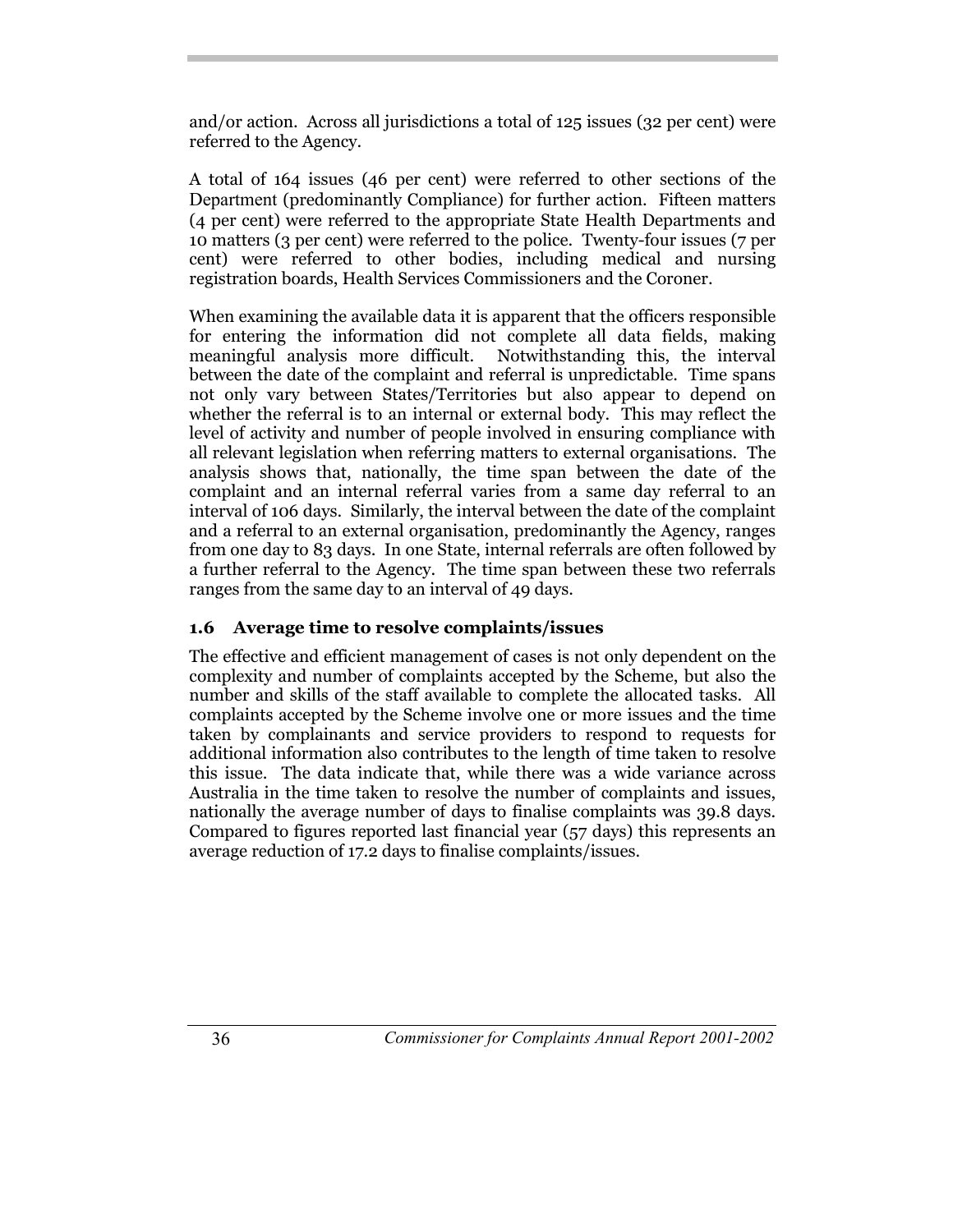and/or action. Across all jurisdictions a total of 125 issues (32 per cent) were referred to the Agency.

A total of 164 issues (46 per cent) were referred to other sections of the Department (predominantly Compliance) for further action. Fifteen matters (4 per cent) were referred to the appropriate State Health Departments and 10 matters (3 per cent) were referred to the police. Twenty-four issues (7 per cent) were referred to other bodies, including medical and nursing registration boards, Health Services Commissioners and the Coroner.

When examining the available data it is apparent that the officers responsible for entering the information did not complete all data fields, making meaningful analysis more difficult. Notwithstanding this, the interval between the date of the complaint and referral is unpredictable. Time spans not only vary between States/Territories but also appear to depend on whether the referral is to an internal or external body. This may reflect the level of activity and number of people involved in ensuring compliance with all relevant legislation when referring matters to external organisations. The analysis shows that, nationally, the time span between the date of the complaint and an internal referral varies from a same day referral to an interval of 106 days. Similarly, the interval between the date of the complaint and a referral to an external organisation, predominantly the Agency, ranges from one day to 83 days. In one State, internal referrals are often followed by a further referral to the Agency. The time span between these two referrals ranges from the same day to an interval of 49 days.

## **1.6 Average time to resolve complaints/issues**

The effective and efficient management of cases is not only dependent on the complexity and number of complaints accepted by the Scheme, but also the number and skills of the staff available to complete the allocated tasks. All complaints accepted by the Scheme involve one or more issues and the time taken by complainants and service providers to respond to requests for additional information also contributes to the length of time taken to resolve this issue. The data indicate that, while there was a wide variance across Australia in the time taken to resolve the number of complaints and issues, nationally the average number of days to finalise complaints was 39.8 days. Compared to figures reported last financial year (57 days) this represents an average reduction of 17.2 days to finalise complaints/issues.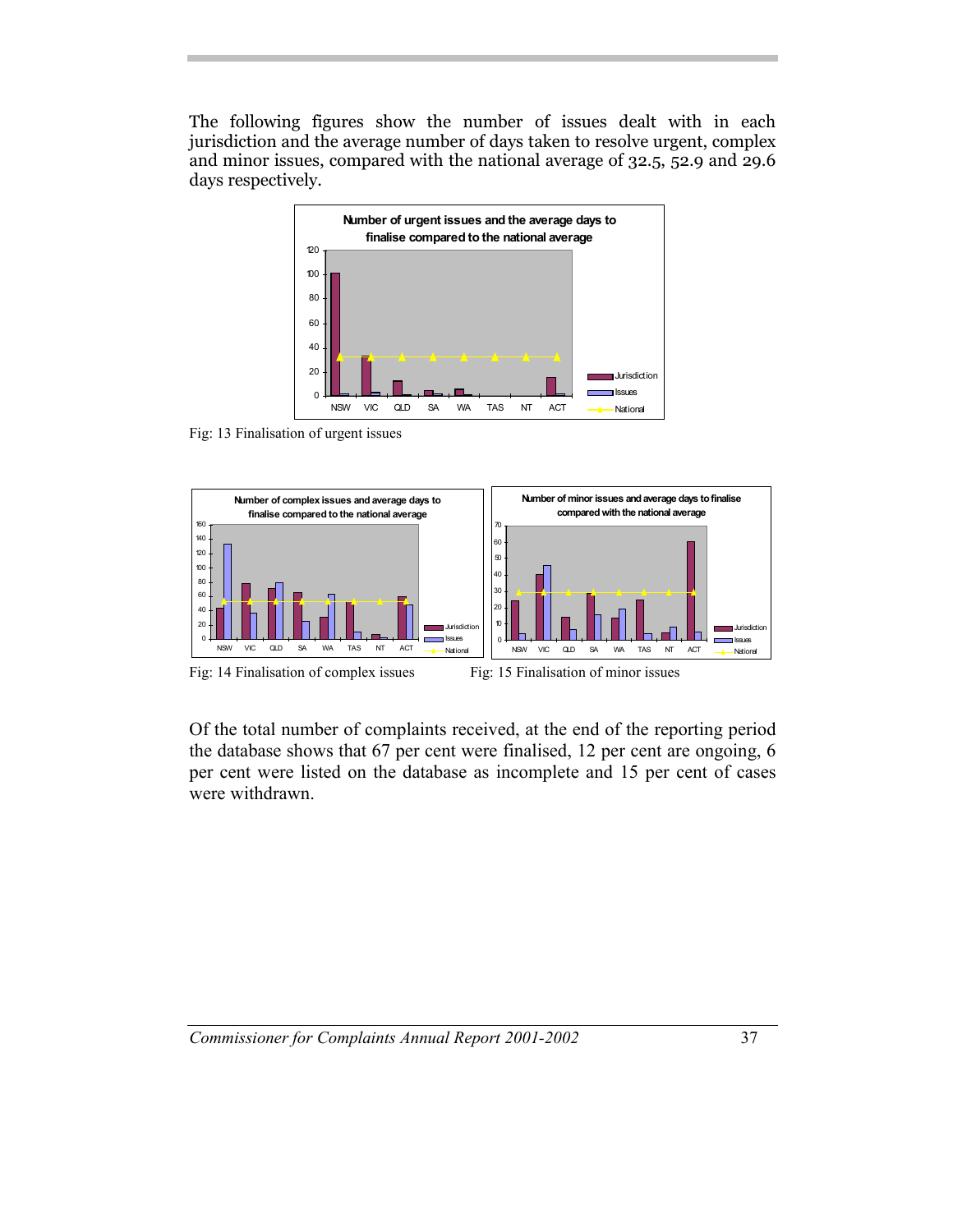The following figures show the number of issues dealt with in each jurisdiction and the average number of days taken to resolve urgent, complex and minor issues, compared with the national average of 32.5, 52.9 and 29.6 days respectively.



Fig: 13 Finalisation of urgent issues



Of the total number of complaints received, at the end of the reporting period the database shows that 67 per cent were finalised, 12 per cent are ongoing, 6 per cent were listed on the database as incomplete and 15 per cent of cases were withdrawn.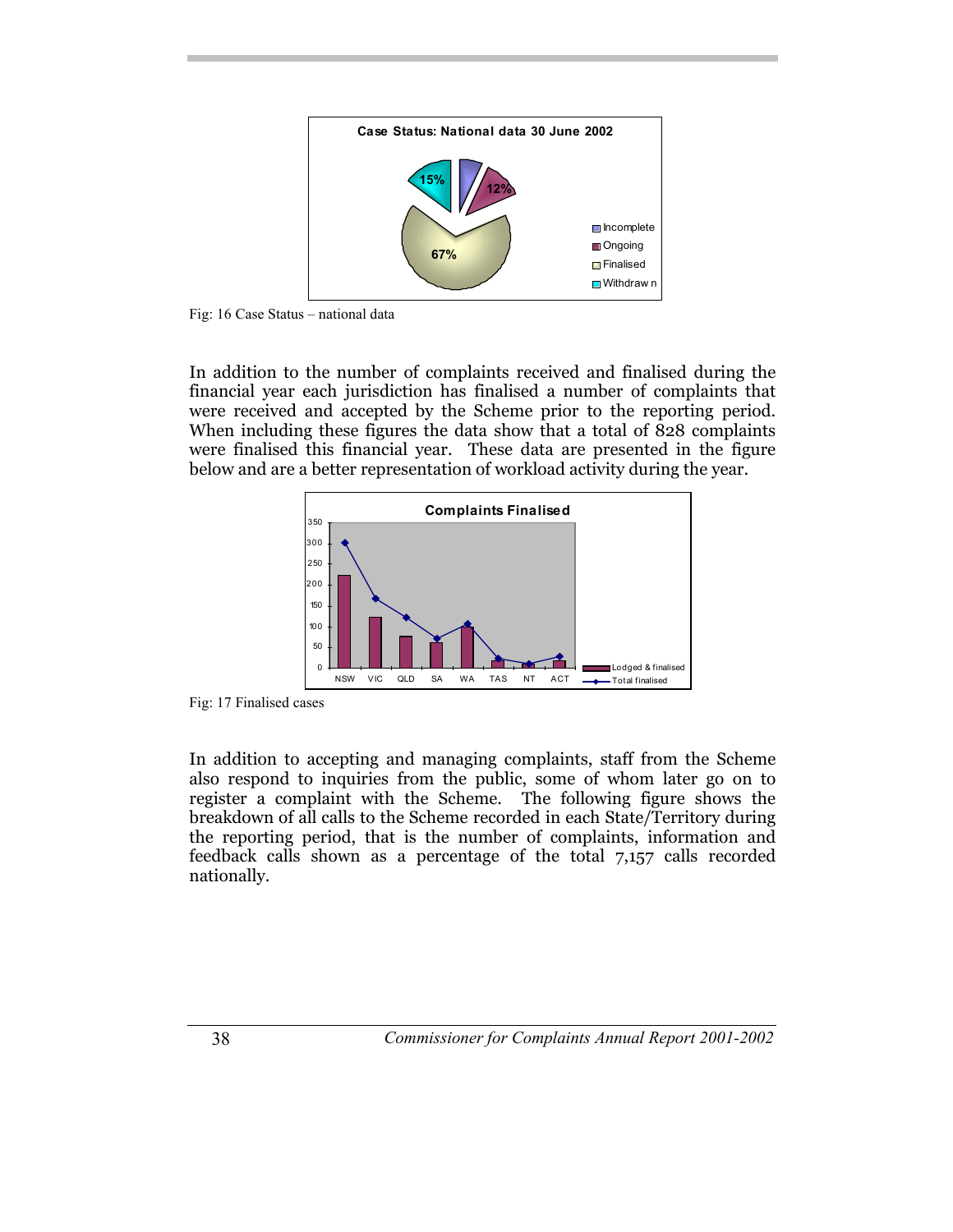

Fig: 16 Case Status – national data

In addition to the number of complaints received and finalised during the financial year each jurisdiction has finalised a number of complaints that were received and accepted by the Scheme prior to the reporting period. When including these figures the data show that a total of 828 complaints were finalised this financial year. These data are presented in the figure below and are a better representation of workload activity during the year.



Fig: 17 Finalised cases

In addition to accepting and managing complaints, staff from the Scheme also respond to inquiries from the public, some of whom later go on to register a complaint with the Scheme. The following figure shows the breakdown of all calls to the Scheme recorded in each State/Territory during the reporting period, that is the number of complaints, information and feedback calls shown as a percentage of the total 7,157 calls recorded nationally.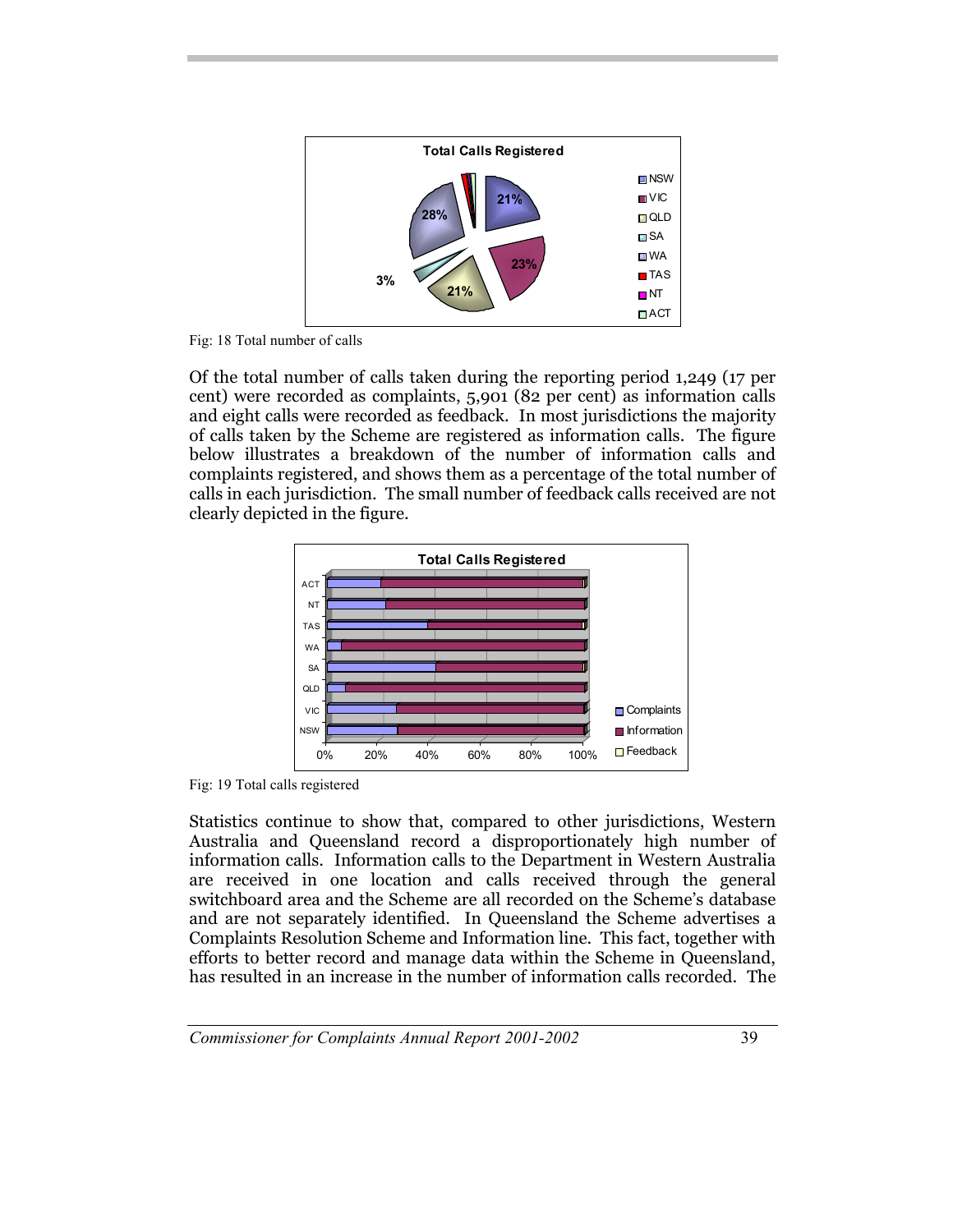

Fig: 18 Total number of calls

Of the total number of calls taken during the reporting period 1,249 (17 per cent) were recorded as complaints, 5,901 (82 per cent) as information calls and eight calls were recorded as feedback. In most jurisdictions the majority of calls taken by the Scheme are registered as information calls. The figure below illustrates a breakdown of the number of information calls and complaints registered, and shows them as a percentage of the total number of calls in each jurisdiction. The small number of feedback calls received are not clearly depicted in the figure.



Fig: 19 Total calls registered

Statistics continue to show that, compared to other jurisdictions, Western Australia and Queensland record a disproportionately high number of information calls. Information calls to the Department in Western Australia are received in one location and calls received through the general switchboard area and the Scheme are all recorded on the Scheme's database and are not separately identified. In Queensland the Scheme advertises a Complaints Resolution Scheme and Information line. This fact, together with efforts to better record and manage data within the Scheme in Queensland, has resulted in an increase in the number of information calls recorded. The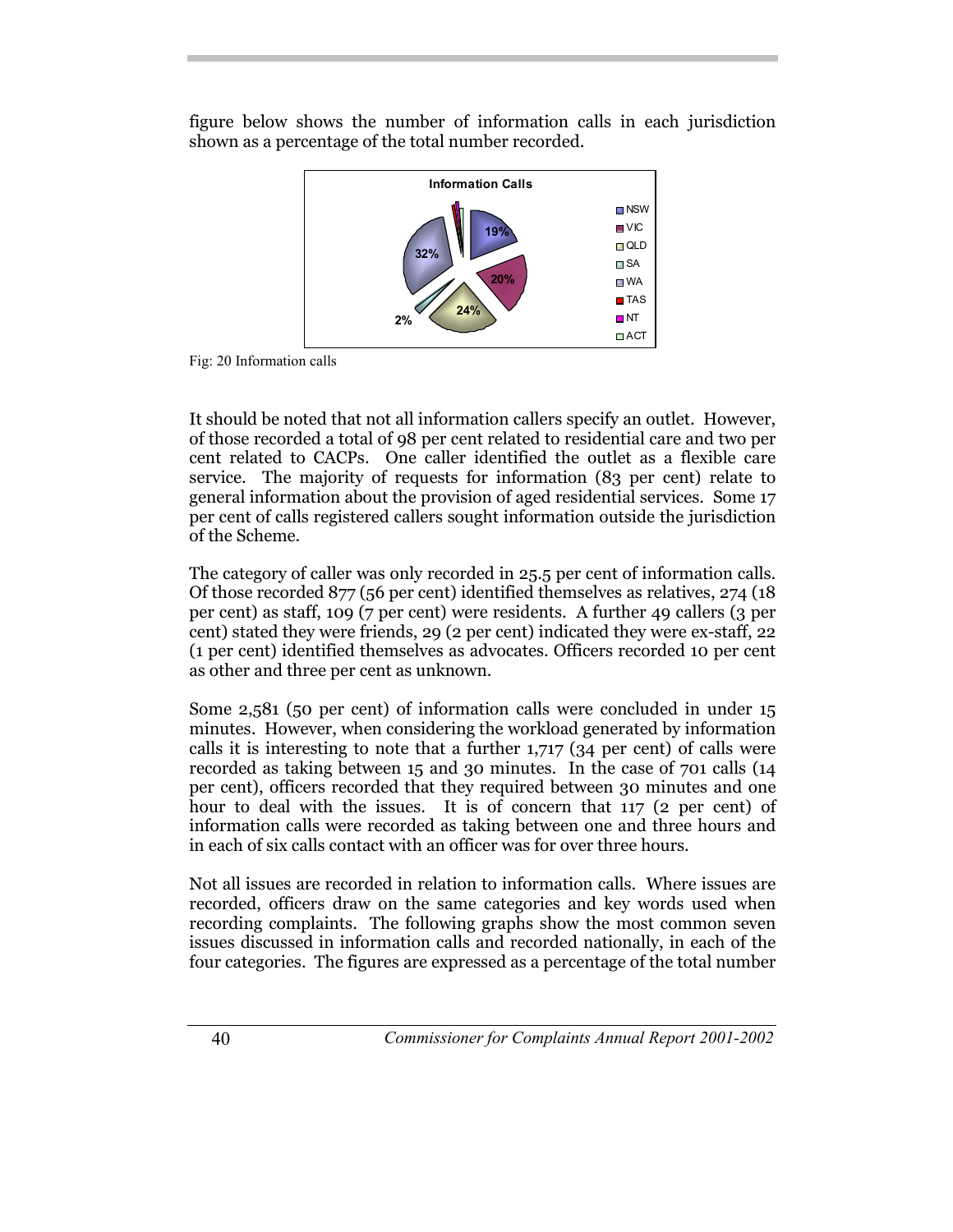figure below shows the number of information calls in each jurisdiction shown as a percentage of the total number recorded.



Fig: 20 Information calls

It should be noted that not all information callers specify an outlet. However, of those recorded a total of 98 per cent related to residential care and two per cent related to CACPs. One caller identified the outlet as a flexible care service. The majority of requests for information (83 per cent) relate to general information about the provision of aged residential services. Some 17 per cent of calls registered callers sought information outside the jurisdiction of the Scheme.

The category of caller was only recorded in 25.5 per cent of information calls. Of those recorded 877 (56 per cent) identified themselves as relatives, 274 (18 per cent) as staff, 109 (7 per cent) were residents. A further 49 callers (3 per cent) stated they were friends, 29 (2 per cent) indicated they were ex-staff, 22 (1 per cent) identified themselves as advocates. Officers recorded 10 per cent as other and three per cent as unknown.

Some 2,581 (50 per cent) of information calls were concluded in under 15 minutes. However, when considering the workload generated by information calls it is interesting to note that a further 1,717 (34 per cent) of calls were recorded as taking between 15 and 30 minutes. In the case of 701 calls (14 per cent), officers recorded that they required between 30 minutes and one hour to deal with the issues. It is of concern that 117 (2 per cent) of information calls were recorded as taking between one and three hours and in each of six calls contact with an officer was for over three hours.

Not all issues are recorded in relation to information calls. Where issues are recorded, officers draw on the same categories and key words used when recording complaints. The following graphs show the most common seven issues discussed in information calls and recorded nationally, in each of the four categories. The figures are expressed as a percentage of the total number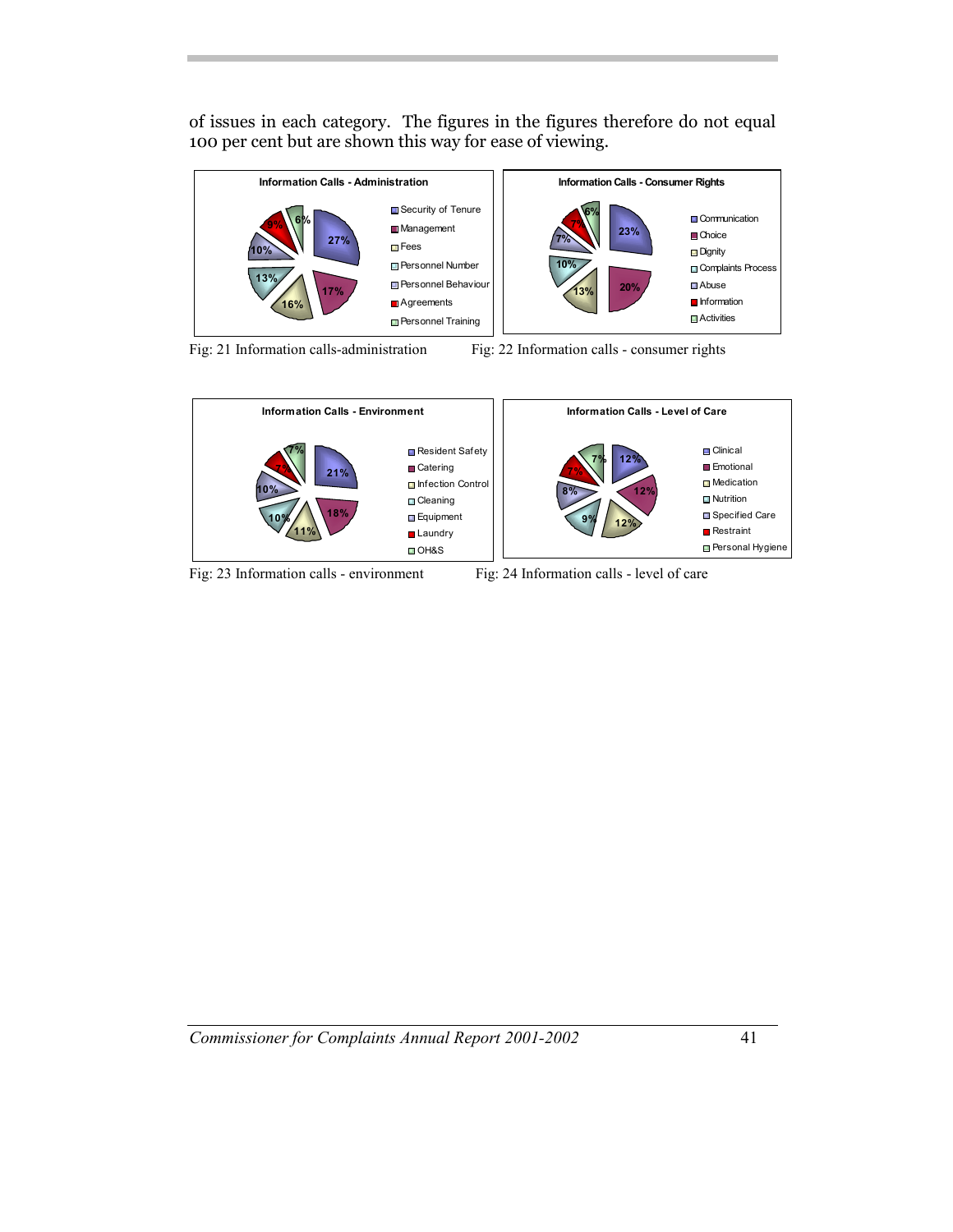of issues in each category. The figures in the figures therefore do not equal 100 per cent but are shown this way for ease of viewing.



Fig: 21 Information calls-administration Fig: 22 Information calls - consumer rights



Fig: 23 Information calls - environment Fig: 24 Information calls - level of care

*Commissioner for Complaints Annual Report 2001-2002* 41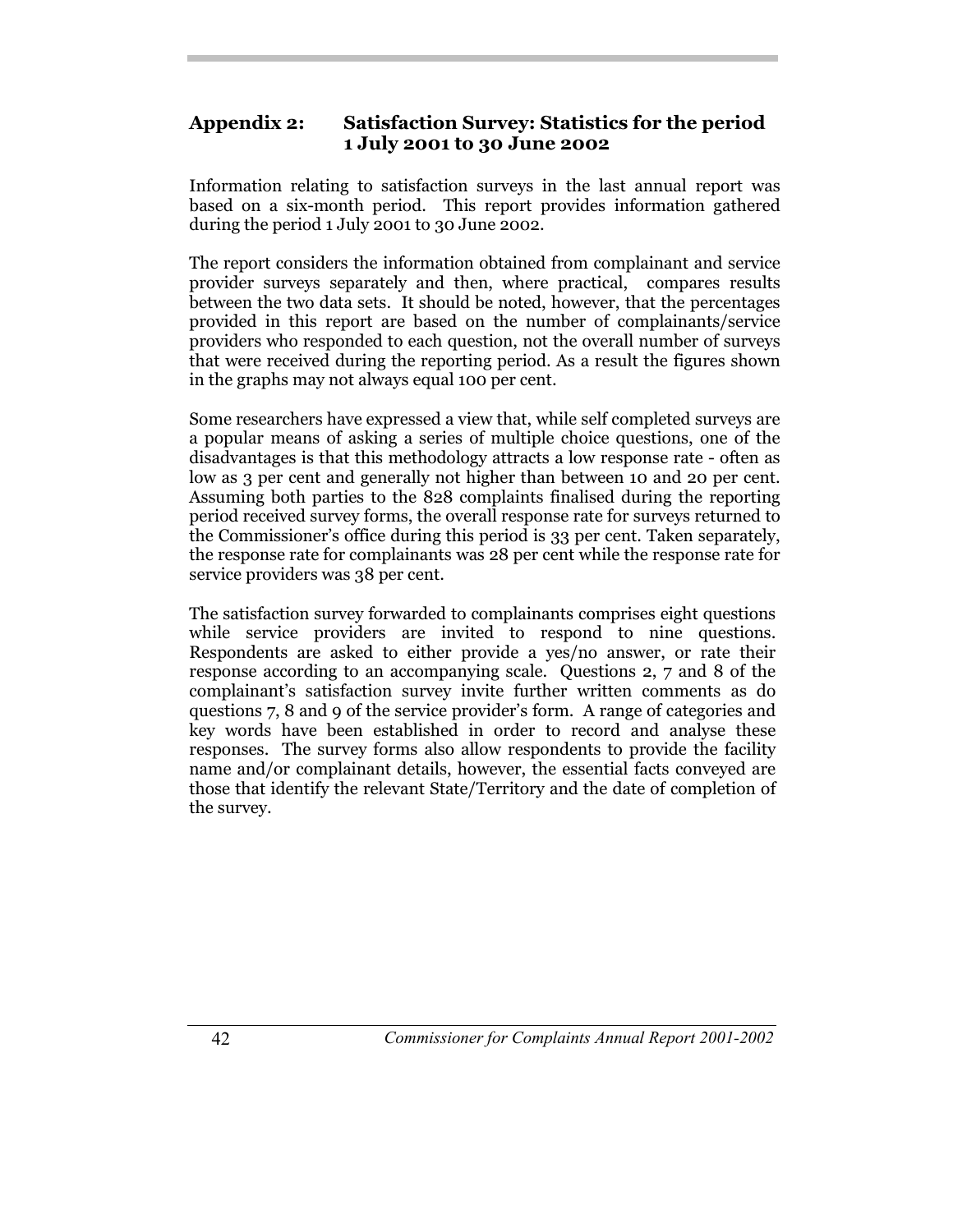## **Appendix 2: Satisfaction Survey: Statistics for the period 1 July 2001 to 30 June 2002**

Information relating to satisfaction surveys in the last annual report was based on a six-month period. This report provides information gathered during the period 1 July 2001 to 30 June 2002.

The report considers the information obtained from complainant and service provider surveys separately and then, where practical, compares results between the two data sets. It should be noted, however, that the percentages provided in this report are based on the number of complainants/service providers who responded to each question, not the overall number of surveys that were received during the reporting period. As a result the figures shown in the graphs may not always equal 100 per cent.

Some researchers have expressed a view that, while self completed surveys are a popular means of asking a series of multiple choice questions, one of the disadvantages is that this methodology attracts a low response rate - often as low as 3 per cent and generally not higher than between 10 and 20 per cent. Assuming both parties to the 828 complaints finalised during the reporting period received survey forms, the overall response rate for surveys returned to the Commissioner's office during this period is 33 per cent. Taken separately, the response rate for complainants was 28 per cent while the response rate for service providers was 38 per cent.

The satisfaction survey forwarded to complainants comprises eight questions while service providers are invited to respond to nine questions. Respondents are asked to either provide a yes/no answer, or rate their response according to an accompanying scale. Questions 2, 7 and 8 of the complainant's satisfaction survey invite further written comments as do questions 7, 8 and 9 of the service provider's form. A range of categories and key words have been established in order to record and analyse these responses. The survey forms also allow respondents to provide the facility name and/or complainant details, however, the essential facts conveyed are those that identify the relevant State/Territory and the date of completion of the survey.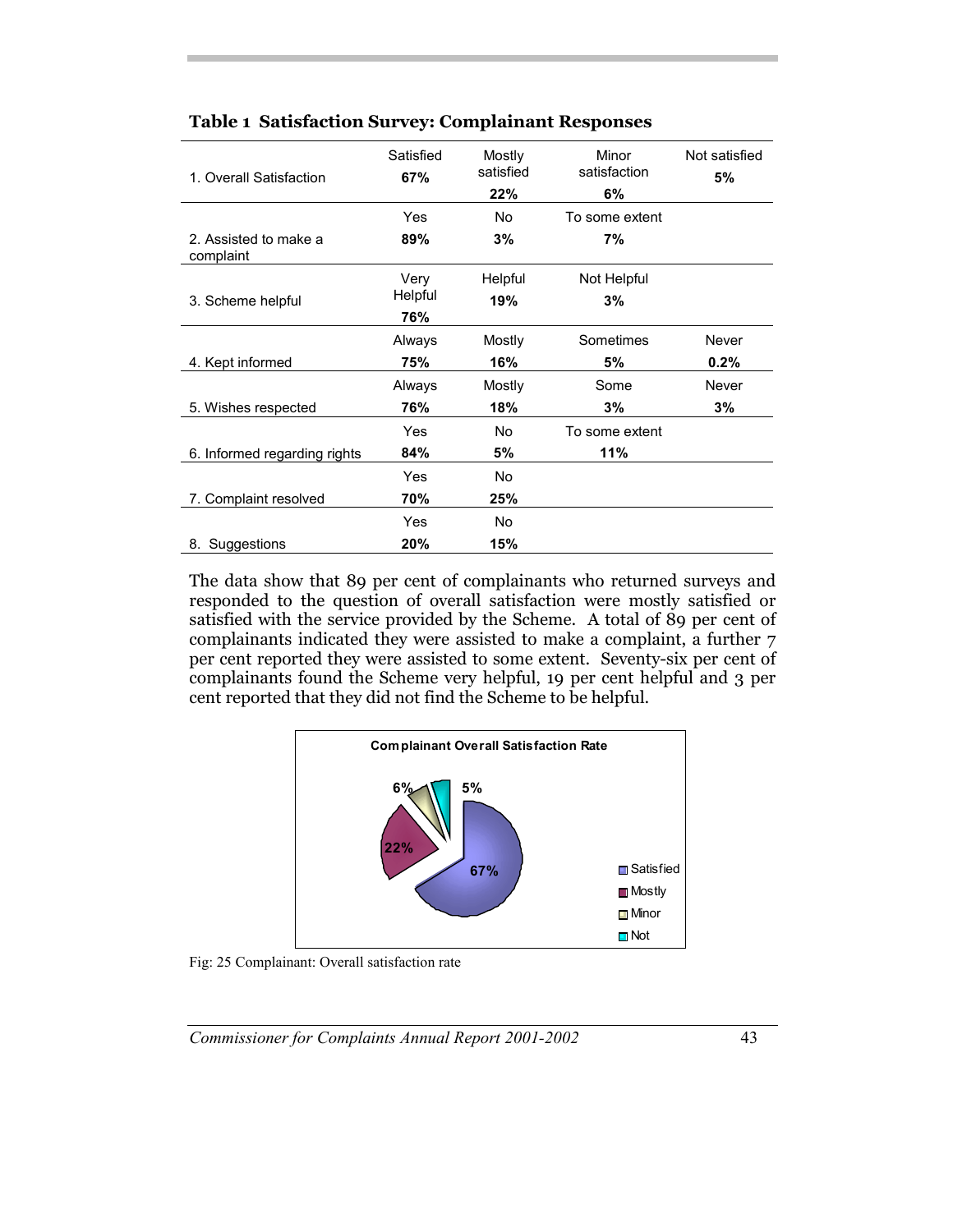| 1. Overall Satisfaction            | Satisfied<br>67% | Mostly<br>satisfied<br>22% | Minor<br>satisfaction<br>6% | Not satisfied<br>5% |
|------------------------------------|------------------|----------------------------|-----------------------------|---------------------|
|                                    | Yes              | <b>No</b>                  | To some extent              |                     |
| 2. Assisted to make a<br>complaint | 89%              | 3%                         | 7%                          |                     |
|                                    | Very             | Helpful                    | Not Helpful                 |                     |
| 3. Scheme helpful                  | Helpful          | 19%                        | 3%                          |                     |
|                                    | 76%              |                            |                             |                     |
|                                    | Always           | Mostly                     | Sometimes                   | Never               |
| 4. Kept informed                   | 75%              | 16%                        | 5%                          | 0.2%                |
|                                    | Always           | Mostly                     | Some                        | Never               |
| 5. Wishes respected                | 76%              | 18%                        | 3%                          | 3%                  |
|                                    | Yes              | No.                        | To some extent              |                     |
| 6. Informed regarding rights       | 84%              | 5%                         | 11%                         |                     |
|                                    | Yes              | <b>No</b>                  |                             |                     |
| 7. Complaint resolved              | 70%              | 25%                        |                             |                     |
|                                    | Yes              | <b>No</b>                  |                             |                     |
| 8. Suggestions                     | 20%              | 15%                        |                             |                     |

#### **Table 1 Satisfaction Survey: Complainant Responses**

The data show that 89 per cent of complainants who returned surveys and responded to the question of overall satisfaction were mostly satisfied or satisfied with the service provided by the Scheme. A total of 89 per cent of complainants indicated they were assisted to make a complaint, a further 7 per cent reported they were assisted to some extent. Seventy-six per cent of complainants found the Scheme very helpful, 19 per cent helpful and 3 per cent reported that they did not find the Scheme to be helpful.



Fig: 25 Complainant: Overall satisfaction rate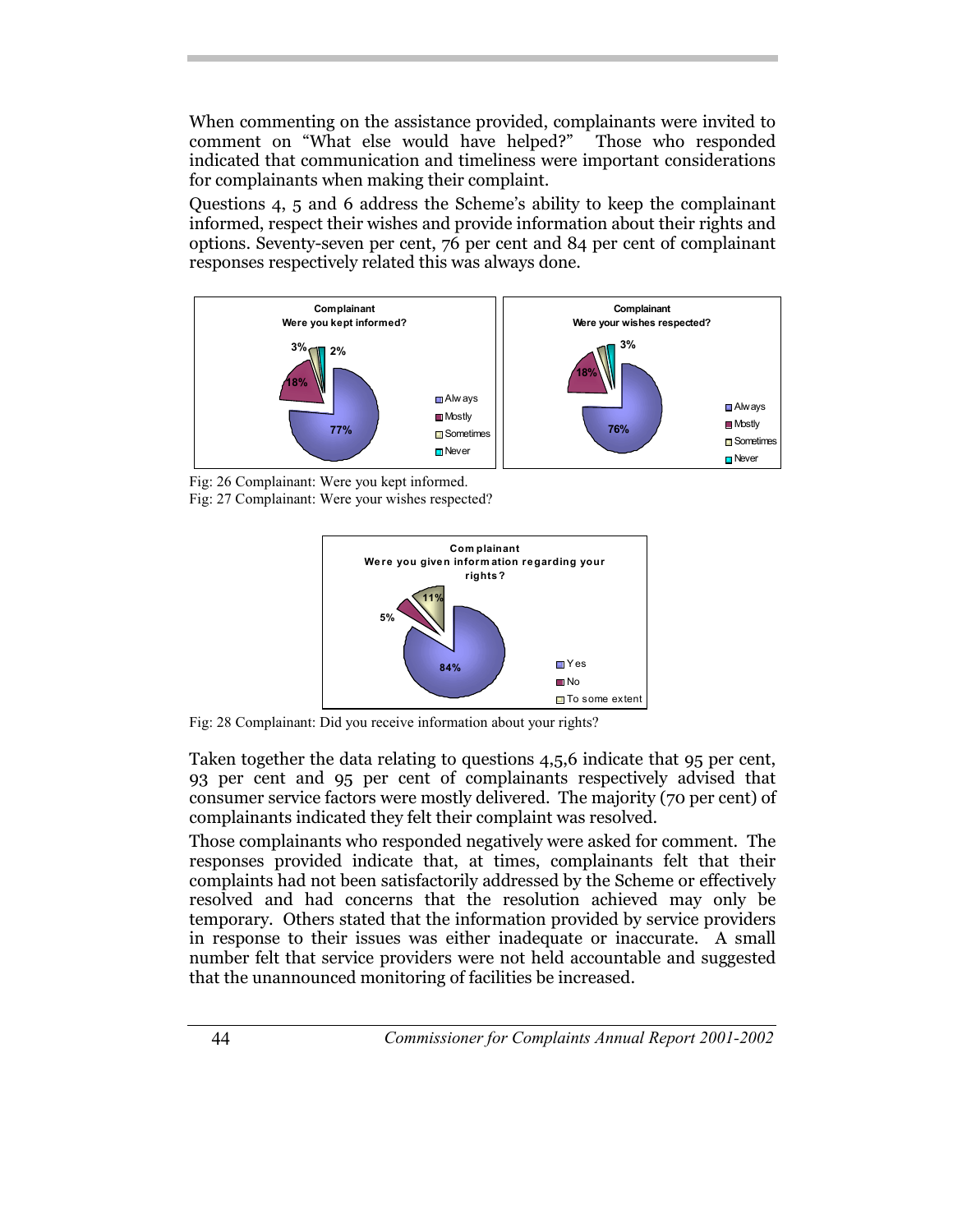When commenting on the assistance provided, complainants were invited to comment on "What else would have helped?" Those who responded indicated that communication and timeliness were important considerations for complainants when making their complaint.

Questions 4, 5 and 6 address the Scheme's ability to keep the complainant informed, respect their wishes and provide information about their rights and options. Seventy-seven per cent, 76 per cent and 84 per cent of complainant responses respectively related this was always done.



Fig: 26 Complainant: Were you kept informed. Fig: 27 Complainant: Were your wishes respected?



Fig: 28 Complainant: Did you receive information about your rights?

Taken together the data relating to questions 4,5,6 indicate that 95 per cent, 93 per cent and 95 per cent of complainants respectively advised that consumer service factors were mostly delivered. The majority (70 per cent) of complainants indicated they felt their complaint was resolved.

Those complainants who responded negatively were asked for comment. The responses provided indicate that, at times, complainants felt that their complaints had not been satisfactorily addressed by the Scheme or effectively resolved and had concerns that the resolution achieved may only be temporary. Others stated that the information provided by service providers in response to their issues was either inadequate or inaccurate. A small number felt that service providers were not held accountable and suggested that the unannounced monitoring of facilities be increased.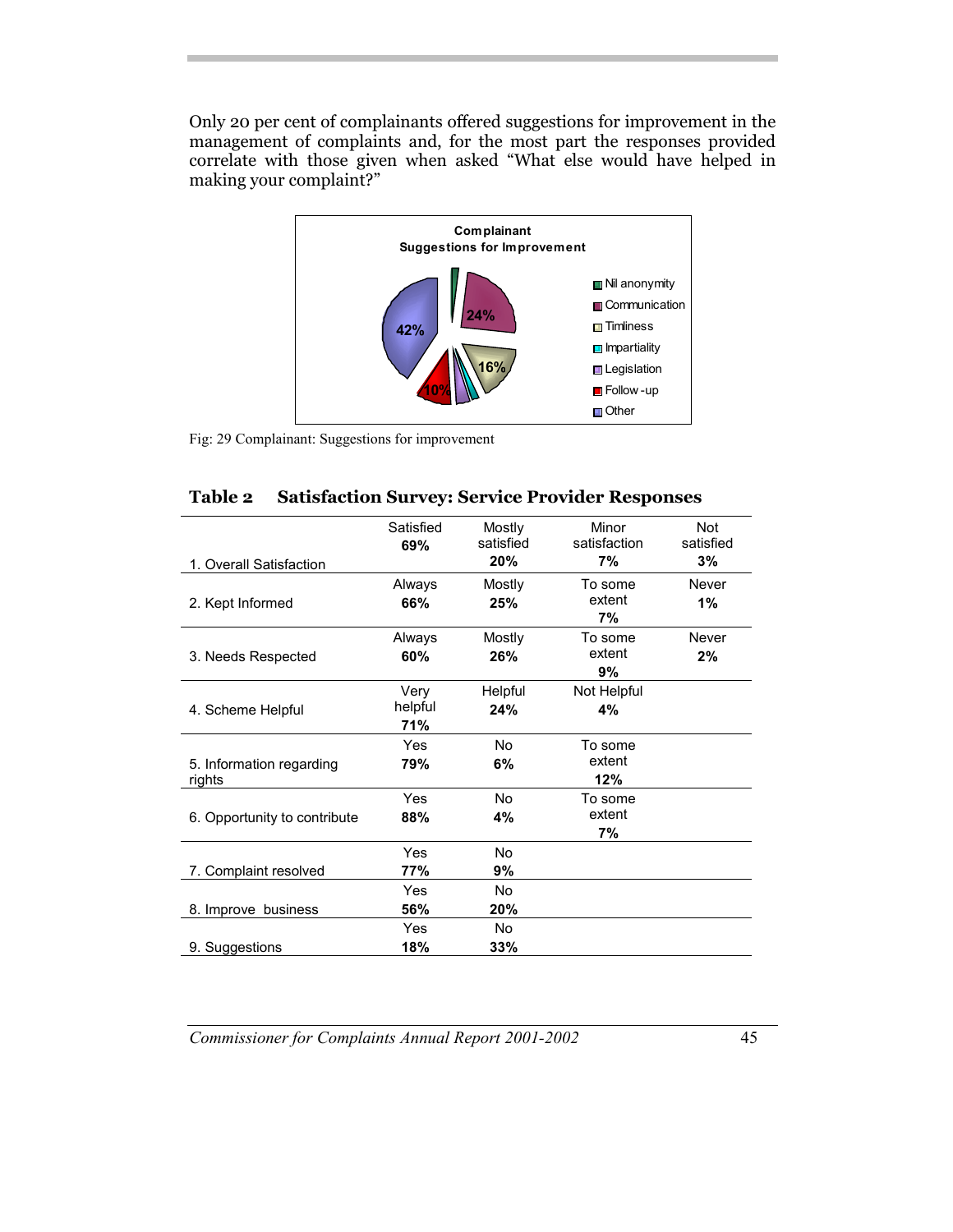Only 20 per cent of complainants offered suggestions for improvement in the management of complaints and, for the most part the responses provided correlate with those given when asked "What else would have helped in making your complaint?"



Fig: 29 Complainant: Suggestions for improvement

| Table 2 Satisfaction Survey: Service Provider Responses |
|---------------------------------------------------------|
|---------------------------------------------------------|

|                                    | Satisfied<br>69%       | Mostly<br>satisfied<br>20% | Minor<br>satisfaction<br>7% | <b>Not</b><br>satisfied<br>3% |
|------------------------------------|------------------------|----------------------------|-----------------------------|-------------------------------|
| 1. Overall Satisfaction            |                        |                            | To some                     | Never                         |
| 2. Kept Informed                   | Always<br>66%          | Mostly<br>25%              | extent<br>7%                | 1%                            |
| 3. Needs Respected                 | Always<br>60%          | Mostly<br>26%              | To some<br>extent<br>9%     | Never<br>2%                   |
| 4. Scheme Helpful                  | Very<br>helpful<br>71% | Helpful<br>24%             | Not Helpful<br>4%           |                               |
| 5. Information regarding<br>rights | Yes<br>79%             | <b>No</b><br>6%            | To some<br>extent<br>12%    |                               |
| 6. Opportunity to contribute       | Yes<br>88%             | <b>No</b><br>4%            | To some<br>extent<br>7%     |                               |
| 7. Complaint resolved              | Yes<br>77%             | <b>No</b><br>9%            |                             |                               |
| 8. Improve business                | Yes<br>56%             | No<br>20%                  |                             |                               |
| 9. Suggestions                     | Yes<br>18%             | <b>No</b><br>33%           |                             |                               |

*Commissioner for Complaints Annual Report 2001-2002* 45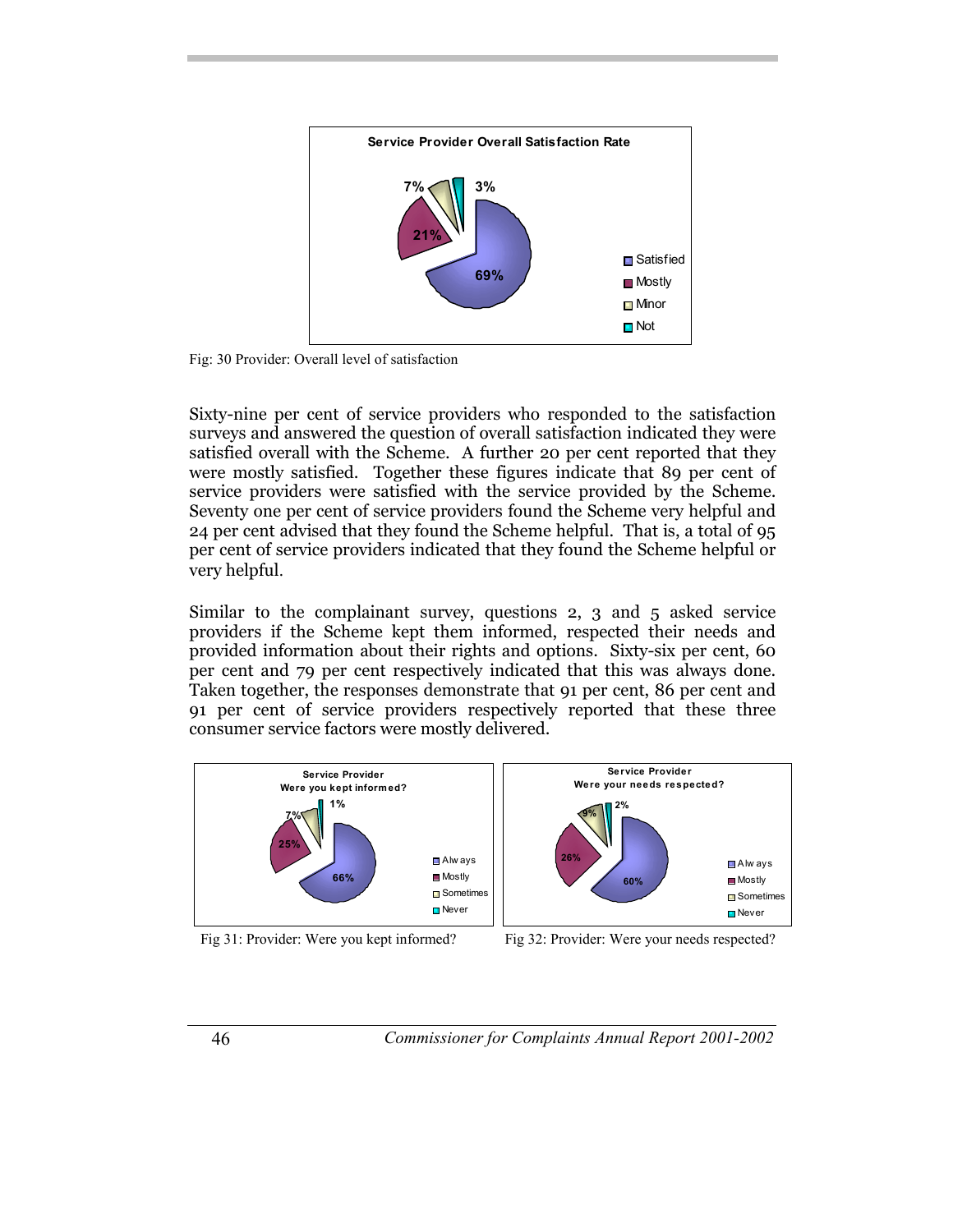

Fig: 30 Provider: Overall level of satisfaction

Sixty-nine per cent of service providers who responded to the satisfaction surveys and answered the question of overall satisfaction indicated they were satisfied overall with the Scheme. A further 20 per cent reported that they were mostly satisfied. Together these figures indicate that 89 per cent of service providers were satisfied with the service provided by the Scheme. Seventy one per cent of service providers found the Scheme very helpful and 24 per cent advised that they found the Scheme helpful. That is, a total of 95 per cent of service providers indicated that they found the Scheme helpful or very helpful.

Similar to the complainant survey, questions 2, 3 and 5 asked service providers if the Scheme kept them informed, respected their needs and provided information about their rights and options. Sixty-six per cent, 60 per cent and 79 per cent respectively indicated that this was always done. Taken together, the responses demonstrate that 91 per cent, 86 per cent and 91 per cent of service providers respectively reported that these three consumer service factors were mostly delivered.



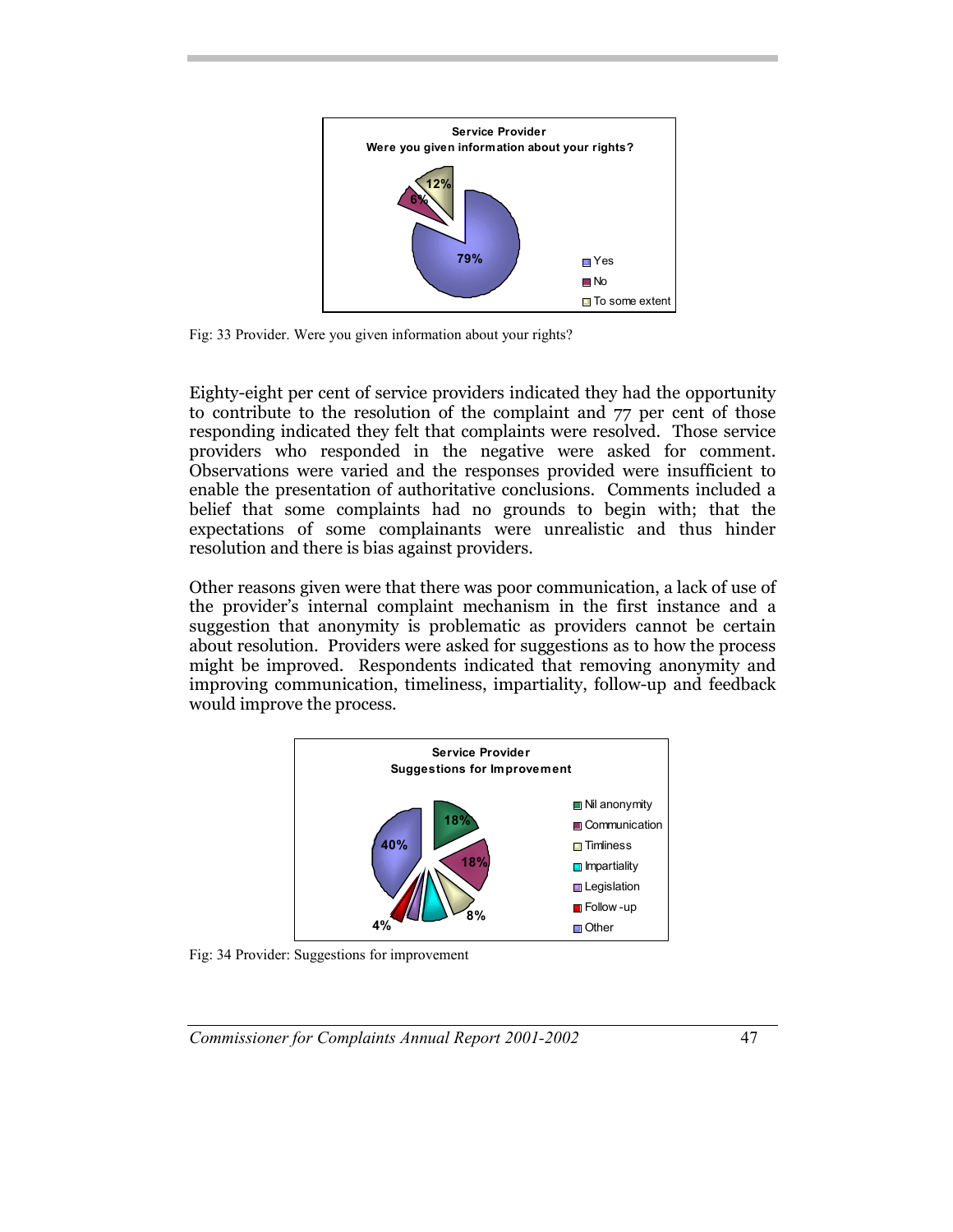

Fig: 33 Provider. Were you given information about your rights?

Eighty-eight per cent of service providers indicated they had the opportunity to contribute to the resolution of the complaint and 77 per cent of those responding indicated they felt that complaints were resolved. Those service providers who responded in the negative were asked for comment. Observations were varied and the responses provided were insufficient to enable the presentation of authoritative conclusions. Comments included a belief that some complaints had no grounds to begin with; that the expectations of some complainants were unrealistic and thus hinder resolution and there is bias against providers.

Other reasons given were that there was poor communication, a lack of use of the provider's internal complaint mechanism in the first instance and a suggestion that anonymity is problematic as providers cannot be certain about resolution. Providers were asked for suggestions as to how the process might be improved. Respondents indicated that removing anonymity and improving communication, timeliness, impartiality, follow-up and feedback would improve the process.



Fig: 34 Provider: Suggestions for improvement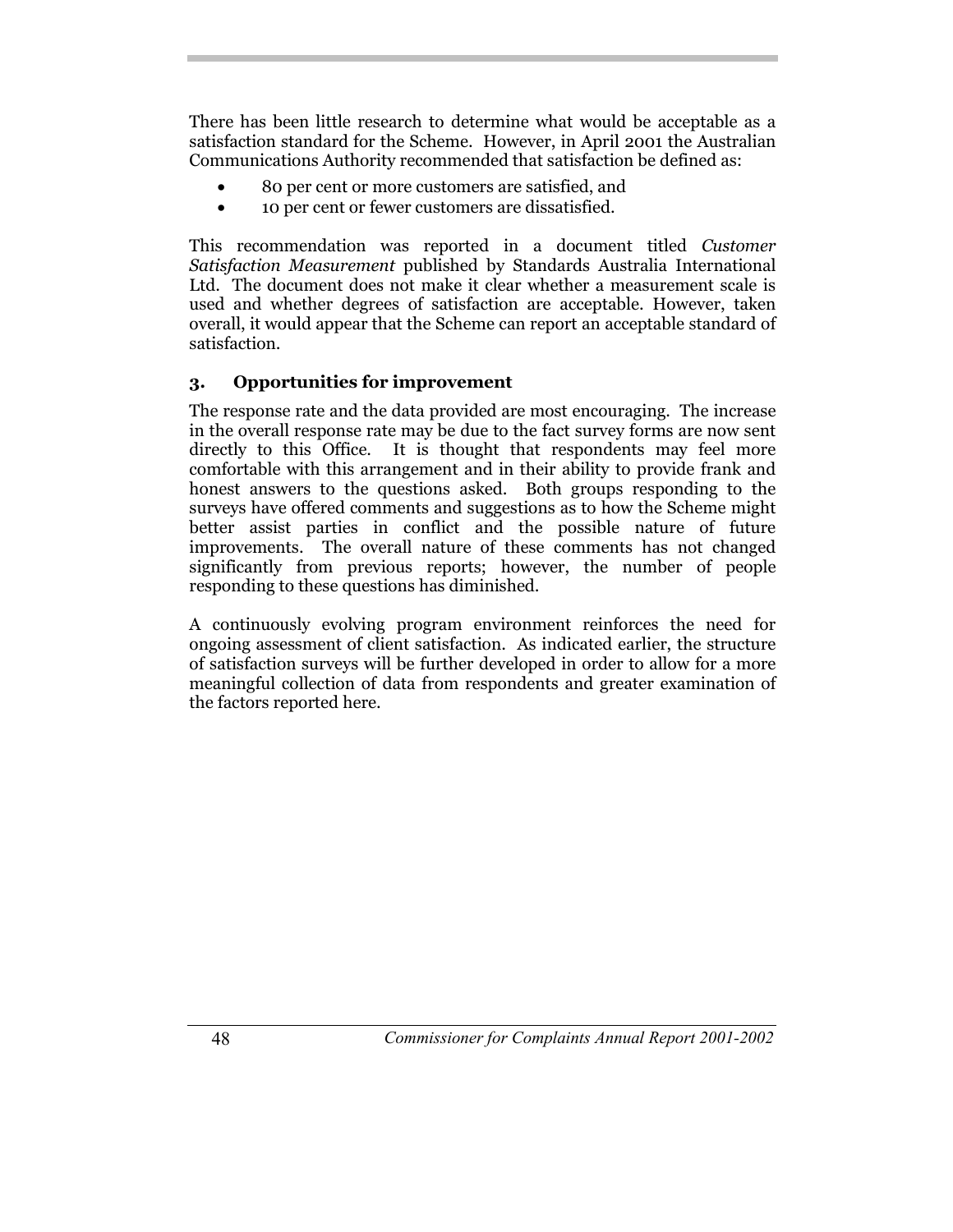There has been little research to determine what would be acceptable as a satisfaction standard for the Scheme. However, in April 2001 the Australian Communications Authority recommended that satisfaction be defined as:

- 80 per cent or more customers are satisfied, and
- 10 per cent or fewer customers are dissatisfied.

This recommendation was reported in a document titled *Customer Satisfaction Measurement* published by Standards Australia International Ltd. The document does not make it clear whether a measurement scale is used and whether degrees of satisfaction are acceptable. However, taken overall, it would appear that the Scheme can report an acceptable standard of satisfaction.

## **3. Opportunities for improvement**

The response rate and the data provided are most encouraging. The increase in the overall response rate may be due to the fact survey forms are now sent directly to this Office. It is thought that respondents may feel more comfortable with this arrangement and in their ability to provide frank and honest answers to the questions asked. Both groups responding to the surveys have offered comments and suggestions as to how the Scheme might better assist parties in conflict and the possible nature of future improvements. The overall nature of these comments has not changed significantly from previous reports; however, the number of people responding to these questions has diminished.

A continuously evolving program environment reinforces the need for ongoing assessment of client satisfaction. As indicated earlier, the structure of satisfaction surveys will be further developed in order to allow for a more meaningful collection of data from respondents and greater examination of the factors reported here.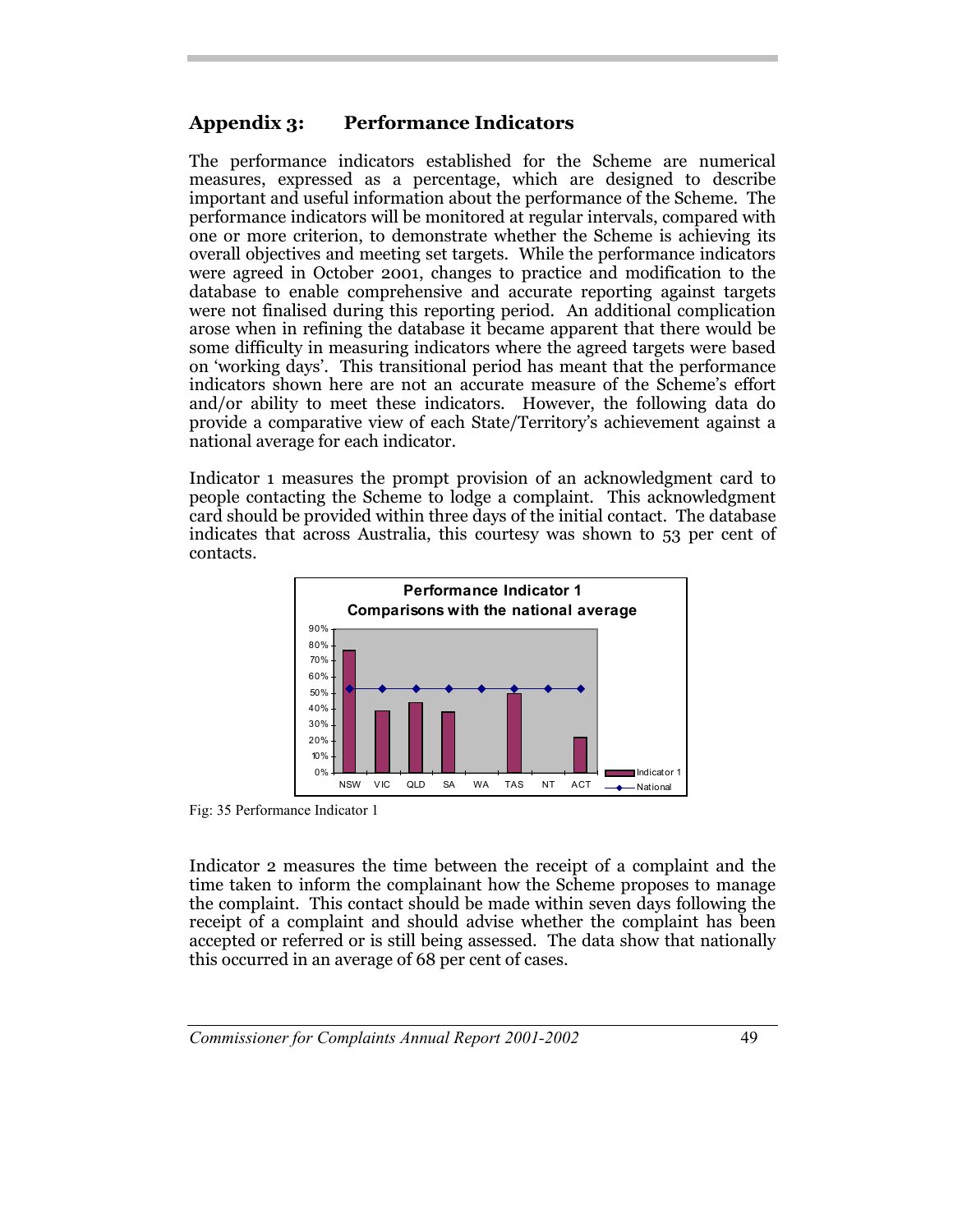## **Appendix 3: Performance Indicators**

The performance indicators established for the Scheme are numerical measures, expressed as a percentage, which are designed to describe important and useful information about the performance of the Scheme. The performance indicators will be monitored at regular intervals, compared with one or more criterion, to demonstrate whether the Scheme is achieving its overall objectives and meeting set targets. While the performance indicators were agreed in October 2001, changes to practice and modification to the database to enable comprehensive and accurate reporting against targets were not finalised during this reporting period. An additional complication arose when in refining the database it became apparent that there would be some difficulty in measuring indicators where the agreed targets were based on 'working days'. This transitional period has meant that the performance indicators shown here are not an accurate measure of the Scheme's effort and/or ability to meet these indicators. However, the following data do provide a comparative view of each State/Territory's achievement against a national average for each indicator.

Indicator 1 measures the prompt provision of an acknowledgment card to people contacting the Scheme to lodge a complaint. This acknowledgment card should be provided within three days of the initial contact. The database indicates that across Australia, this courtesy was shown to 53 per cent of contacts.



Fig: 35 Performance Indicator 1

Indicator 2 measures the time between the receipt of a complaint and the time taken to inform the complainant how the Scheme proposes to manage the complaint. This contact should be made within seven days following the receipt of a complaint and should advise whether the complaint has been accepted or referred or is still being assessed. The data show that nationally this occurred in an average of 68 per cent of cases.

*Commissioner for Complaints Annual Report 2001-2002* 49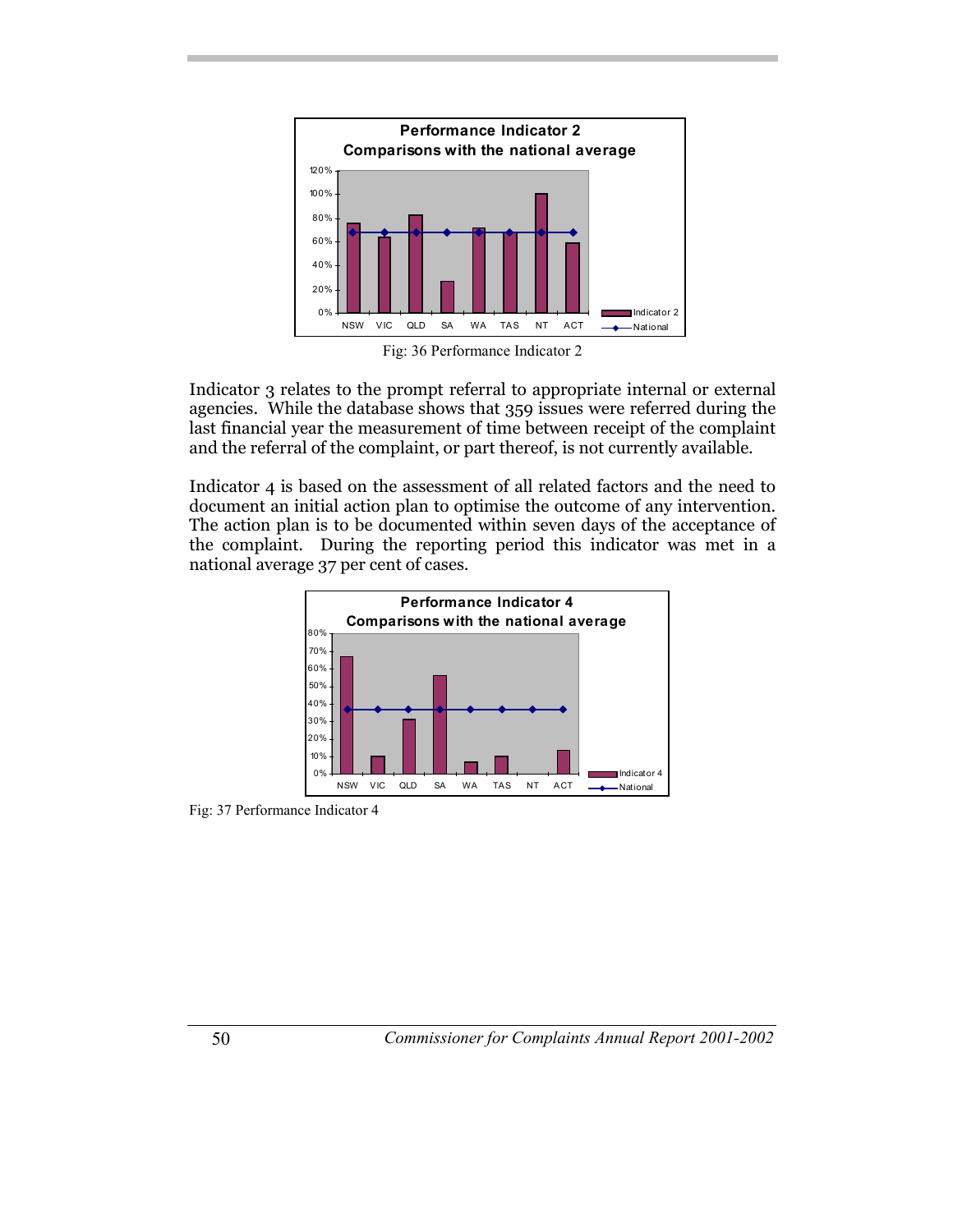

Fig: 36 Performance Indicator 2

Indicator 3 relates to the prompt referral to appropriate internal or external agencies. While the database shows that 359 issues were referred during the last financial year the measurement of time between receipt of the complaint and the referral of the complaint, or part thereof, is not currently available.

Indicator 4 is based on the assessment of all related factors and the need to document an initial action plan to optimise the outcome of any intervention. The action plan is to be documented within seven days of the acceptance of the complaint. During the reporting period this indicator was met in a national average 37 per cent of cases.



Fig: 37 Performance Indicator 4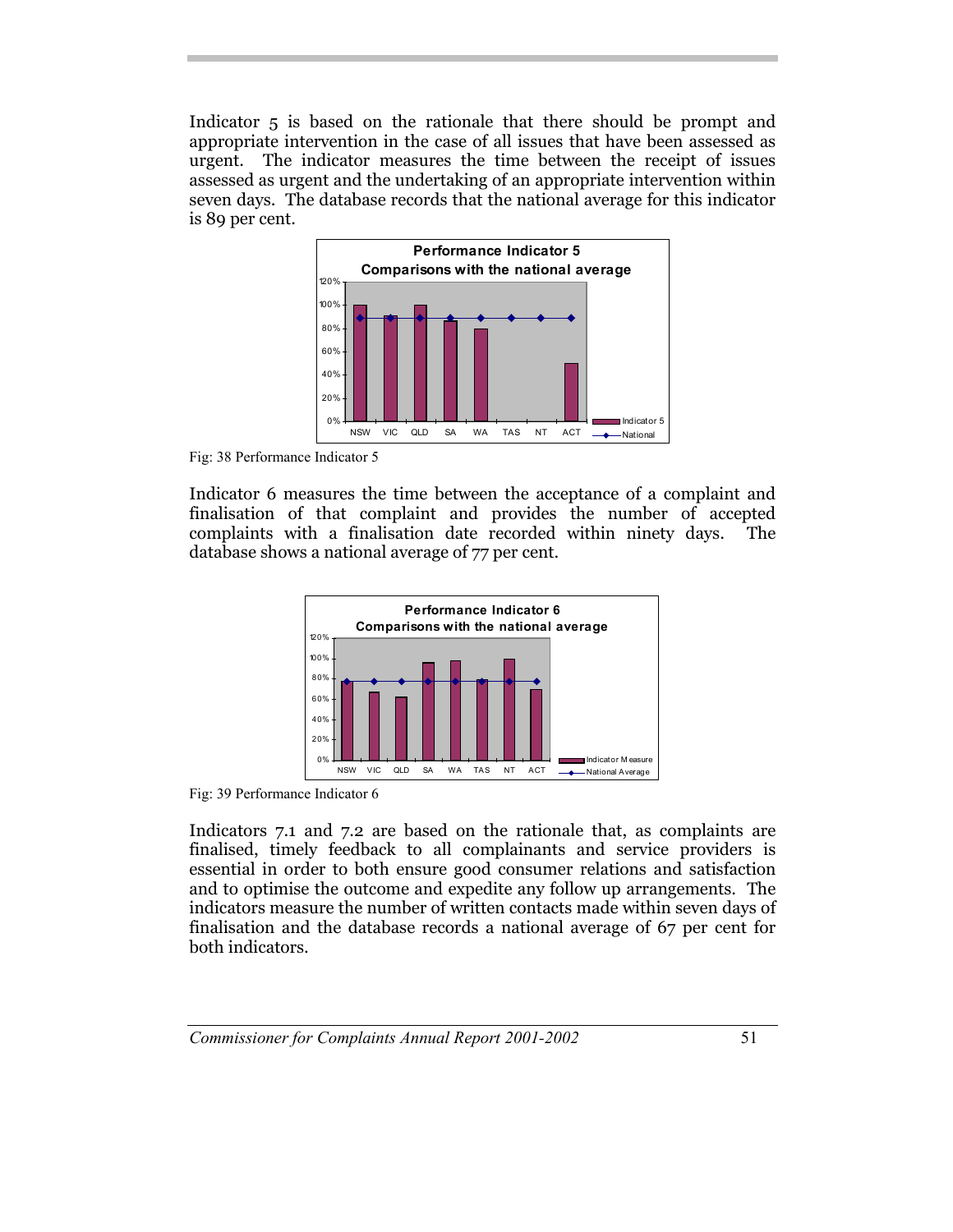Indicator 5 is based on the rationale that there should be prompt and appropriate intervention in the case of all issues that have been assessed as urgent. The indicator measures the time between the receipt of issues assessed as urgent and the undertaking of an appropriate intervention within seven days. The database records that the national average for this indicator is 89 per cent.



Fig: 38 Performance Indicator 5

Indicator 6 measures the time between the acceptance of a complaint and finalisation of that complaint and provides the number of accepted complaints with a finalisation date recorded within ninety days. The database shows a national average of 77 per cent.



Fig: 39 Performance Indicator 6

Indicators 7.1 and 7.2 are based on the rationale that, as complaints are finalised, timely feedback to all complainants and service providers is essential in order to both ensure good consumer relations and satisfaction and to optimise the outcome and expedite any follow up arrangements. The indicators measure the number of written contacts made within seven days of finalisation and the database records a national average of 67 per cent for both indicators.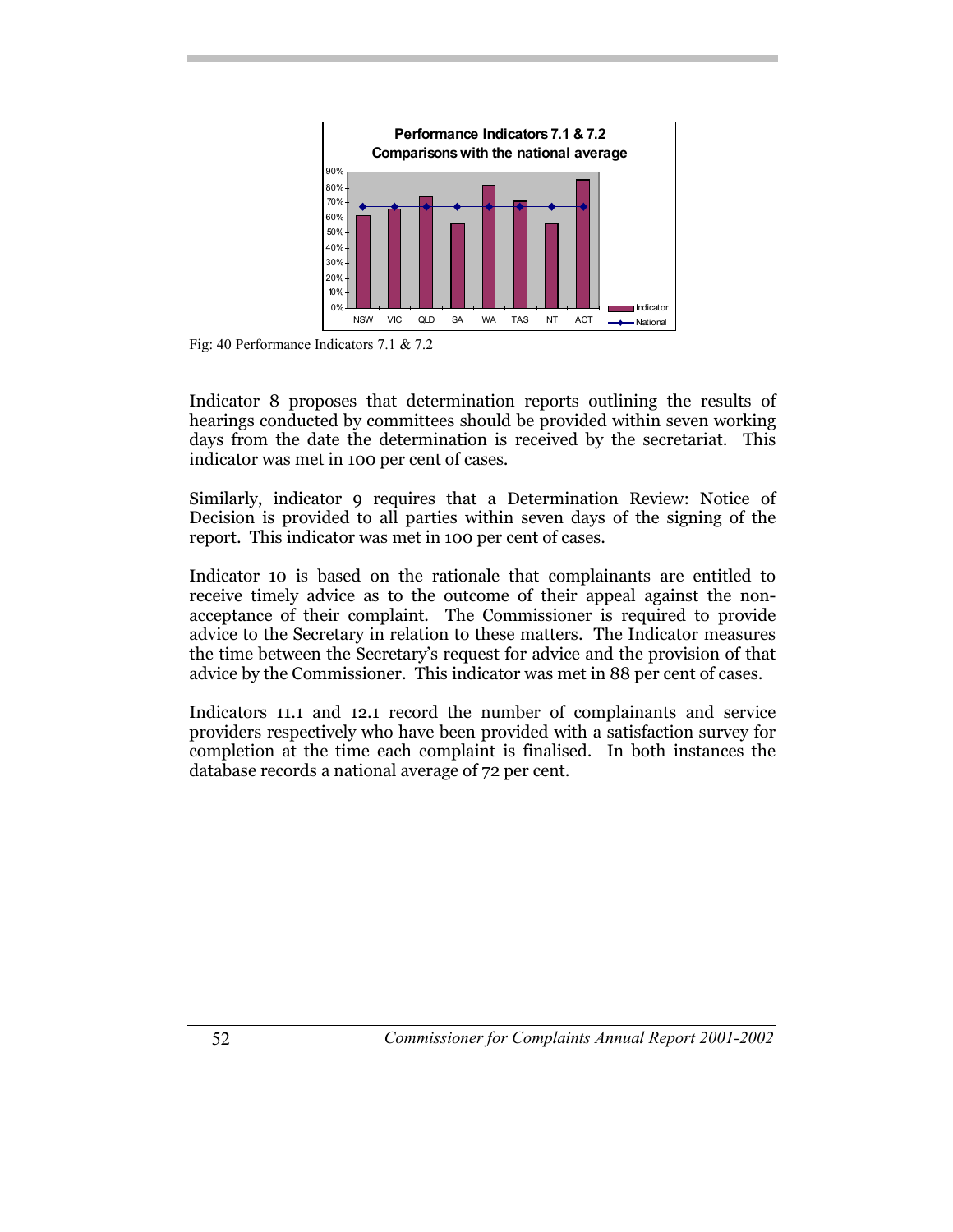

Fig: 40 Performance Indicators 7.1 & 7.2

Indicator 8 proposes that determination reports outlining the results of hearings conducted by committees should be provided within seven working days from the date the determination is received by the secretariat. This indicator was met in 100 per cent of cases.

Similarly, indicator 9 requires that a Determination Review: Notice of Decision is provided to all parties within seven days of the signing of the report. This indicator was met in 100 per cent of cases.

Indicator 10 is based on the rationale that complainants are entitled to receive timely advice as to the outcome of their appeal against the nonacceptance of their complaint. The Commissioner is required to provide advice to the Secretary in relation to these matters. The Indicator measures the time between the Secretary's request for advice and the provision of that advice by the Commissioner. This indicator was met in 88 per cent of cases.

Indicators 11.1 and 12.1 record the number of complainants and service providers respectively who have been provided with a satisfaction survey for completion at the time each complaint is finalised. In both instances the database records a national average of 72 per cent.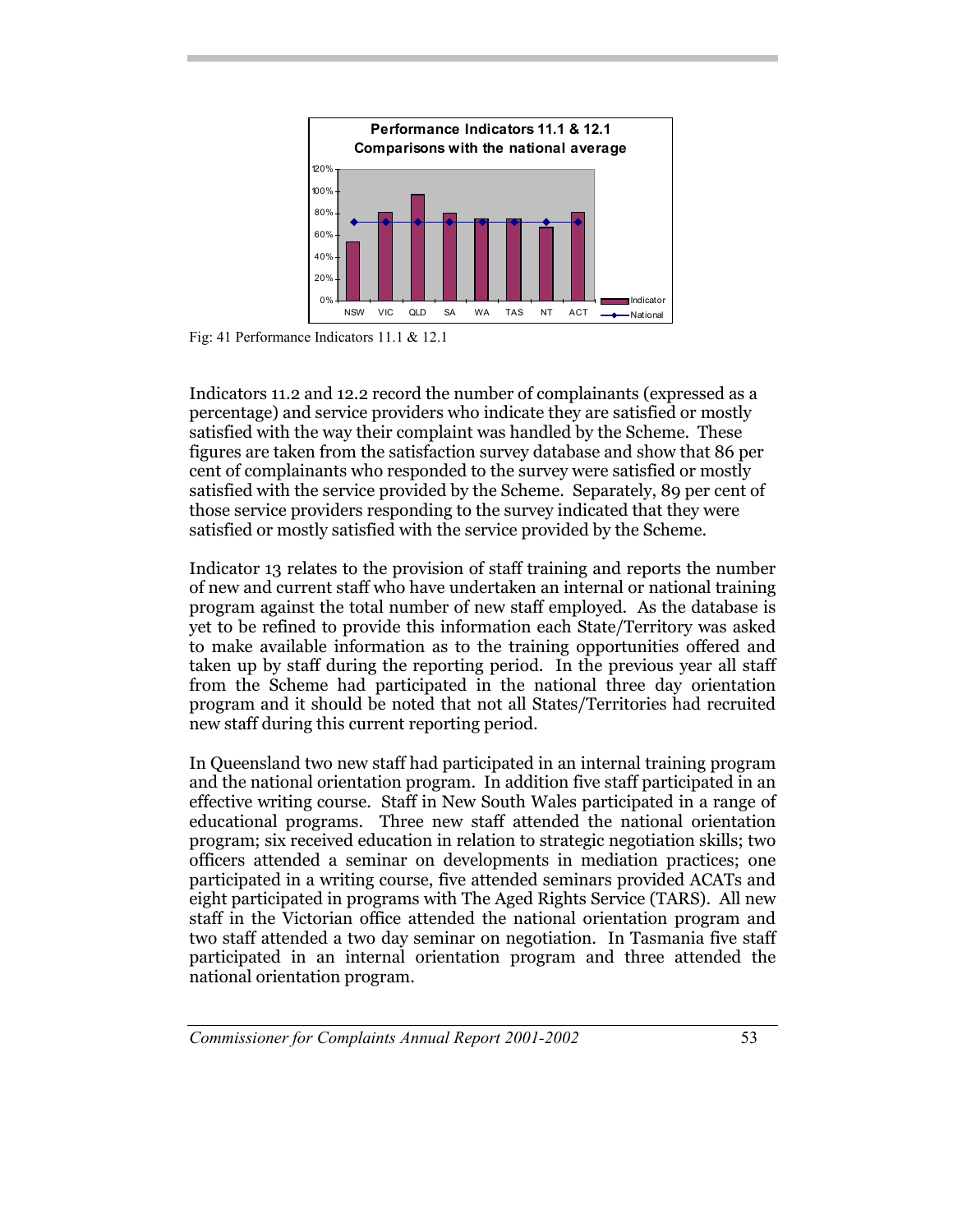

Fig: 41 Performance Indicators 11.1 & 12.1

Indicators 11.2 and 12.2 record the number of complainants (expressed as a percentage) and service providers who indicate they are satisfied or mostly satisfied with the way their complaint was handled by the Scheme. These figures are taken from the satisfaction survey database and show that 86 per cent of complainants who responded to the survey were satisfied or mostly satisfied with the service provided by the Scheme. Separately, 89 per cent of those service providers responding to the survey indicated that they were satisfied or mostly satisfied with the service provided by the Scheme.

Indicator 13 relates to the provision of staff training and reports the number of new and current staff who have undertaken an internal or national training program against the total number of new staff employed. As the database is yet to be refined to provide this information each State/Territory was asked to make available information as to the training opportunities offered and taken up by staff during the reporting period. In the previous year all staff from the Scheme had participated in the national three day orientation program and it should be noted that not all States/Territories had recruited new staff during this current reporting period.

In Queensland two new staff had participated in an internal training program and the national orientation program. In addition five staff participated in an effective writing course. Staff in New South Wales participated in a range of educational programs. Three new staff attended the national orientation program; six received education in relation to strategic negotiation skills; two officers attended a seminar on developments in mediation practices; one participated in a writing course, five attended seminars provided ACATs and eight participated in programs with The Aged Rights Service (TARS). All new staff in the Victorian office attended the national orientation program and two staff attended a two day seminar on negotiation. In Tasmania five staff participated in an internal orientation program and three attended the national orientation program.